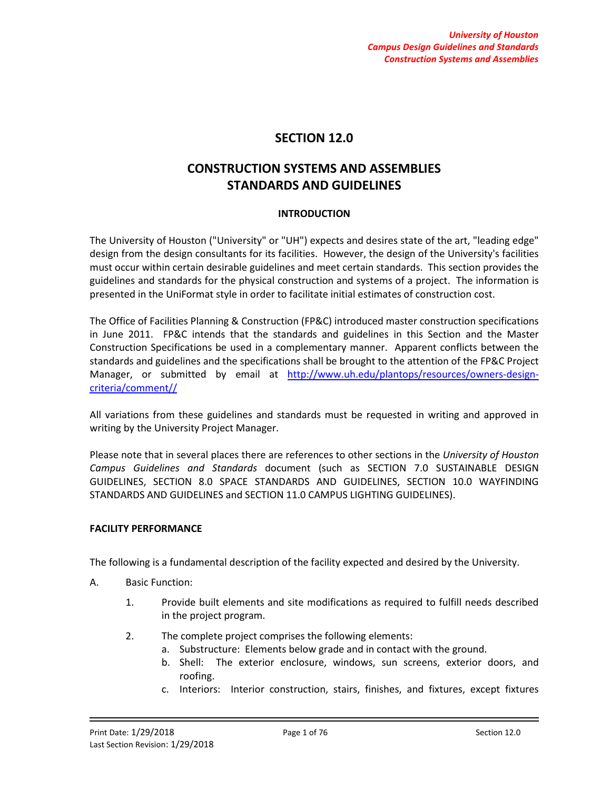# **SECTION 12.0**

# **CONSTRUCTION SYSTEMS AND ASSEMBLIES STANDARDS AND GUIDELINES**

# **INTRODUCTION**

The University of Houston ("University" or "UH") expects and desires state of the art, "leading edge" design from the design consultants for its facilities. However, the design of the University's facilities must occur within certain desirable guidelines and meet certain standards. This section provides the guidelines and standards for the physical construction and systems of a project. The information is presented in the UniFormat style in order to facilitate initial estimates of construction cost.

The Office of Facilities Planning & Construction (FP&C) introduced master construction specifications in June 2011. FP&C intends that the standards and guidelines in this Section and the Master Construction Specifications be used in a complementary manner. Apparent conflicts between the standards and guidelines and the specifications shall be brought to the attention of the FP&C Project Manager, or submitted by email at [http://www.uh.edu/plantops/resources/owners-design](http://www.uh.edu/plantops/resources/owners-design-criteria/comment/)[criteria/comment//](http://www.uh.edu/plantops/resources/owners-design-criteria/comment/)

All variations from these guidelines and standards must be requested in writing and approved in writing by the University Project Manager.

Please note that in several places there are references to other sections in the *University of Houston Campus Guidelines and Standards* document (such as SECTION 7.0 SUSTAINABLE DESIGN GUIDELINES, SECTION 8.0 SPACE STANDARDS AND GUIDELINES, SECTION 10.0 WAYFINDING STANDARDS AND GUIDELINES and SECTION 11.0 CAMPUS LIGHTING GUIDELINES).

### **FACILITY PERFORMANCE**

The following is a fundamental description of the facility expected and desired by the University.

- A. Basic Function:
	- 1. Provide built elements and site modifications as required to fulfill needs described in the project program.
	- 2. The complete project comprises the following elements:
		- a. Substructure: Elements below grade and in contact with the ground.
		- b. Shell: The exterior enclosure, windows, sun screens, exterior doors, and roofing.
		- c. Interiors: Interior construction, stairs, finishes, and fixtures, except fixtures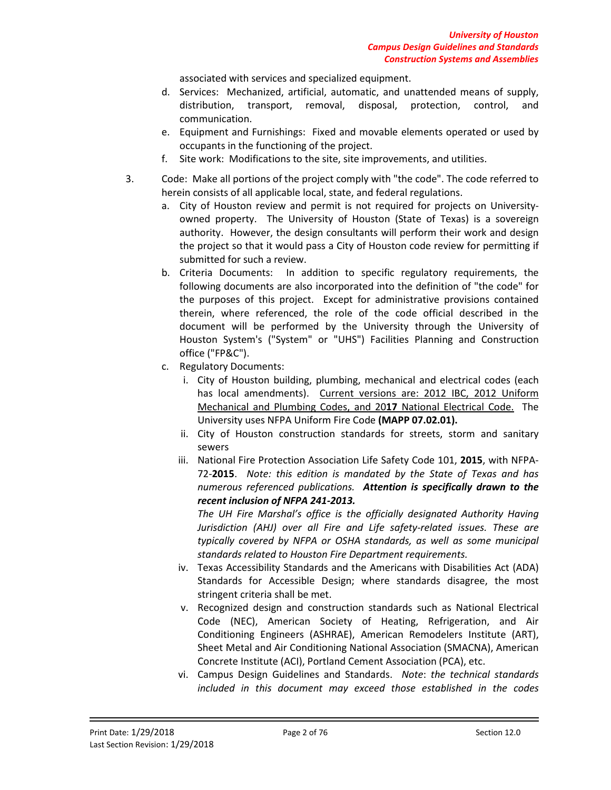associated with services and specialized equipment.

- d. Services: Mechanized, artificial, automatic, and unattended means of supply, distribution, transport, removal, disposal, protection, control, and communication.
- e. Equipment and Furnishings: Fixed and movable elements operated or used by occupants in the functioning of the project.
- f. Site work: Modifications to the site, site improvements, and utilities.
- 3. Code: Make all portions of the project comply with "the code". The code referred to herein consists of all applicable local, state, and federal regulations.
	- a. City of Houston review and permit is not required for projects on Universityowned property. The University of Houston (State of Texas) is a sovereign authority. However, the design consultants will perform their work and design the project so that it would pass a City of Houston code review for permitting if submitted for such a review.
	- b. Criteria Documents: In addition to specific regulatory requirements, the following documents are also incorporated into the definition of "the code" for the purposes of this project. Except for administrative provisions contained therein, where referenced, the role of the code official described in the document will be performed by the University through the University of Houston System's ("System" or "UHS") Facilities Planning and Construction office ("FP&C").
	- c. Regulatory Documents:
		- i. City of Houston building, plumbing, mechanical and electrical codes (each has local amendments). Current versions are: 2012 IBC, 2012 Uniform Mechanical and Plumbing Codes, and 20**17** National Electrical Code. The University uses NFPA Uniform Fire Code **(MAPP 07.02.01).**
		- ii. City of Houston construction standards for streets, storm and sanitary sewers
		- iii. National Fire Protection Association Life Safety Code 101, **2015**, with NFPA-72-**2015**. *Note: this edition is mandated by the State of Texas and has numerous referenced publications. Attention is specifically drawn to the recent inclusion of NFPA 241-2013.*

*The UH Fire Marshal's office is the officially designated Authority Having Jurisdiction (AHJ) over all Fire and Life safety-related issues. These are typically covered by NFPA or OSHA standards, as well as some municipal standards related to Houston Fire Department requirements.*

- iv. Texas Accessibility Standards and the Americans with Disabilities Act (ADA) Standards for Accessible Design; where standards disagree, the most stringent criteria shall be met.
- v. Recognized design and construction standards such as National Electrical Code (NEC), American Society of Heating, Refrigeration, and Air Conditioning Engineers (ASHRAE), American Remodelers Institute (ART), Sheet Metal and Air Conditioning National Association (SMACNA), American Concrete Institute (ACI), Portland Cement Association (PCA), etc.
- vi. Campus Design Guidelines and Standards. *Note*: *the technical standards included in this document may exceed those established in the codes*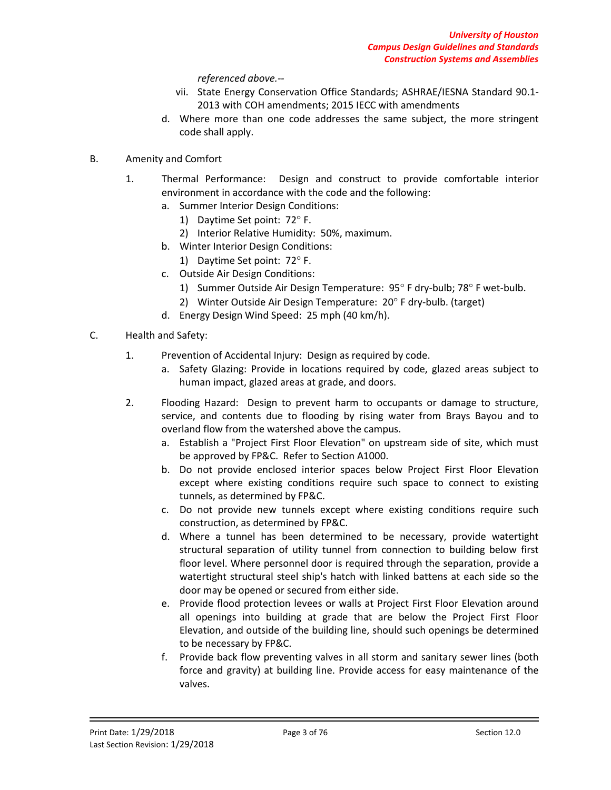*referenced above.--*

- vii. State Energy Conservation Office Standards; ASHRAE/IESNA Standard 90.1- 2013 with COH amendments; 2015 IECC with amendments
- d. Where more than one code addresses the same subject, the more stringent code shall apply.
- B. Amenity and Comfort
	- 1. Thermal Performance: Design and construct to provide comfortable interior environment in accordance with the code and the following:
		- a. Summer Interior Design Conditions:
			- 1) Daytime Set point: 72° F.
			- 2) Interior Relative Humidity: 50%, maximum.
		- b. Winter Interior Design Conditions:
			- 1) Daytime Set point: 72° F.
		- c. Outside Air Design Conditions:
			- 1) Summer Outside Air Design Temperature: 95° F dry-bulb; 78° F wet-bulb.
			- 2) Winter Outside Air Design Temperature: 20° F dry-bulb. (target)
		- d. Energy Design Wind Speed: 25 mph (40 km/h).
- C. Health and Safety:
	- 1. Prevention of Accidental Injury: Design as required by code.
		- a. Safety Glazing: Provide in locations required by code, glazed areas subject to human impact, glazed areas at grade, and doors.
	- 2. Flooding Hazard: Design to prevent harm to occupants or damage to structure, service, and contents due to flooding by rising water from Brays Bayou and to overland flow from the watershed above the campus.
		- a. Establish a "Project First Floor Elevation" on upstream side of site, which must be approved by FP&C. Refer to Section A1000.
		- b. Do not provide enclosed interior spaces below Project First Floor Elevation except where existing conditions require such space to connect to existing tunnels, as determined by FP&C.
		- c. Do not provide new tunnels except where existing conditions require such construction, as determined by FP&C.
		- d. Where a tunnel has been determined to be necessary, provide watertight structural separation of utility tunnel from connection to building below first floor level. Where personnel door is required through the separation, provide a watertight structural steel ship's hatch with linked battens at each side so the door may be opened or secured from either side.
		- e. Provide flood protection levees or walls at Project First Floor Elevation around all openings into building at grade that are below the Project First Floor Elevation, and outside of the building line, should such openings be determined to be necessary by FP&C.
		- f. Provide back flow preventing valves in all storm and sanitary sewer lines (both force and gravity) at building line. Provide access for easy maintenance of the valves.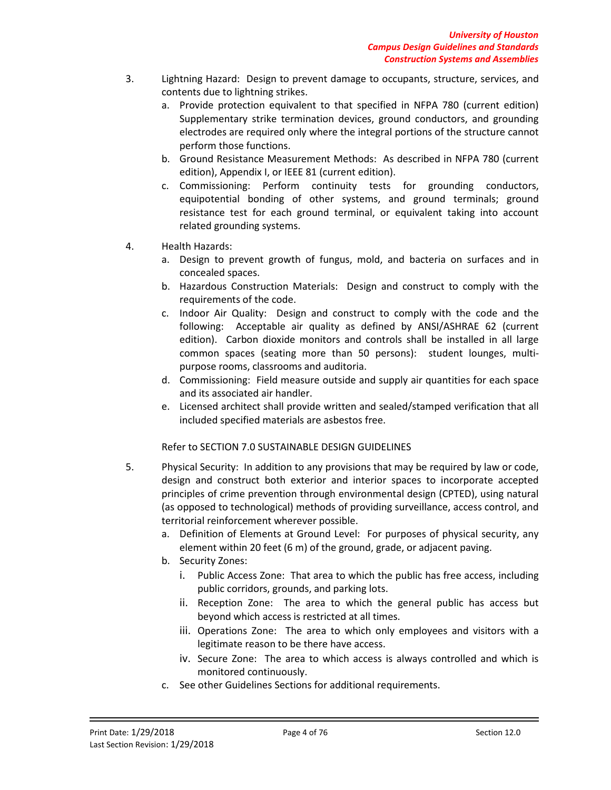- 3. Lightning Hazard: Design to prevent damage to occupants, structure, services, and contents due to lightning strikes.
	- a. Provide protection equivalent to that specified in NFPA 780 (current edition) Supplementary strike termination devices, ground conductors, and grounding electrodes are required only where the integral portions of the structure cannot perform those functions.
	- b. Ground Resistance Measurement Methods: As described in NFPA 780 (current edition), Appendix I, or IEEE 81 (current edition).
	- c. Commissioning: Perform continuity tests for grounding conductors, equipotential bonding of other systems, and ground terminals; ground resistance test for each ground terminal, or equivalent taking into account related grounding systems.
- 4. Health Hazards:
	- a. Design to prevent growth of fungus, mold, and bacteria on surfaces and in concealed spaces.
	- b. Hazardous Construction Materials: Design and construct to comply with the requirements of the code.
	- c. Indoor Air Quality: Design and construct to comply with the code and the following: Acceptable air quality as defined by ANSI/ASHRAE 62 (current edition). Carbon dioxide monitors and controls shall be installed in all large common spaces (seating more than 50 persons): student lounges, multipurpose rooms, classrooms and auditoria.
	- d. Commissioning: Field measure outside and supply air quantities for each space and its associated air handler.
	- e. Licensed architect shall provide written and sealed/stamped verification that all included specified materials are asbestos free.

Refer to SECTION 7.0 SUSTAINABLE DESIGN GUIDELINES

- 5. Physical Security: In addition to any provisions that may be required by law or code, design and construct both exterior and interior spaces to incorporate accepted principles of crime prevention through environmental design (CPTED), using natural (as opposed to technological) methods of providing surveillance, access control, and territorial reinforcement wherever possible.
	- a. Definition of Elements at Ground Level: For purposes of physical security, any element within 20 feet (6 m) of the ground, grade, or adjacent paving.
	- b. Security Zones:
		- i. Public Access Zone: That area to which the public has free access, including public corridors, grounds, and parking lots.
		- ii. Reception Zone: The area to which the general public has access but beyond which access is restricted at all times.
		- iii. Operations Zone: The area to which only employees and visitors with a legitimate reason to be there have access.
		- iv. Secure Zone: The area to which access is always controlled and which is monitored continuously.
	- c. See other Guidelines Sections for additional requirements.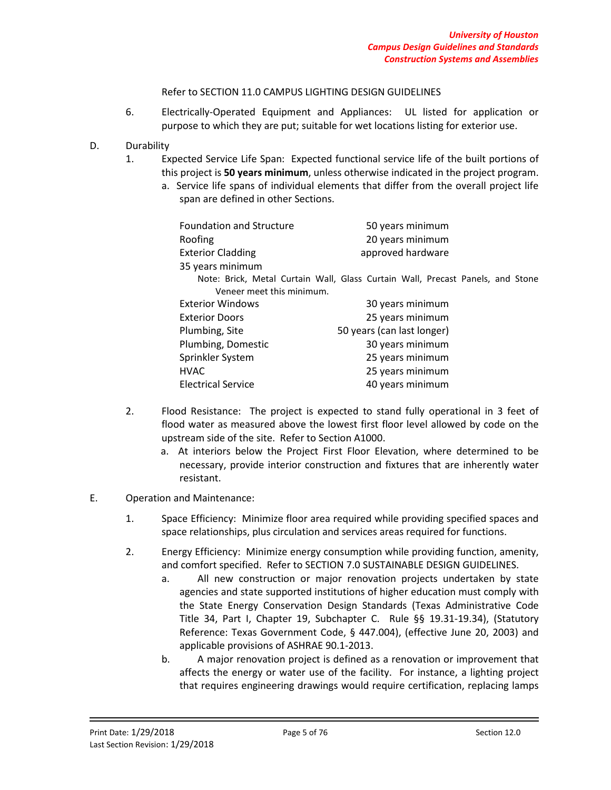### Refer to SECTION 11.0 CAMPUS LIGHTING DESIGN GUIDELINES

6. Electrically-Operated Equipment and Appliances: UL listed for application or purpose to which they are put; suitable for wet locations listing for exterior use.

# D. Durability

- 1. Expected Service Life Span: Expected functional service life of the built portions of this project is **50 years minimum**, unless otherwise indicated in the project program.
	- a. Service life spans of individual elements that differ from the overall project life span are defined in other Sections.

| <b>Foundation and Structure</b><br>Roofing | 50 years minimum<br>20 years minimum                                           |
|--------------------------------------------|--------------------------------------------------------------------------------|
| <b>Exterior Cladding</b>                   | approved hardware                                                              |
| 35 years minimum                           |                                                                                |
|                                            | Note: Brick, Metal Curtain Wall, Glass Curtain Wall, Precast Panels, and Stone |
| Veneer meet this minimum.                  |                                                                                |
| <b>Exterior Windows</b>                    | 30 years minimum                                                               |
| <b>Exterior Doors</b>                      | 25 years minimum                                                               |
| Plumbing, Site                             | 50 years (can last longer)                                                     |
| Plumbing, Domestic                         | 30 years minimum                                                               |
| Sprinkler System                           | 25 years minimum                                                               |
| <b>HVAC</b>                                | 25 years minimum                                                               |
| <b>Electrical Service</b>                  | 40 years minimum                                                               |

- 2. Flood Resistance: The project is expected to stand fully operational in 3 feet of flood water as measured above the lowest first floor level allowed by code on the upstream side of the site. Refer to Section A1000.
	- a. At interiors below the Project First Floor Elevation, where determined to be necessary, provide interior construction and fixtures that are inherently water resistant.

### E. Operation and Maintenance:

- 1. Space Efficiency: Minimize floor area required while providing specified spaces and space relationships, plus circulation and services areas required for functions.
- 2. Energy Efficiency: Minimize energy consumption while providing function, amenity, and comfort specified. Refer to SECTION 7.0 SUSTAINABLE DESIGN GUIDELINES.
	- a. All new construction or major renovation projects undertaken by state agencies and state supported institutions of higher education must comply with the State Energy Conservation Design Standards (Texas Administrative Code Title 34, Part I, Chapter 19, Subchapter C. Rule §§ 19.31-19.34), (Statutory Reference: Texas Government Code, § 447.004), (effective June 20, 2003) and applicable provisions of ASHRAE 90.1-2013.
	- b. A major renovation project is defined as a renovation or improvement that affects the energy or water use of the facility. For instance, a lighting project that requires engineering drawings would require certification, replacing lamps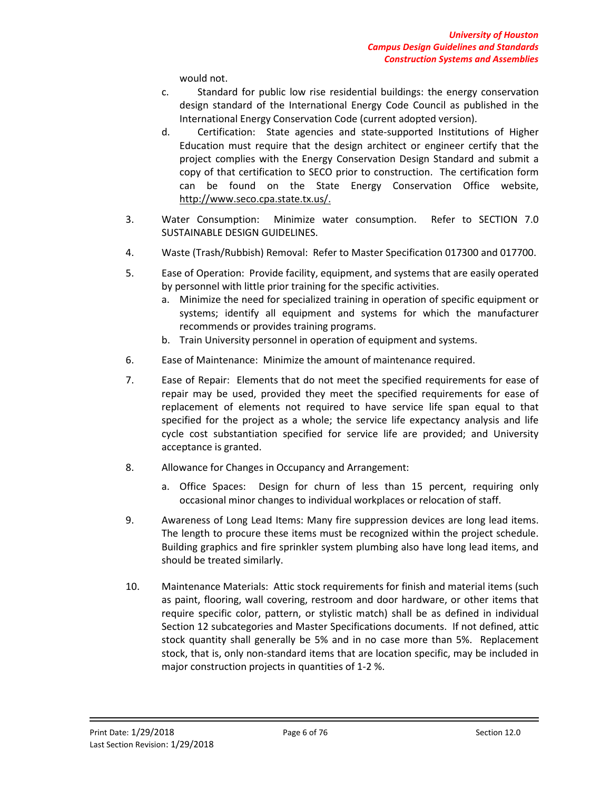would not.

- c. Standard for public low rise residential buildings: the energy conservation design standard of the International Energy Code Council as published in the International Energy Conservation Code (current adopted version).
- d. Certification: State agencies and state-supported Institutions of Higher Education must require that the design architect or engineer certify that the project complies with the Energy Conservation Design Standard and submit a copy of that certification to SECO prior to construction. The certification form can be found on the State Energy Conservation Office website, http://www.seco.cpa.state.tx.us/.
- 3. Water Consumption: Minimize water consumption. Refer to SECTION 7.0 SUSTAINABLE DESIGN GUIDELINES.
- 4. Waste (Trash/Rubbish) Removal: Refer to Master Specification 017300 and 017700.
- 5. Ease of Operation: Provide facility, equipment, and systems that are easily operated by personnel with little prior training for the specific activities.
	- a. Minimize the need for specialized training in operation of specific equipment or systems; identify all equipment and systems for which the manufacturer recommends or provides training programs.
	- b. Train University personnel in operation of equipment and systems.
- 6. Ease of Maintenance: Minimize the amount of maintenance required.
- 7. Ease of Repair: Elements that do not meet the specified requirements for ease of repair may be used, provided they meet the specified requirements for ease of replacement of elements not required to have service life span equal to that specified for the project as a whole; the service life expectancy analysis and life cycle cost substantiation specified for service life are provided; and University acceptance is granted.
- 8. Allowance for Changes in Occupancy and Arrangement:
	- a. Office Spaces: Design for churn of less than 15 percent, requiring only occasional minor changes to individual workplaces or relocation of staff.
- 9. Awareness of Long Lead Items: Many fire suppression devices are long lead items. The length to procure these items must be recognized within the project schedule. Building graphics and fire sprinkler system plumbing also have long lead items, and should be treated similarly.
- 10. Maintenance Materials: Attic stock requirements for finish and material items (such as paint, flooring, wall covering, restroom and door hardware, or other items that require specific color, pattern, or stylistic match) shall be as defined in individual Section 12 subcategories and Master Specifications documents. If not defined, attic stock quantity shall generally be 5% and in no case more than 5%. Replacement stock, that is, only non-standard items that are location specific, may be included in major construction projects in quantities of 1-2 %.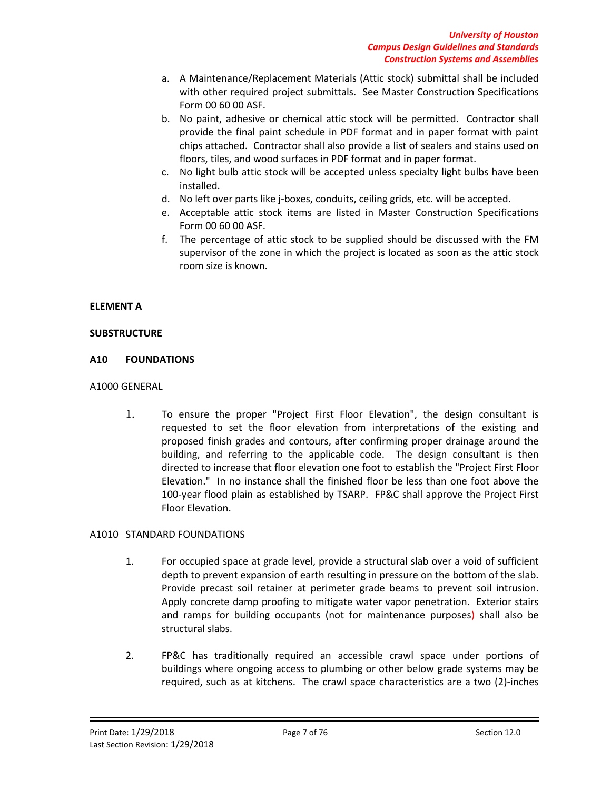- a. A Maintenance/Replacement Materials (Attic stock) submittal shall be included with other required project submittals. See Master Construction Specifications Form 00 60 00 ASF.
- b. No paint, adhesive or chemical attic stock will be permitted. Contractor shall provide the final paint schedule in PDF format and in paper format with paint chips attached. Contractor shall also provide a list of sealers and stains used on floors, tiles, and wood surfaces in PDF format and in paper format.
- c. No light bulb attic stock will be accepted unless specialty light bulbs have been installed.
- d. No left over parts like j-boxes, conduits, ceiling grids, etc. will be accepted.
- e. Acceptable attic stock items are listed in Master Construction Specifications Form 00 60 00 ASF.
- f. The percentage of attic stock to be supplied should be discussed with the FM supervisor of the zone in which the project is located as soon as the attic stock room size is known.

### **ELEMENT A**

### **SUBSTRUCTURE**

### **A10 FOUNDATIONS**

# A1000 GENERAL

1. To ensure the proper "Project First Floor Elevation", the design consultant is requested to set the floor elevation from interpretations of the existing and proposed finish grades and contours, after confirming proper drainage around the building, and referring to the applicable code. The design consultant is then directed to increase that floor elevation one foot to establish the "Project First Floor Elevation." In no instance shall the finished floor be less than one foot above the 100-year flood plain as established by TSARP. FP&C shall approve the Project First Floor Elevation.

# A1010 STANDARD FOUNDATIONS

- 1. For occupied space at grade level, provide a structural slab over a void of sufficient depth to prevent expansion of earth resulting in pressure on the bottom of the slab. Provide precast soil retainer at perimeter grade beams to prevent soil intrusion. Apply concrete damp proofing to mitigate water vapor penetration. Exterior stairs and ramps for building occupants (not for maintenance purposes) shall also be structural slabs.
- 2. FP&C has traditionally required an accessible crawl space under portions of buildings where ongoing access to plumbing or other below grade systems may be required, such as at kitchens. The crawl space characteristics are a two (2)-inches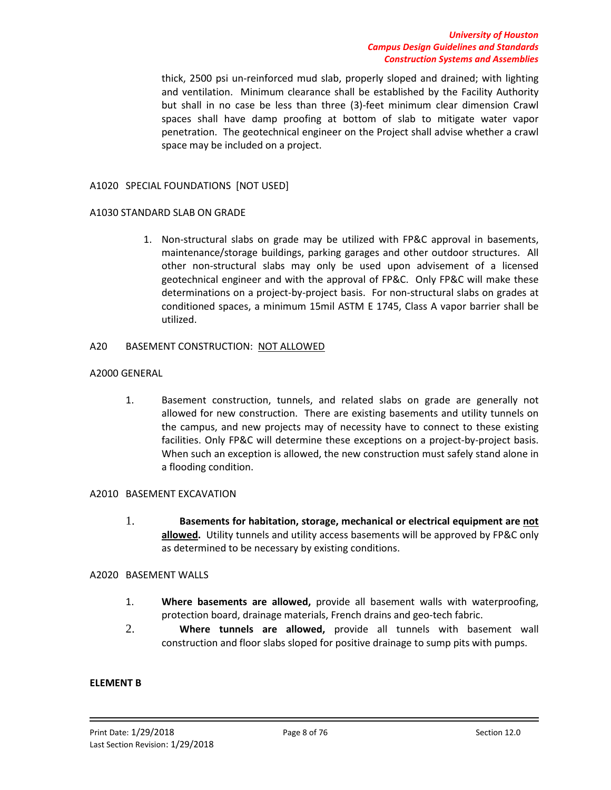#### *University of Houston Campus Design Guidelines and Standards Construction Systems and Assemblies*

thick, 2500 psi un-reinforced mud slab, properly sloped and drained; with lighting and ventilation. Minimum clearance shall be established by the Facility Authority but shall in no case be less than three (3)-feet minimum clear dimension Crawl spaces shall have damp proofing at bottom of slab to mitigate water vapor penetration. The geotechnical engineer on the Project shall advise whether a crawl space may be included on a project.

### A1020 SPECIAL FOUNDATIONS [NOT USED]

#### A1030 STANDARD SLAB ON GRADE

1. Non-structural slabs on grade may be utilized with FP&C approval in basements, maintenance/storage buildings, parking garages and other outdoor structures. All other non-structural slabs may only be used upon advisement of a licensed geotechnical engineer and with the approval of FP&C. Only FP&C will make these determinations on a project-by-project basis. For non-structural slabs on grades at conditioned spaces, a minimum 15mil ASTM E 1745, Class A vapor barrier shall be utilized.

#### A20 BASEMENT CONSTRUCTION: NOT ALLOWED

#### A2000 GENERAL

1. Basement construction, tunnels, and related slabs on grade are generally not allowed for new construction. There are existing basements and utility tunnels on the campus, and new projects may of necessity have to connect to these existing facilities. Only FP&C will determine these exceptions on a project-by-project basis. When such an exception is allowed, the new construction must safely stand alone in a flooding condition.

# A2010 BASEMENT EXCAVATION

1. **Basements for habitation, storage, mechanical or electrical equipment are not allowed.** Utility tunnels and utility access basements will be approved by FP&C only as determined to be necessary by existing conditions.

#### A2020 BASEMENT WALLS

- 1. **Where basements are allowed,** provide all basement walls with waterproofing, protection board, drainage materials, French drains and geo-tech fabric.
- 2. **Where tunnels are allowed,** provide all tunnels with basement wall construction and floor slabs sloped for positive drainage to sump pits with pumps.

#### **ELEMENT B**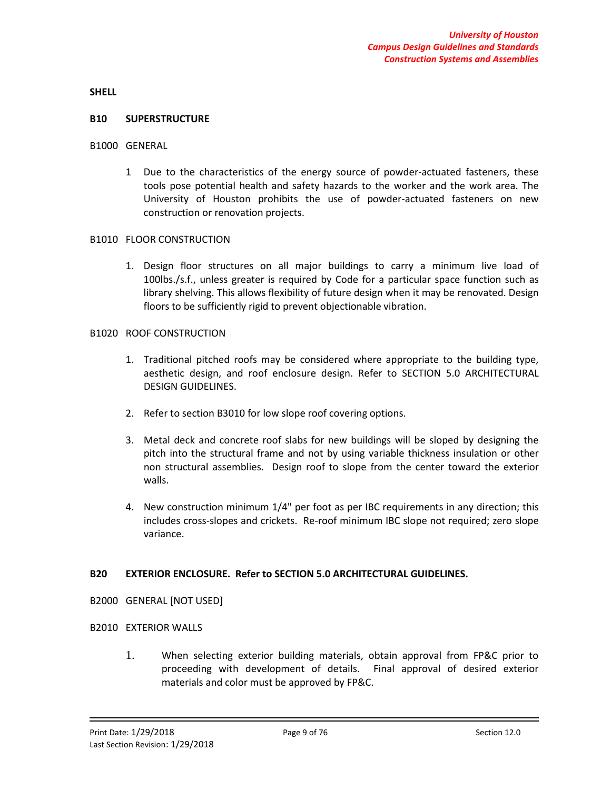**SHELL**

#### **B10 SUPERSTRUCTURE**

#### B1000 GENERAL

1 Due to the characteristics of the energy source of powder-actuated fasteners, these tools pose potential health and safety hazards to the worker and the work area. The University of Houston prohibits the use of powder-actuated fasteners on new construction or renovation projects.

#### B1010 FLOOR CONSTRUCTION

1. Design floor structures on all major buildings to carry a minimum live load of 100lbs./s.f., unless greater is required by Code for a particular space function such as library shelving. This allows flexibility of future design when it may be renovated. Design floors to be sufficiently rigid to prevent objectionable vibration.

#### B1020 ROOF CONSTRUCTION

- 1. Traditional pitched roofs may be considered where appropriate to the building type, aesthetic design, and roof enclosure design. Refer to SECTION 5.0 ARCHITECTURAL DESIGN GUIDELINES.
- 2. Refer to section B3010 for low slope roof covering options.
- 3. Metal deck and concrete roof slabs for new buildings will be sloped by designing the pitch into the structural frame and not by using variable thickness insulation or other non structural assemblies. Design roof to slope from the center toward the exterior walls.
- 4. New construction minimum 1/4" per foot as per IBC requirements in any direction; this includes cross-slopes and crickets. Re-roof minimum IBC slope not required; zero slope variance.

### **B20 EXTERIOR ENCLOSURE. Refer to SECTION 5.0 ARCHITECTURAL GUIDELINES.**

B2000 GENERAL [NOT USED]

#### B2010 EXTERIOR WALLS

1. When selecting exterior building materials, obtain approval from FP&C prior to proceeding with development of details. Final approval of desired exterior materials and color must be approved by FP&C.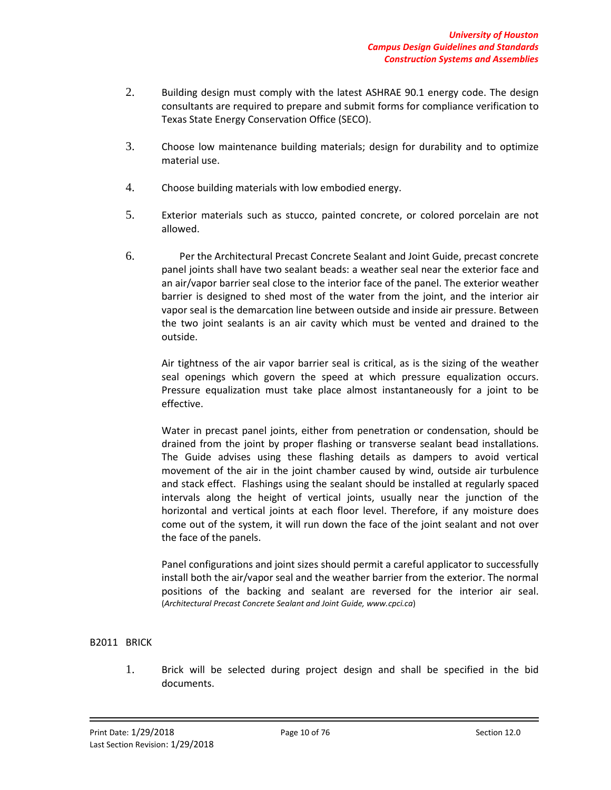- 2. Building design must comply with the latest ASHRAE 90.1 energy code. The design consultants are required to prepare and submit forms for compliance verification to Texas State Energy Conservation Office (SECO).
- 3. Choose low maintenance building materials; design for durability and to optimize material use.
- 4. Choose building materials with low embodied energy.
- 5. Exterior materials such as stucco, painted concrete, or colored porcelain are not allowed.
- 6. Per the Architectural Precast Concrete Sealant and Joint Guide, precast concrete panel joints shall have two sealant beads: a weather seal near the exterior face and an air/vapor barrier seal close to the interior face of the panel. The exterior weather barrier is designed to shed most of the water from the joint, and the interior air vapor seal is the demarcation line between outside and inside air pressure. Between the two joint sealants is an air cavity which must be vented and drained to the outside.

Air tightness of the air vapor barrier seal is critical, as is the sizing of the weather seal openings which govern the speed at which pressure equalization occurs. Pressure equalization must take place almost instantaneously for a joint to be effective.

Water in precast panel joints, either from penetration or condensation, should be drained from the joint by proper flashing or transverse sealant bead installations. The Guide advises using these flashing details as dampers to avoid vertical movement of the air in the joint chamber caused by wind, outside air turbulence and stack effect. Flashings using the sealant should be installed at regularly spaced intervals along the height of vertical joints, usually near the junction of the horizontal and vertical joints at each floor level. Therefore, if any moisture does come out of the system, it will run down the face of the joint sealant and not over the face of the panels.

Panel configurations and joint sizes should permit a careful applicator to successfully install both the air/vapor seal and the weather barrier from the exterior. The normal positions of the backing and sealant are reversed for the interior air seal. (*Architectural Precast Concrete Sealant and Joint Guide, www.cpci.ca*)

### B2011 BRICK

1. Brick will be selected during project design and shall be specified in the bid documents.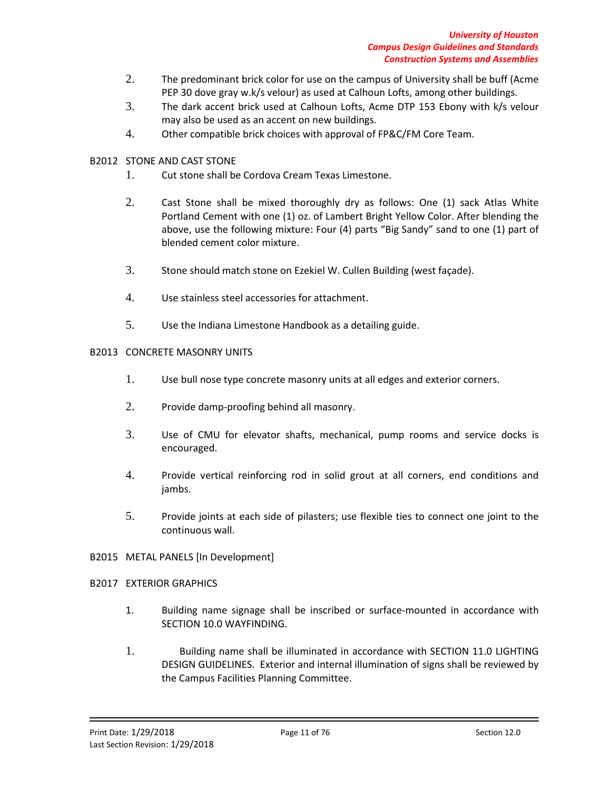- 2. The predominant brick color for use on the campus of University shall be buff (Acme PEP 30 dove gray w.k/s velour) as used at Calhoun Lofts, among other buildings.
- 3. The dark accent brick used at Calhoun Lofts, Acme DTP 153 Ebony with k/s velour may also be used as an accent on new buildings.
- 4. Other compatible brick choices with approval of FP&C/FM Core Team.
- B2012 STONE AND CAST STONE
	- 1. Cut stone shall be Cordova Cream Texas Limestone.
	- 2. Cast Stone shall be mixed thoroughly dry as follows: One (1) sack Atlas White Portland Cement with one (1) oz. of Lambert Bright Yellow Color. After blending the above, use the following mixture: Four (4) parts "Big Sandy" sand to one (1) part of blended cement color mixture.
	- 3. Stone should match stone on Ezekiel W. Cullen Building (west façade).
	- 4. Use stainless steel accessories for attachment.
	- 5. Use the Indiana Limestone Handbook as a detailing guide.

### B2013 CONCRETE MASONRY UNITS

- 1. Use bull nose type concrete masonry units at all edges and exterior corners.
- 2. Provide damp-proofing behind all masonry.
- 3. Use of CMU for elevator shafts, mechanical, pump rooms and service docks is encouraged.
- 4. Provide vertical reinforcing rod in solid grout at all corners, end conditions and jambs.
- 5. Provide joints at each side of pilasters; use flexible ties to connect one joint to the continuous wall.

### B2015 METAL PANELS [In Development]

### B2017 EXTERIOR GRAPHICS

- 1. Building name signage shall be inscribed or surface-mounted in accordance with SECTION 10.0 WAYFINDING.
- 1. Building name shall be illuminated in accordance with SECTION 11.0 LIGHTING DESIGN GUIDELINES. Exterior and internal illumination of signs shall be reviewed by the Campus Facilities Planning Committee.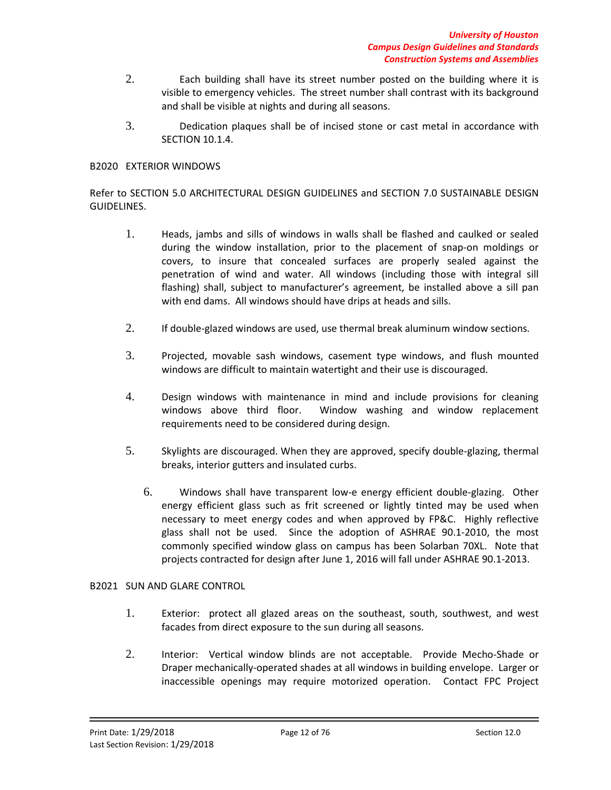- 2. Each building shall have its street number posted on the building where it is visible to emergency vehicles. The street number shall contrast with its background and shall be visible at nights and during all seasons.
- 3. Dedication plaques shall be of incised stone or cast metal in accordance with SECTION 10.1.4.

### B2020 EXTERIOR WINDOWS

Refer to SECTION 5.0 ARCHITECTURAL DESIGN GUIDELINES and SECTION 7.0 SUSTAINABLE DESIGN GUIDELINES.

- 1. Heads, jambs and sills of windows in walls shall be flashed and caulked or sealed during the window installation, prior to the placement of snap-on moldings or covers, to insure that concealed surfaces are properly sealed against the penetration of wind and water. All windows (including those with integral sill flashing) shall, subject to manufacturer's agreement, be installed above a sill pan with end dams. All windows should have drips at heads and sills.
- 2. If double-glazed windows are used, use thermal break aluminum window sections.
- 3. Projected, movable sash windows, casement type windows, and flush mounted windows are difficult to maintain watertight and their use is discouraged.
- 4. Design windows with maintenance in mind and include provisions for cleaning windows above third floor. Window washing and window replacement requirements need to be considered during design.
- 5. Skylights are discouraged. When they are approved, specify double-glazing, thermal breaks, interior gutters and insulated curbs.
	- 6. Windows shall have transparent low-e energy efficient double-glazing. Other energy efficient glass such as frit screened or lightly tinted may be used when necessary to meet energy codes and when approved by FP&C. Highly reflective glass shall not be used. Since the adoption of ASHRAE 90.1-2010, the most commonly specified window glass on campus has been Solarban 70XL. Note that projects contracted for design after June 1, 2016 will fall under ASHRAE 90.1-2013.

### B2021 SUN AND GLARE CONTROL

- 1. Exterior: protect all glazed areas on the southeast, south, southwest, and west facades from direct exposure to the sun during all seasons.
- 2. Interior: Vertical window blinds are not acceptable. Provide Mecho-Shade or Draper mechanically-operated shades at all windows in building envelope. Larger or inaccessible openings may require motorized operation. Contact FPC Project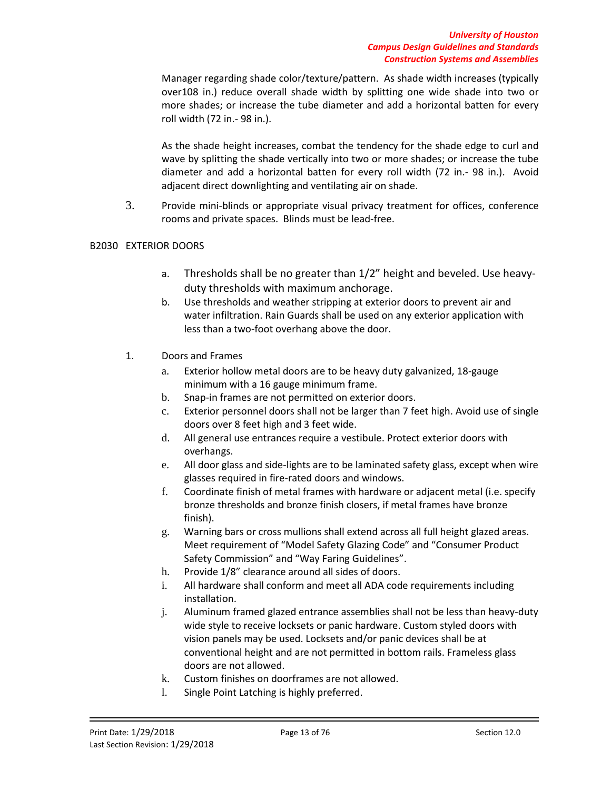Manager regarding shade color/texture/pattern. As shade width increases (typically over108 in.) reduce overall shade width by splitting one wide shade into two or more shades; or increase the tube diameter and add a horizontal batten for every roll width (72 in.- 98 in.).

As the shade height increases, combat the tendency for the shade edge to curl and wave by splitting the shade vertically into two or more shades; or increase the tube diameter and add a horizontal batten for every roll width (72 in.- 98 in.). Avoid adjacent direct downlighting and ventilating air on shade.

3. Provide mini-blinds or appropriate visual privacy treatment for offices, conference rooms and private spaces. Blinds must be lead-free.

# B2030 EXTERIOR DOORS

- a. Thresholds shall be no greater than 1/2" height and beveled. Use heavyduty thresholds with maximum anchorage.
- b. Use thresholds and weather stripping at exterior doors to prevent air and water infiltration. Rain Guards shall be used on any exterior application with less than a two-foot overhang above the door.
- 1. Doors and Frames
	- a. Exterior hollow metal doors are to be heavy duty galvanized, 18-gauge minimum with a 16 gauge minimum frame.
	- b. Snap-in frames are not permitted on exterior doors.
	- c. Exterior personnel doors shall not be larger than 7 feet high. Avoid use of single doors over 8 feet high and 3 feet wide.
	- d. All general use entrances require a vestibule. Protect exterior doors with overhangs.
	- e. All door glass and side-lights are to be laminated safety glass, except when wire glasses required in fire-rated doors and windows.
	- f. Coordinate finish of metal frames with hardware or adjacent metal (i.e. specify bronze thresholds and bronze finish closers, if metal frames have bronze finish).
	- g. Warning bars or cross mullions shall extend across all full height glazed areas. Meet requirement of "Model Safety Glazing Code" and "Consumer Product Safety Commission" and "Way Faring Guidelines".
	- h. Provide 1/8" clearance around all sides of doors.
	- i. All hardware shall conform and meet all ADA code requirements including installation.
	- j. Aluminum framed glazed entrance assemblies shall not be less than heavy-duty wide style to receive locksets or panic hardware. Custom styled doors with vision panels may be used. Locksets and/or panic devices shall be at conventional height and are not permitted in bottom rails. Frameless glass doors are not allowed.
	- k. Custom finishes on doorframes are not allowed.
	- l. Single Point Latching is highly preferred.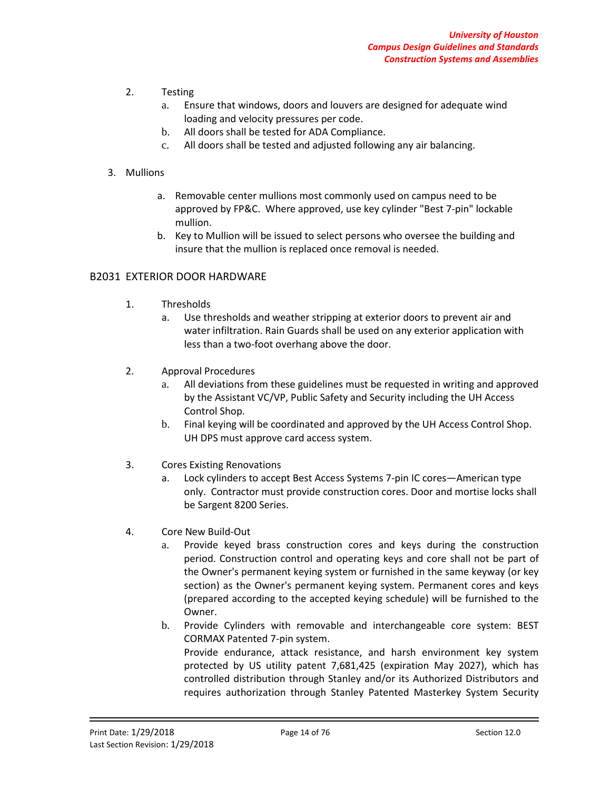- 2. Testing
	- a. Ensure that windows, doors and louvers are designed for adequate wind loading and velocity pressures per code.
	- b. All doors shall be tested for ADA Compliance.
	- c. All doors shall be tested and adjusted following any air balancing.

### 3. Mullions

- a. Removable center mullions most commonly used on campus need to be approved by FP&C. Where approved, use key cylinder "Best 7-pin" lockable mullion.
- b. Key to Mullion will be issued to select persons who oversee the building and insure that the mullion is replaced once removal is needed.

### B2031 EXTERIOR DOOR HARDWARE

- 1. Thresholds
	- a. Use thresholds and weather stripping at exterior doors to prevent air and water infiltration. Rain Guards shall be used on any exterior application with less than a two-foot overhang above the door.
- 2. Approval Procedures
	- a. All deviations from these guidelines must be requested in writing and approved by the Assistant VC/VP, Public Safety and Security including the UH Access Control Shop.
	- b. Final keying will be coordinated and approved by the UH Access Control Shop. UH DPS must approve card access system.
- 3. Cores Existing Renovations
	- a. Lock cylinders to accept Best Access Systems 7-pin IC cores—American type only. Contractor must provide construction cores. Door and mortise locks shall be Sargent 8200 Series.
- 4. Core New Build-Out
	- a. Provide keyed brass construction cores and keys during the construction period. Construction control and operating keys and core shall not be part of the Owner's permanent keying system or furnished in the same keyway (or key section) as the Owner's permanent keying system. Permanent cores and keys (prepared according to the accepted keying schedule) will be furnished to the Owner.

b. Provide Cylinders with removable and interchangeable core system: BEST CORMAX Patented 7-pin system. Provide endurance, attack resistance, and harsh environment key system protected by US utility patent 7,681,425 (expiration May 2027), which has controlled distribution through Stanley and/or its Authorized Distributors and requires authorization through Stanley Patented Masterkey System Security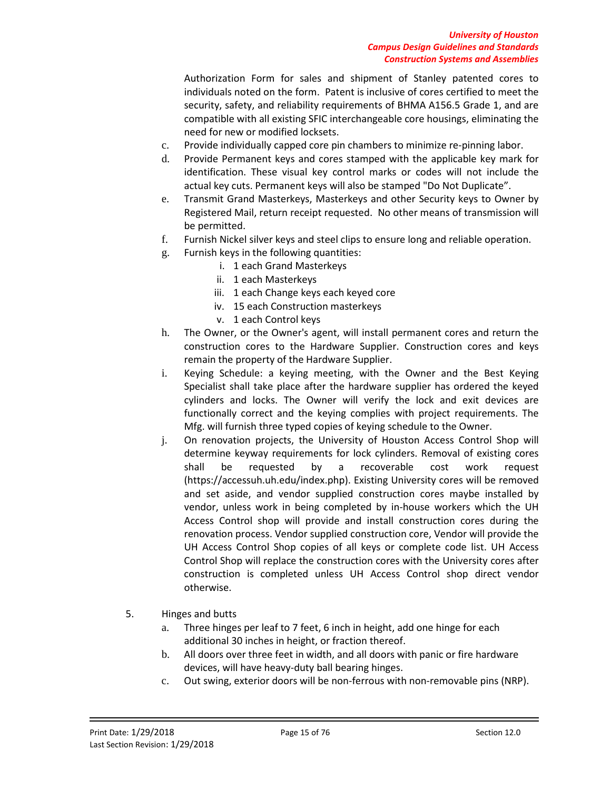Authorization Form for sales and shipment of Stanley patented cores to individuals noted on the form. Patent is inclusive of cores certified to meet the security, safety, and reliability requirements of BHMA A156.5 Grade 1, and are compatible with all existing SFIC interchangeable core housings, eliminating the need for new or modified locksets.

- c. Provide individually capped core pin chambers to minimize re-pinning labor.
- d. Provide Permanent keys and cores stamped with the applicable key mark for identification. These visual key control marks or codes will not include the actual key cuts. Permanent keys will also be stamped "Do Not Duplicate".
- e. Transmit Grand Masterkeys, Masterkeys and other Security keys to Owner by Registered Mail, return receipt requested. No other means of transmission will be permitted.
- f. Furnish Nickel silver keys and steel clips to ensure long and reliable operation.
- g. Furnish keys in the following quantities:
	- i. 1 each Grand Masterkeys
	- ii. 1 each Masterkeys
	- iii. 1 each Change keys each keyed core
	- iv. 15 each Construction masterkeys
	- v. 1 each Control keys
- h. The Owner, or the Owner's agent, will install permanent cores and return the construction cores to the Hardware Supplier. Construction cores and keys remain the property of the Hardware Supplier.
- i. Keying Schedule: a keying meeting, with the Owner and the Best Keying Specialist shall take place after the hardware supplier has ordered the keyed cylinders and locks. The Owner will verify the lock and exit devices are functionally correct and the keying complies with project requirements. The Mfg. will furnish three typed copies of keying schedule to the Owner.
- j. On renovation projects, the University of Houston Access Control Shop will determine keyway requirements for lock cylinders. Removal of existing cores shall be requested by a recoverable cost work request (https://accessuh.uh.edu/index.php). Existing University cores will be removed and set aside, and vendor supplied construction cores maybe installed by vendor, unless work in being completed by in-house workers which the UH Access Control shop will provide and install construction cores during the renovation process. Vendor supplied construction core, Vendor will provide the UH Access Control Shop copies of all keys or complete code list. UH Access Control Shop will replace the construction cores with the University cores after construction is completed unless UH Access Control shop direct vendor otherwise.
- 5. Hinges and butts
	- a. Three hinges per leaf to 7 feet, 6 inch in height, add one hinge for each additional 30 inches in height, or fraction thereof.
	- b. All doors over three feet in width, and all doors with panic or fire hardware devices, will have heavy-duty ball bearing hinges.
	- c. Out swing, exterior doors will be non-ferrous with non-removable pins (NRP).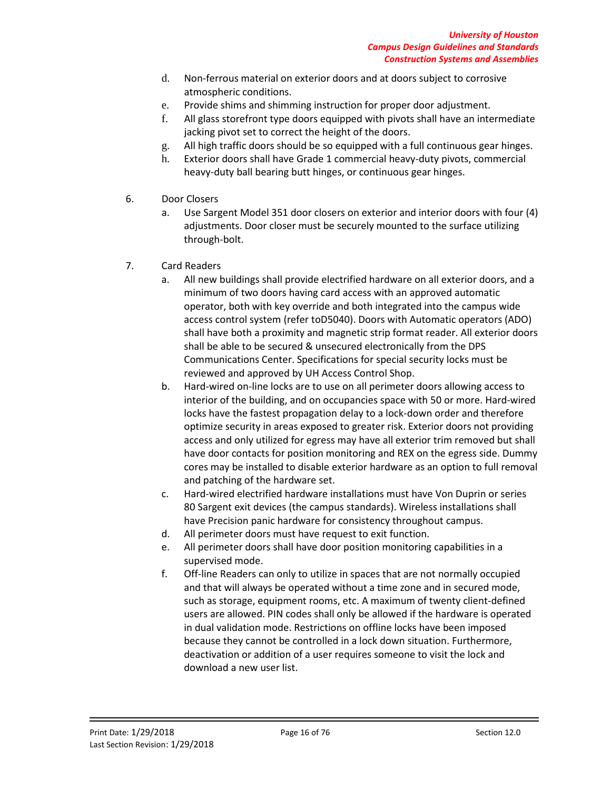- d. Non-ferrous material on exterior doors and at doors subject to corrosive atmospheric conditions.
- e. Provide shims and shimming instruction for proper door adjustment.
- f. All glass storefront type doors equipped with pivots shall have an intermediate jacking pivot set to correct the height of the doors.
- g. All high traffic doors should be so equipped with a full continuous gear hinges.
- h. Exterior doors shall have Grade 1 commercial heavy-duty pivots, commercial heavy-duty ball bearing butt hinges, or continuous gear hinges.
- 6. Door Closers
	- a. Use Sargent Model 351 door closers on exterior and interior doors with four (4) adjustments. Door closer must be securely mounted to the surface utilizing through-bolt.
- 7. Card Readers
	- a. All new buildings shall provide electrified hardware on all exterior doors, and a minimum of two doors having card access with an approved automatic operator, both with key override and both integrated into the campus wide access control system (refer toD5040). Doors with Automatic operators (ADO) shall have both a proximity and magnetic strip format reader. All exterior doors shall be able to be secured & unsecured electronically from the DPS Communications Center. Specifications for special security locks must be reviewed and approved by UH Access Control Shop.
	- b. Hard-wired on-line locks are to use on all perimeter doors allowing access to interior of the building, and on occupancies space with 50 or more. Hard-wired locks have the fastest propagation delay to a lock-down order and therefore optimize security in areas exposed to greater risk. Exterior doors not providing access and only utilized for egress may have all exterior trim removed but shall have door contacts for position monitoring and REX on the egress side. Dummy cores may be installed to disable exterior hardware as an option to full removal and patching of the hardware set.
	- c. Hard-wired electrified hardware installations must have Von Duprin or series 80 Sargent exit devices (the campus standards). Wireless installations shall have Precision panic hardware for consistency throughout campus.
	- d. All perimeter doors must have request to exit function.
	- e. All perimeter doors shall have door position monitoring capabilities in a supervised mode.
	- f. Off-line Readers can only to utilize in spaces that are not normally occupied and that will always be operated without a time zone and in secured mode, such as storage, equipment rooms, etc. A maximum of twenty client-defined users are allowed. PIN codes shall only be allowed if the hardware is operated in dual validation mode. Restrictions on offline locks have been imposed because they cannot be controlled in a lock down situation. Furthermore, deactivation or addition of a user requires someone to visit the lock and download a new user list.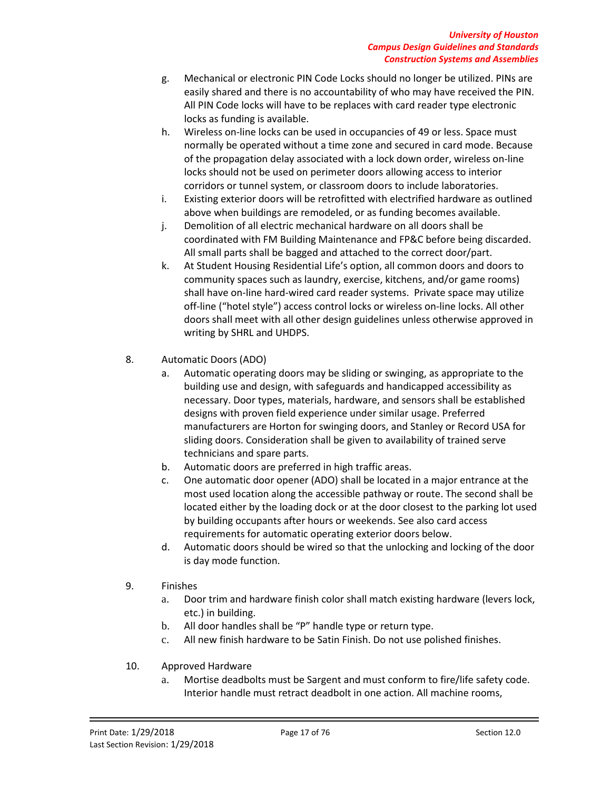- g. Mechanical or electronic PIN Code Locks should no longer be utilized. PINs are easily shared and there is no accountability of who may have received the PIN. All PIN Code locks will have to be replaces with card reader type electronic locks as funding is available.
- h. Wireless on-line locks can be used in occupancies of 49 or less. Space must normally be operated without a time zone and secured in card mode. Because of the propagation delay associated with a lock down order, wireless on-line locks should not be used on perimeter doors allowing access to interior corridors or tunnel system, or classroom doors to include laboratories.
- i. Existing exterior doors will be retrofitted with electrified hardware as outlined above when buildings are remodeled, or as funding becomes available.
- j. Demolition of all electric mechanical hardware on all doors shall be coordinated with FM Building Maintenance and FP&C before being discarded. All small parts shall be bagged and attached to the correct door/part.
- k. At Student Housing Residential Life's option, all common doors and doors to community spaces such as laundry, exercise, kitchens, and/or game rooms) shall have on-line hard-wired card reader systems. Private space may utilize off-line ("hotel style") access control locks or wireless on-line locks. All other doors shall meet with all other design guidelines unless otherwise approved in writing by SHRL and UHDPS.
- 8. Automatic Doors (ADO)
	- a. Automatic operating doors may be sliding or swinging, as appropriate to the building use and design, with safeguards and handicapped accessibility as necessary. Door types, materials, hardware, and sensors shall be established designs with proven field experience under similar usage. Preferred manufacturers are Horton for swinging doors, and Stanley or Record USA for sliding doors. Consideration shall be given to availability of trained serve technicians and spare parts.
	- b. Automatic doors are preferred in high traffic areas.
	- c. One automatic door opener (ADO) shall be located in a major entrance at the most used location along the accessible pathway or route. The second shall be located either by the loading dock or at the door closest to the parking lot used by building occupants after hours or weekends. See also card access requirements for automatic operating exterior doors below.
	- d. Automatic doors should be wired so that the unlocking and locking of the door is day mode function.
- 9. Finishes
	- a. Door trim and hardware finish color shall match existing hardware (levers lock, etc.) in building.
	- b. All door handles shall be "P" handle type or return type.
	- c. All new finish hardware to be Satin Finish. Do not use polished finishes.
- 10. Approved Hardware
	- a. Mortise deadbolts must be Sargent and must conform to fire/life safety code. Interior handle must retract deadbolt in one action. All machine rooms,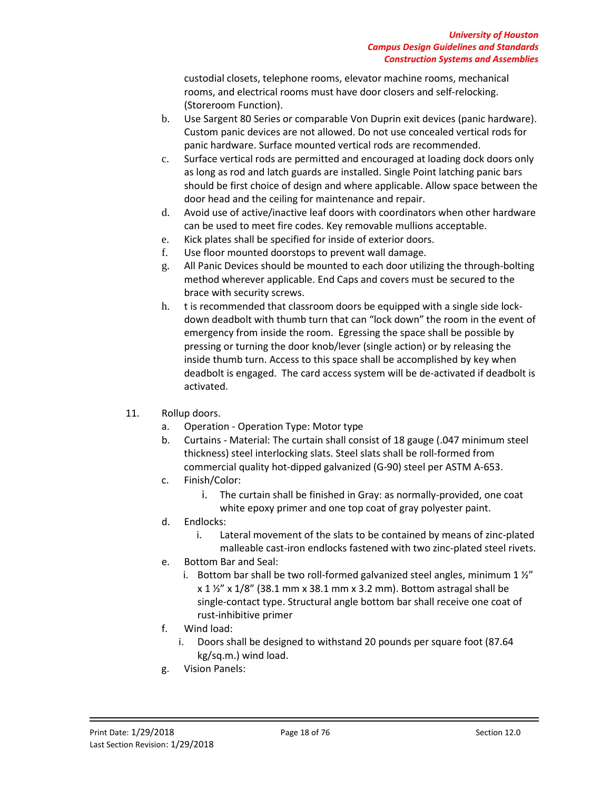custodial closets, telephone rooms, elevator machine rooms, mechanical rooms, and electrical rooms must have door closers and self-relocking. (Storeroom Function).

- b. Use Sargent 80 Series or comparable Von Duprin exit devices (panic hardware). Custom panic devices are not allowed. Do not use concealed vertical rods for panic hardware. Surface mounted vertical rods are recommended.
- c. Surface vertical rods are permitted and encouraged at loading dock doors only as long as rod and latch guards are installed. Single Point latching panic bars should be first choice of design and where applicable. Allow space between the door head and the ceiling for maintenance and repair.
- d. Avoid use of active/inactive leaf doors with coordinators when other hardware can be used to meet fire codes. Key removable mullions acceptable.
- e. Kick plates shall be specified for inside of exterior doors.
- f. Use floor mounted doorstops to prevent wall damage.
- g. All Panic Devices should be mounted to each door utilizing the through-bolting method wherever applicable. End Caps and covers must be secured to the brace with security screws.
- h. t is recommended that classroom doors be equipped with a single side lockdown deadbolt with thumb turn that can "lock down" the room in the event of emergency from inside the room. Egressing the space shall be possible by pressing or turning the door knob/lever (single action) or by releasing the inside thumb turn. Access to this space shall be accomplished by key when deadbolt is engaged. The card access system will be de-activated if deadbolt is activated.
- 11. Rollup doors.
	- a. Operation Operation Type: Motor type
	- b. Curtains Material: The curtain shall consist of 18 gauge (.047 minimum steel thickness) steel interlocking slats. Steel slats shall be roll-formed from commercial quality hot-dipped galvanized (G-90) steel per ASTM A-653.
	- c. Finish/Color:
		- i. The curtain shall be finished in Gray: as normally-provided, one coat white epoxy primer and one top coat of gray polyester paint.
	- d. Endlocks:
		- i. Lateral movement of the slats to be contained by means of zinc-plated malleable cast-iron endlocks fastened with two zinc-plated steel rivets.
	- e. Bottom Bar and Seal:
		- i. Bottom bar shall be two roll-formed galvanized steel angles, minimum  $1\frac{y}{x}$  $x$  1  $\frac{1}{2}$ " x 1/8" (38.1 mm x 38.1 mm x 3.2 mm). Bottom astragal shall be single-contact type. Structural angle bottom bar shall receive one coat of rust-inhibitive primer
	- f. Wind load:
		- i. Doors shall be designed to withstand 20 pounds per square foot (87.64 kg/sq.m.) wind load.
	- g. Vision Panels: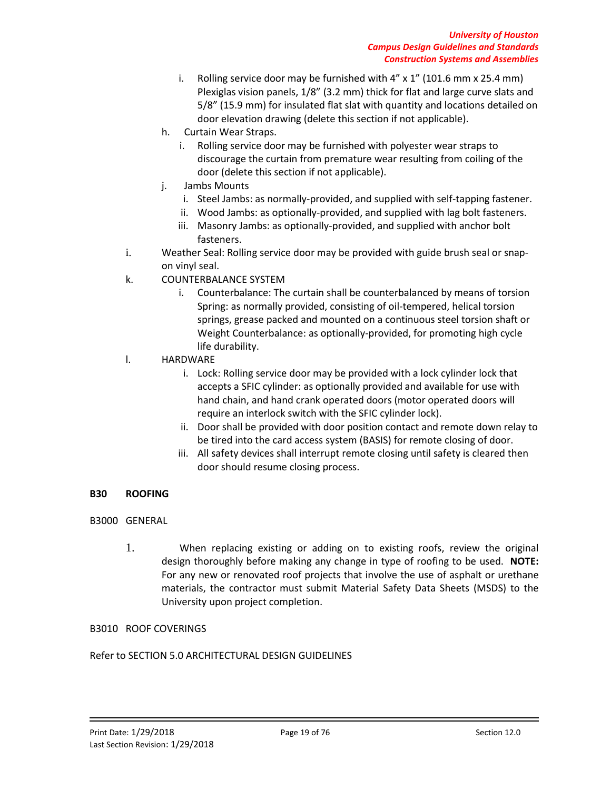- i. Rolling service door may be furnished with 4" x 1" (101.6 mm x 25.4 mm) Plexiglas vision panels, 1/8" (3.2 mm) thick for flat and large curve slats and 5/8" (15.9 mm) for insulated flat slat with quantity and locations detailed on door elevation drawing (delete this section if not applicable).
- h. Curtain Wear Straps.
	- i. Rolling service door may be furnished with polyester wear straps to discourage the curtain from premature wear resulting from coiling of the door (delete this section if not applicable).
- j. Jambs Mounts
	- i. Steel Jambs: as normally-provided, and supplied with self-tapping fastener.
	- ii. Wood Jambs: as optionally-provided, and supplied with lag bolt fasteners.
	- iii. Masonry Jambs: as optionally-provided, and supplied with anchor bolt fasteners.
- i. Weather Seal: Rolling service door may be provided with guide brush seal or snapon vinyl seal.
- k. COUNTERBALANCE SYSTEM
	- i. Counterbalance: The curtain shall be counterbalanced by means of torsion Spring: as normally provided, consisting of oil-tempered, helical torsion springs, grease packed and mounted on a continuous steel torsion shaft or Weight Counterbalance: as optionally-provided, for promoting high cycle life durability.
- l. HARDWARE
	- i. Lock: Rolling service door may be provided with a lock cylinder lock that accepts a SFIC cylinder: as optionally provided and available for use with hand chain, and hand crank operated doors (motor operated doors will require an interlock switch with the SFIC cylinder lock).
	- ii. Door shall be provided with door position contact and remote down relay to be tired into the card access system (BASIS) for remote closing of door.
	- iii. All safety devices shall interrupt remote closing until safety is cleared then door should resume closing process.

# **B30 ROOFING**

- B3000 GENERAL
	- 1. When replacing existing or adding on to existing roofs, review the original design thoroughly before making any change in type of roofing to be used. **NOTE:**  For any new or renovated roof projects that involve the use of asphalt or urethane materials, the contractor must submit Material Safety Data Sheets (MSDS) to the University upon project completion.

# B3010 ROOF COVERINGS

# Refer to SECTION 5.0 ARCHITECTURAL DESIGN GUIDELINES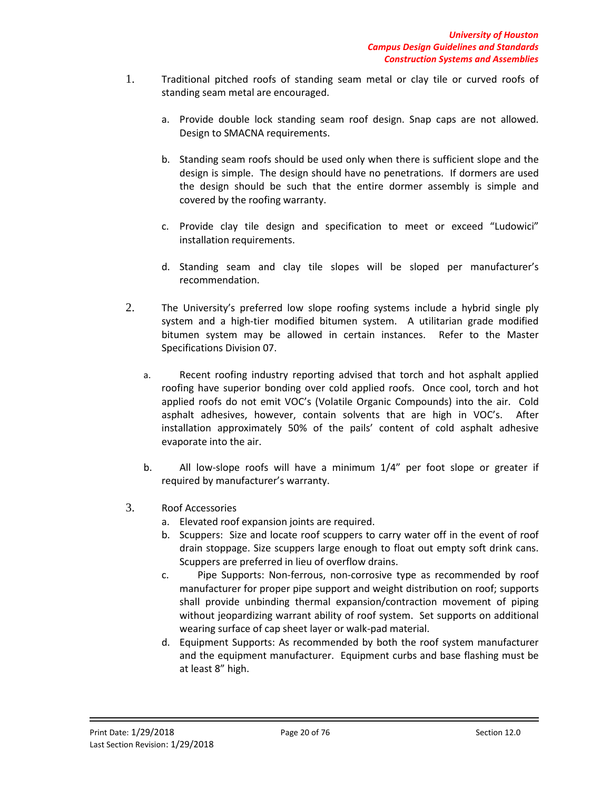- 1. Traditional pitched roofs of standing seam metal or clay tile or curved roofs of standing seam metal are encouraged.
	- a. Provide double lock standing seam roof design. Snap caps are not allowed. Design to SMACNA requirements.
	- b. Standing seam roofs should be used only when there is sufficient slope and the design is simple. The design should have no penetrations. If dormers are used the design should be such that the entire dormer assembly is simple and covered by the roofing warranty.
	- c. Provide clay tile design and specification to meet or exceed "Ludowici" installation requirements.
	- d. Standing seam and clay tile slopes will be sloped per manufacturer's recommendation.
- 2. The University's preferred low slope roofing systems include a hybrid single ply system and a high-tier modified bitumen system. A utilitarian grade modified bitumen system may be allowed in certain instances. Refer to the Master Specifications Division 07.
	- a. Recent roofing industry reporting advised that torch and hot asphalt applied roofing have superior bonding over cold applied roofs. Once cool, torch and hot applied roofs do not emit VOC's (Volatile Organic Compounds) into the air. Cold asphalt adhesives, however, contain solvents that are high in VOC's. After installation approximately 50% of the pails' content of cold asphalt adhesive evaporate into the air.
	- b. All low-slope roofs will have a minimum 1/4" per foot slope or greater if required by manufacturer's warranty.
- 3. Roof Accessories
	- a. Elevated roof expansion joints are required.
	- b. Scuppers: Size and locate roof scuppers to carry water off in the event of roof drain stoppage. Size scuppers large enough to float out empty soft drink cans. Scuppers are preferred in lieu of overflow drains.
	- c. Pipe Supports: Non-ferrous, non-corrosive type as recommended by roof manufacturer for proper pipe support and weight distribution on roof; supports shall provide unbinding thermal expansion/contraction movement of piping without jeopardizing warrant ability of roof system. Set supports on additional wearing surface of cap sheet layer or walk-pad material.
	- d. Equipment Supports: As recommended by both the roof system manufacturer and the equipment manufacturer. Equipment curbs and base flashing must be at least 8" high.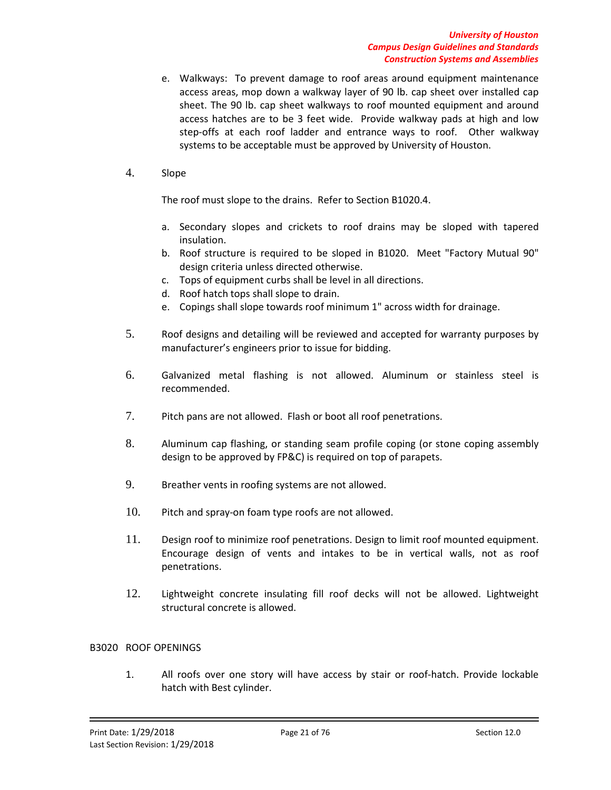- e. Walkways: To prevent damage to roof areas around equipment maintenance access areas, mop down a walkway layer of 90 lb. cap sheet over installed cap sheet. The 90 lb. cap sheet walkways to roof mounted equipment and around access hatches are to be 3 feet wide. Provide walkway pads at high and low step-offs at each roof ladder and entrance ways to roof. Other walkway systems to be acceptable must be approved by University of Houston.
- 4. Slope

The roof must slope to the drains. Refer to Section B1020.4.

- a. Secondary slopes and crickets to roof drains may be sloped with tapered insulation.
- b. Roof structure is required to be sloped in B1020. Meet "Factory Mutual 90" design criteria unless directed otherwise.
- c. Tops of equipment curbs shall be level in all directions.
- d. Roof hatch tops shall slope to drain.
- e. Copings shall slope towards roof minimum 1" across width for drainage.
- 5. Roof designs and detailing will be reviewed and accepted for warranty purposes by manufacturer's engineers prior to issue for bidding.
- 6. Galvanized metal flashing is not allowed. Aluminum or stainless steel is recommended.
- 7. Pitch pans are not allowed. Flash or boot all roof penetrations.
- 8. Aluminum cap flashing, or standing seam profile coping (or stone coping assembly design to be approved by FP&C) is required on top of parapets.
- 9. Breather vents in roofing systems are not allowed.
- 10. Pitch and spray-on foam type roofs are not allowed.
- 11. Design roof to minimize roof penetrations. Design to limit roof mounted equipment. Encourage design of vents and intakes to be in vertical walls, not as roof penetrations.
- 12. Lightweight concrete insulating fill roof decks will not be allowed. Lightweight structural concrete is allowed.

### B3020 ROOF OPENINGS

1. All roofs over one story will have access by stair or roof-hatch. Provide lockable hatch with Best cylinder.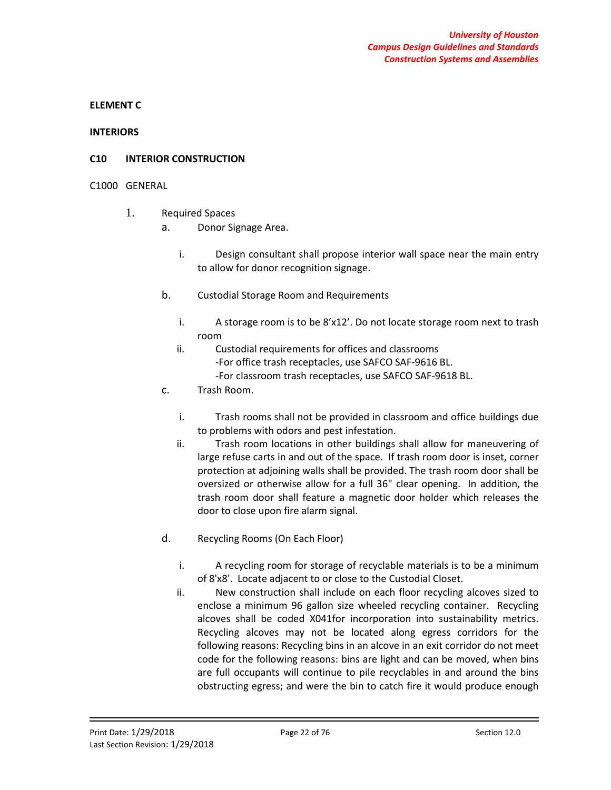### **ELEMENT C**

#### **INTERIORS**

### **C10 INTERIOR CONSTRUCTION**

### C1000 GENERAL

- 1. Required Spaces
	- a. Donor Signage Area.
		- i. Design consultant shall propose interior wall space near the main entry to allow for donor recognition signage.
	- b. Custodial Storage Room and Requirements
		- i. A storage room is to be 8'x12'. Do not locate storage room next to trash room
		- ii. Custodial requirements for offices and classrooms -For office trash receptacles, use SAFCO SAF-9616 BL. -For classroom trash receptacles, use SAFCO SAF-9618 BL.
	- c. Trash Room.
		- i. Trash rooms shall not be provided in classroom and office buildings due to problems with odors and pest infestation.
		- ii. Trash room locations in other buildings shall allow for maneuvering of large refuse carts in and out of the space. If trash room door is inset, corner protection at adjoining walls shall be provided. The trash room door shall be oversized or otherwise allow for a full 36" clear opening. In addition, the trash room door shall feature a magnetic door holder which releases the door to close upon fire alarm signal.
	- d. Recycling Rooms (On Each Floor)
		- i. A recycling room for storage of recyclable materials is to be a minimum of 8'x8'. Locate adjacent to or close to the Custodial Closet.
		- ii. New construction shall include on each floor recycling alcoves sized to enclose a minimum 96 gallon size wheeled recycling container. Recycling alcoves shall be coded X041for incorporation into sustainability metrics. Recycling alcoves may not be located along egress corridors for the following reasons: Recycling bins in an alcove in an exit corridor do not meet code for the following reasons: bins are light and can be moved, when bins are full occupants will continue to pile recyclables in and around the bins obstructing egress; and were the bin to catch fire it would produce enough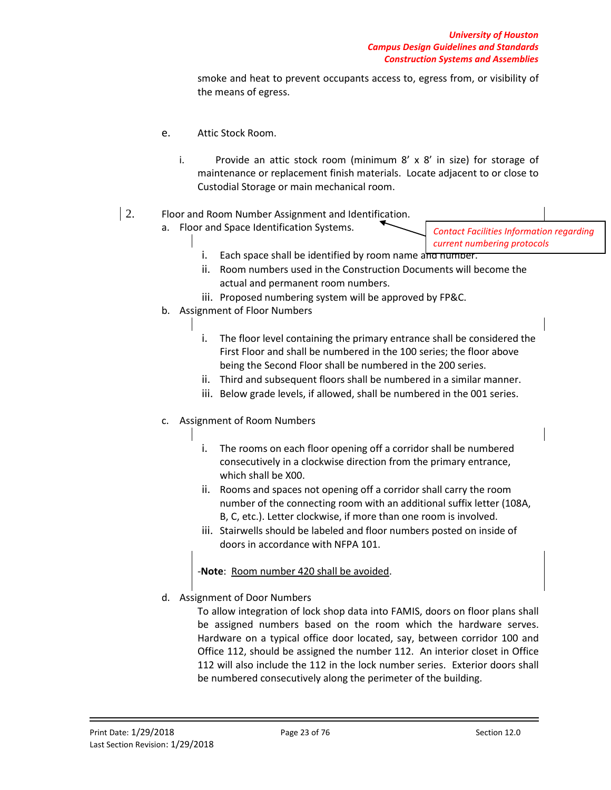smoke and heat to prevent occupants access to, egress from, or visibility of the means of egress.

- e. Attic Stock Room.
	- i. Provide an attic stock room (minimum 8' x 8' in size) for storage of maintenance or replacement finish materials. Locate adjacent to or close to Custodial Storage or main mechanical room.

# 2. Floor and Room Number Assignment and Identification.

- a. Floor and Space Identification Systems.
- *Contact Facilities Information regarding current numbering protocols*
- i. Each space shall be identified by room name and number.
- ii. Room numbers used in the Construction Documents will become the actual and permanent room numbers.
- iii. Proposed numbering system will be approved by FP&C.
- b. Assignment of Floor Numbers
	- i. The floor level containing the primary entrance shall be considered the First Floor and shall be numbered in the 100 series; the floor above being the Second Floor shall be numbered in the 200 series.
	- ii. Third and subsequent floors shall be numbered in a similar manner.
	- iii. Below grade levels, if allowed, shall be numbered in the 001 series.
- c. Assignment of Room Numbers
	- i. The rooms on each floor opening off a corridor shall be numbered consecutively in a clockwise direction from the primary entrance, which shall be X00.
	- ii. Rooms and spaces not opening off a corridor shall carry the room number of the connecting room with an additional suffix letter (108A, B, C, etc.). Letter clockwise, if more than one room is involved.
	- iii. Stairwells should be labeled and floor numbers posted on inside of doors in accordance with NFPA 101.

-**Note**: Room number 420 shall be avoided.

d. Assignment of Door Numbers

To allow integration of lock shop data into FAMIS, doors on floor plans shall be assigned numbers based on the room which the hardware serves. Hardware on a typical office door located, say, between corridor 100 and Office 112, should be assigned the number 112. An interior closet in Office 112 will also include the 112 in the lock number series. Exterior doors shall be numbered consecutively along the perimeter of the building.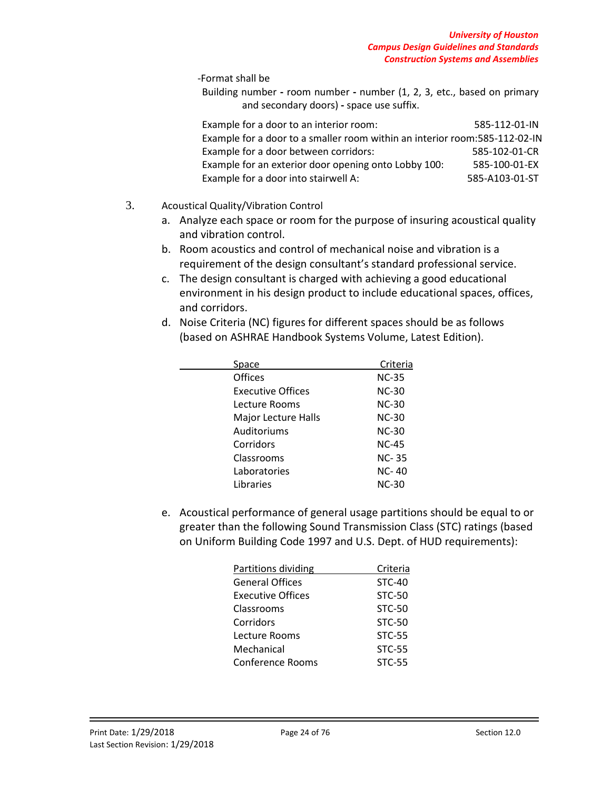-Format shall be

Building number **-** room number **-** number (1, 2, 3, etc., based on primary and secondary doors) **-** space use suffix.

| Example for a door to an interior room:                                    | 585-112-01-IN  |  |  |  |
|----------------------------------------------------------------------------|----------------|--|--|--|
| Example for a door to a smaller room within an interior room:585-112-02-IN |                |  |  |  |
| Example for a door between corridors:                                      | 585-102-01-CR  |  |  |  |
| Example for an exterior door opening onto Lobby 100:                       | 585-100-01-EX  |  |  |  |
| Example for a door into stairwell A:                                       | 585-A103-01-ST |  |  |  |

# 3. Acoustical Quality/Vibration Control

- a. Analyze each space or room for the purpose of insuring acoustical quality and vibration control.
- b. Room acoustics and control of mechanical noise and vibration is a requirement of the design consultant's standard professional service.
- c. The design consultant is charged with achieving a good educational environment in his design product to include educational spaces, offices, and corridors.
- d. Noise Criteria (NC) figures for different spaces should be as follows (based on ASHRAE Handbook Systems Volume, Latest Edition).

| Space                      | Criteria     |
|----------------------------|--------------|
| <b>Offices</b>             | <b>NC-35</b> |
| Executive Offices          | <b>NC-30</b> |
| Lecture Rooms              | $NC-30$      |
| <b>Major Lecture Halls</b> | NC-30        |
| Auditoriums                | <b>NC-30</b> |
| Corridors                  | <b>NC-45</b> |
| Classrooms                 | <b>NC-35</b> |
| Laboratories               | NC-40        |
| Libraries                  | <b>NC-30</b> |
|                            |              |

e. Acoustical performance of general usage partitions should be equal to or greater than the following Sound Transmission Class (STC) ratings (based on Uniform Building Code 1997 and U.S. Dept. of HUD requirements):

| Partitions dividing      | Criteria      |
|--------------------------|---------------|
| <b>General Offices</b>   | $STC-40$      |
| <b>Executive Offices</b> | $STC-50$      |
| Classrooms               | $STC-50$      |
| Corridors                | $STC-50$      |
| Lecture Rooms            | <b>STC-55</b> |
| Mechanical               | <b>STC-55</b> |
| <b>Conference Rooms</b>  | <b>STC-55</b> |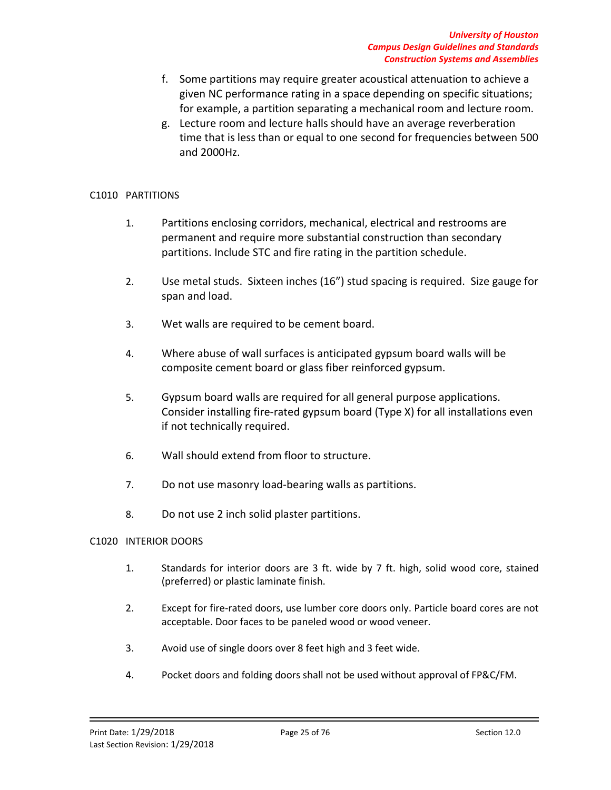- f. Some partitions may require greater acoustical attenuation to achieve a given NC performance rating in a space depending on specific situations; for example, a partition separating a mechanical room and lecture room.
- g. Lecture room and lecture halls should have an average reverberation time that is less than or equal to one second for frequencies between 500 and 2000Hz.

# C1010 PARTITIONS

- 1. Partitions enclosing corridors, mechanical, electrical and restrooms are permanent and require more substantial construction than secondary partitions. Include STC and fire rating in the partition schedule.
- 2. Use metal studs. Sixteen inches (16") stud spacing is required. Size gauge for span and load.
- 3. Wet walls are required to be cement board.
- 4. Where abuse of wall surfaces is anticipated gypsum board walls will be composite cement board or glass fiber reinforced gypsum.
- 5. Gypsum board walls are required for all general purpose applications. Consider installing fire-rated gypsum board (Type X) for all installations even if not technically required.
- 6. Wall should extend from floor to structure.
- 7. Do not use masonry load-bearing walls as partitions.
- 8. Do not use 2 inch solid plaster partitions.

# C1020 INTERIOR DOORS

- 1. Standards for interior doors are 3 ft. wide by 7 ft. high, solid wood core, stained (preferred) or plastic laminate finish.
- 2. Except for fire-rated doors, use lumber core doors only. Particle board cores are not acceptable. Door faces to be paneled wood or wood veneer.
- 3. Avoid use of single doors over 8 feet high and 3 feet wide.
- 4. Pocket doors and folding doors shall not be used without approval of FP&C/FM.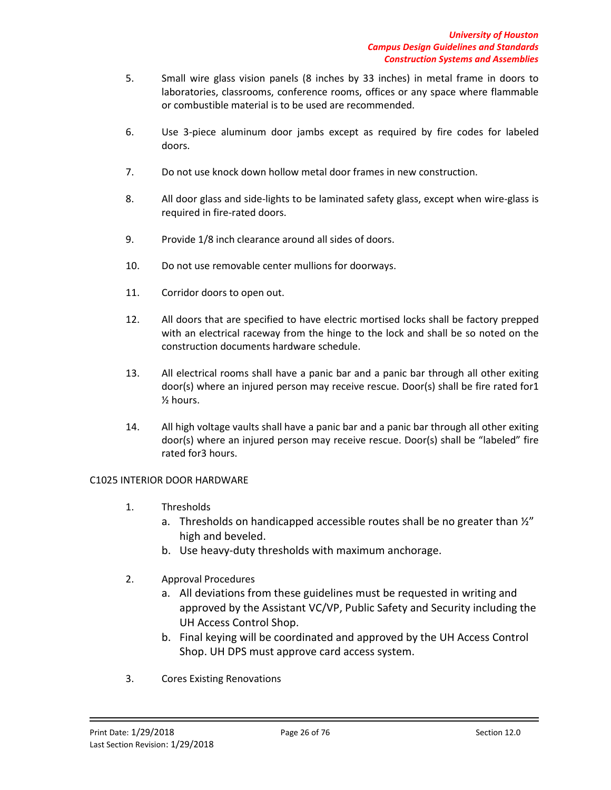- 5. Small wire glass vision panels (8 inches by 33 inches) in metal frame in doors to laboratories, classrooms, conference rooms, offices or any space where flammable or combustible material is to be used are recommended.
- 6. Use 3-piece aluminum door jambs except as required by fire codes for labeled doors.
- 7. Do not use knock down hollow metal door frames in new construction.
- 8. All door glass and side-lights to be laminated safety glass, except when wire-glass is required in fire-rated doors.
- 9. Provide 1/8 inch clearance around all sides of doors.
- 10. Do not use removable center mullions for doorways.
- 11. Corridor doors to open out.
- 12. All doors that are specified to have electric mortised locks shall be factory prepped with an electrical raceway from the hinge to the lock and shall be so noted on the construction documents hardware schedule.
- 13. All electrical rooms shall have a panic bar and a panic bar through all other exiting door(s) where an injured person may receive rescue. Door(s) shall be fire rated for1 ½ hours.
- 14. All high voltage vaults shall have a panic bar and a panic bar through all other exiting door(s) where an injured person may receive rescue. Door(s) shall be "labeled" fire rated for3 hours.

### C1025 INTERIOR DOOR HARDWARE

- 1. Thresholds
	- a. Thresholds on handicapped accessible routes shall be no greater than  $\frac{1}{2}$ " high and beveled.
	- b. Use heavy-duty thresholds with maximum anchorage.
- 2. Approval Procedures
	- a. All deviations from these guidelines must be requested in writing and approved by the Assistant VC/VP, Public Safety and Security including the UH Access Control Shop.
	- b. Final keying will be coordinated and approved by the UH Access Control Shop. UH DPS must approve card access system.
- 3. Cores Existing Renovations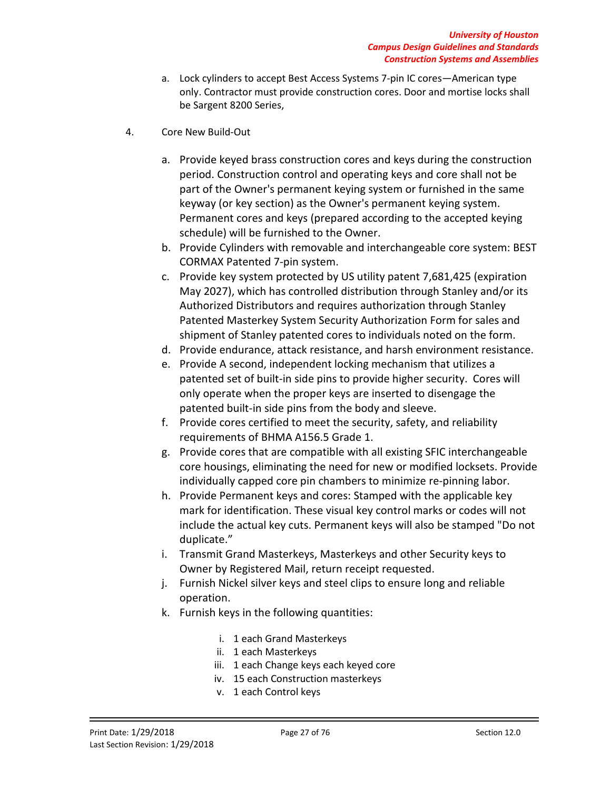- a. Lock cylinders to accept Best Access Systems 7-pin IC cores—American type only. Contractor must provide construction cores. Door and mortise locks shall be Sargent 8200 Series,
- 4. Core New Build-Out
	- a. Provide keyed brass construction cores and keys during the construction period. Construction control and operating keys and core shall not be part of the Owner's permanent keying system or furnished in the same keyway (or key section) as the Owner's permanent keying system. Permanent cores and keys (prepared according to the accepted keying schedule) will be furnished to the Owner.
	- b. Provide Cylinders with removable and interchangeable core system: BEST CORMAX Patented 7-pin system.
	- c. Provide key system protected by US utility patent 7,681,425 (expiration May 2027), which has controlled distribution through Stanley and/or its Authorized Distributors and requires authorization through Stanley Patented Masterkey System Security Authorization Form for sales and shipment of Stanley patented cores to individuals noted on the form.
	- d. Provide endurance, attack resistance, and harsh environment resistance.
	- e. Provide A second, independent locking mechanism that utilizes a patented set of built-in side pins to provide higher security. Cores will only operate when the proper keys are inserted to disengage the patented built-in side pins from the body and sleeve.
	- f. Provide cores certified to meet the security, safety, and reliability requirements of BHMA A156.5 Grade 1.
	- g. Provide cores that are compatible with all existing SFIC interchangeable core housings, eliminating the need for new or modified locksets. Provide individually capped core pin chambers to minimize re-pinning labor.
	- h. Provide Permanent keys and cores: Stamped with the applicable key mark for identification. These visual key control marks or codes will not include the actual key cuts. Permanent keys will also be stamped "Do not duplicate."
	- i. Transmit Grand Masterkeys, Masterkeys and other Security keys to Owner by Registered Mail, return receipt requested.
	- j. Furnish Nickel silver keys and steel clips to ensure long and reliable operation.
	- k. Furnish keys in the following quantities:
		- i. 1 each Grand Masterkeys
		- ii. 1 each Masterkeys
		- iii. 1 each Change keys each keyed core
		- iv. 15 each Construction masterkeys
		- v. 1 each Control keys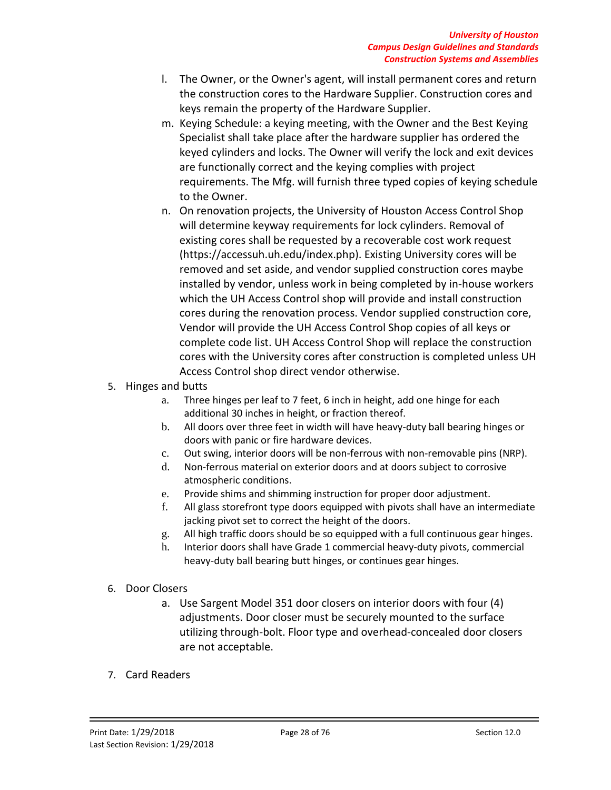- l. The Owner, or the Owner's agent, will install permanent cores and return the construction cores to the Hardware Supplier. Construction cores and keys remain the property of the Hardware Supplier.
- m. Keying Schedule: a keying meeting, with the Owner and the Best Keying Specialist shall take place after the hardware supplier has ordered the keyed cylinders and locks. The Owner will verify the lock and exit devices are functionally correct and the keying complies with project requirements. The Mfg. will furnish three typed copies of keying schedule to the Owner.
- n. On renovation projects, the University of Houston Access Control Shop will determine keyway requirements for lock cylinders. Removal of existing cores shall be requested by a recoverable cost work request (https://accessuh.uh.edu/index.php). Existing University cores will be removed and set aside, and vendor supplied construction cores maybe installed by vendor, unless work in being completed by in-house workers which the UH Access Control shop will provide and install construction cores during the renovation process. Vendor supplied construction core, Vendor will provide the UH Access Control Shop copies of all keys or complete code list. UH Access Control Shop will replace the construction cores with the University cores after construction is completed unless UH Access Control shop direct vendor otherwise.
- 5. Hinges and butts
	- a. Three hinges per leaf to 7 feet, 6 inch in height, add one hinge for each additional 30 inches in height, or fraction thereof.
	- b. All doors over three feet in width will have heavy-duty ball bearing hinges or doors with panic or fire hardware devices.
	- c. Out swing, interior doors will be non-ferrous with non-removable pins (NRP).
	- d. Non-ferrous material on exterior doors and at doors subject to corrosive atmospheric conditions.
	- e. Provide shims and shimming instruction for proper door adjustment.
	- f. All glass storefront type doors equipped with pivots shall have an intermediate jacking pivot set to correct the height of the doors.
	- g. All high traffic doors should be so equipped with a full continuous gear hinges.
	- h. Interior doors shall have Grade 1 commercial heavy-duty pivots, commercial heavy-duty ball bearing butt hinges, or continues gear hinges.
- 6. Door Closers
	- a. Use Sargent Model 351 door closers on interior doors with four (4) adjustments. Door closer must be securely mounted to the surface utilizing through-bolt. Floor type and overhead-concealed door closers are not acceptable.
- 7. Card Readers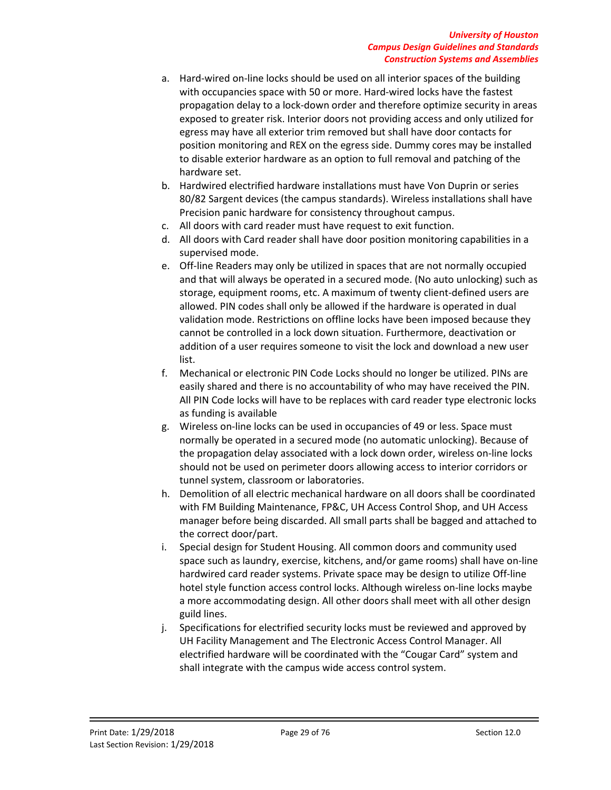- a. Hard-wired on-line locks should be used on all interior spaces of the building with occupancies space with 50 or more. Hard-wired locks have the fastest propagation delay to a lock-down order and therefore optimize security in areas exposed to greater risk. Interior doors not providing access and only utilized for egress may have all exterior trim removed but shall have door contacts for position monitoring and REX on the egress side. Dummy cores may be installed to disable exterior hardware as an option to full removal and patching of the hardware set.
- b. Hardwired electrified hardware installations must have Von Duprin or series 80/82 Sargent devices (the campus standards). Wireless installations shall have Precision panic hardware for consistency throughout campus.
- c. All doors with card reader must have request to exit function.
- d. All doors with Card reader shall have door position monitoring capabilities in a supervised mode.
- e. Off-line Readers may only be utilized in spaces that are not normally occupied and that will always be operated in a secured mode. (No auto unlocking) such as storage, equipment rooms, etc. A maximum of twenty client-defined users are allowed. PIN codes shall only be allowed if the hardware is operated in dual validation mode. Restrictions on offline locks have been imposed because they cannot be controlled in a lock down situation. Furthermore, deactivation or addition of a user requires someone to visit the lock and download a new user list.
- f. Mechanical or electronic PIN Code Locks should no longer be utilized. PINs are easily shared and there is no accountability of who may have received the PIN. All PIN Code locks will have to be replaces with card reader type electronic locks as funding is available
- g. Wireless on-line locks can be used in occupancies of 49 or less. Space must normally be operated in a secured mode (no automatic unlocking). Because of the propagation delay associated with a lock down order, wireless on-line locks should not be used on perimeter doors allowing access to interior corridors or tunnel system, classroom or laboratories.
- h. Demolition of all electric mechanical hardware on all doors shall be coordinated with FM Building Maintenance, FP&C, UH Access Control Shop, and UH Access manager before being discarded. All small parts shall be bagged and attached to the correct door/part.
- i. Special design for Student Housing. All common doors and community used space such as laundry, exercise, kitchens, and/or game rooms) shall have on-line hardwired card reader systems. Private space may be design to utilize Off-line hotel style function access control locks. Although wireless on-line locks maybe a more accommodating design. All other doors shall meet with all other design guild lines.
- j. Specifications for electrified security locks must be reviewed and approved by UH Facility Management and The Electronic Access Control Manager. All electrified hardware will be coordinated with the "Cougar Card" system and shall integrate with the campus wide access control system.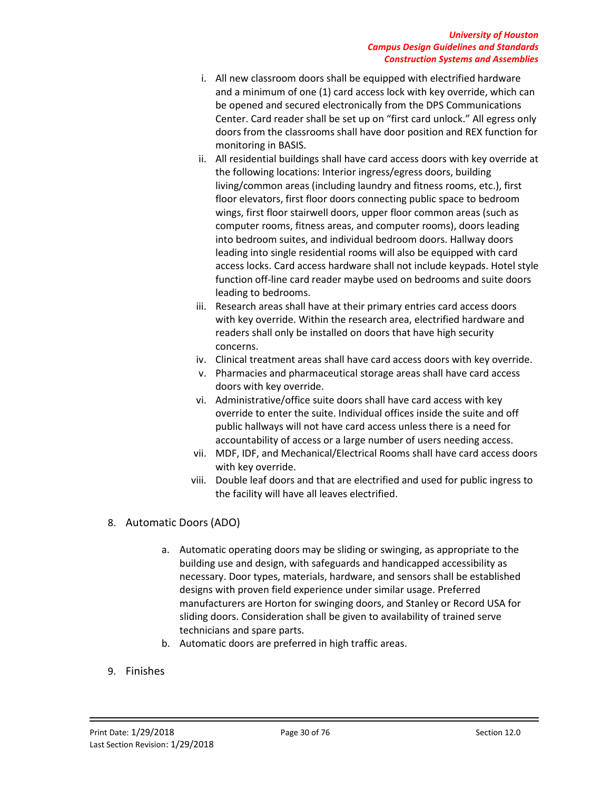### *University of Houston Campus Design Guidelines and Standards Construction Systems and Assemblies*

- i. All new classroom doors shall be equipped with electrified hardware and a minimum of one (1) card access lock with key override, which can be opened and secured electronically from the DPS Communications Center. Card reader shall be set up on "first card unlock." All egress only doors from the classrooms shall have door position and REX function for monitoring in BASIS.
- ii. All residential buildings shall have card access doors with key override at the following locations: Interior ingress/egress doors, building living/common areas (including laundry and fitness rooms, etc.), first floor elevators, first floor doors connecting public space to bedroom wings, first floor stairwell doors, upper floor common areas (such as computer rooms, fitness areas, and computer rooms), doors leading into bedroom suites, and individual bedroom doors. Hallway doors leading into single residential rooms will also be equipped with card access locks. Card access hardware shall not include keypads. Hotel style function off-line card reader maybe used on bedrooms and suite doors leading to bedrooms.
- iii. Research areas shall have at their primary entries card access doors with key override. Within the research area, electrified hardware and readers shall only be installed on doors that have high security concerns.
- iv. Clinical treatment areas shall have card access doors with key override.
- v. Pharmacies and pharmaceutical storage areas shall have card access doors with key override.
- vi. Administrative/office suite doors shall have card access with key override to enter the suite. Individual offices inside the suite and off public hallways will not have card access unless there is a need for accountability of access or a large number of users needing access.
- vii. MDF, IDF, and Mechanical/Electrical Rooms shall have card access doors with key override.
- viii. Double leaf doors and that are electrified and used for public ingress to the facility will have all leaves electrified.
- 8. Automatic Doors (ADO)
	- a. Automatic operating doors may be sliding or swinging, as appropriate to the building use and design, with safeguards and handicapped accessibility as necessary. Door types, materials, hardware, and sensors shall be established designs with proven field experience under similar usage. Preferred manufacturers are Horton for swinging doors, and Stanley or Record USA for sliding doors. Consideration shall be given to availability of trained serve technicians and spare parts.
	- b. Automatic doors are preferred in high traffic areas.
- 9. Finishes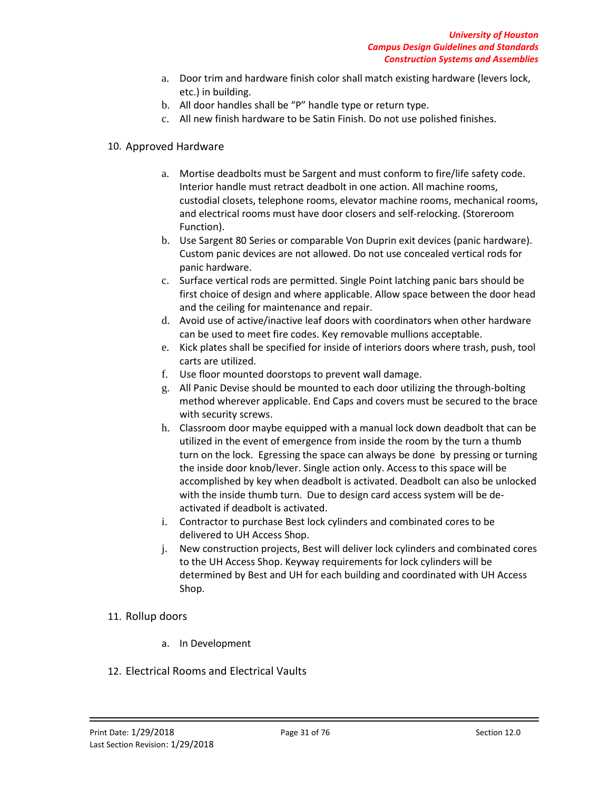- a. Door trim and hardware finish color shall match existing hardware (levers lock, etc.) in building.
- b. All door handles shall be "P" handle type or return type.
- c. All new finish hardware to be Satin Finish. Do not use polished finishes.

# 10. Approved Hardware

- a. Mortise deadbolts must be Sargent and must conform to fire/life safety code. Interior handle must retract deadbolt in one action. All machine rooms, custodial closets, telephone rooms, elevator machine rooms, mechanical rooms, and electrical rooms must have door closers and self-relocking. (Storeroom Function).
- b. Use Sargent 80 Series or comparable Von Duprin exit devices (panic hardware). Custom panic devices are not allowed. Do not use concealed vertical rods for panic hardware.
- c. Surface vertical rods are permitted. Single Point latching panic bars should be first choice of design and where applicable. Allow space between the door head and the ceiling for maintenance and repair.
- d. Avoid use of active/inactive leaf doors with coordinators when other hardware can be used to meet fire codes. Key removable mullions acceptable.
- e. Kick plates shall be specified for inside of interiors doors where trash, push, tool carts are utilized.
- f. Use floor mounted doorstops to prevent wall damage.
- g. All Panic Devise should be mounted to each door utilizing the through-bolting method wherever applicable. End Caps and covers must be secured to the brace with security screws.
- h. Classroom door maybe equipped with a manual lock down deadbolt that can be utilized in the event of emergence from inside the room by the turn a thumb turn on the lock. Egressing the space can always be done by pressing or turning the inside door knob/lever. Single action only. Access to this space will be accomplished by key when deadbolt is activated. Deadbolt can also be unlocked with the inside thumb turn. Due to design card access system will be deactivated if deadbolt is activated.
- i. Contractor to purchase Best lock cylinders and combinated cores to be delivered to UH Access Shop.
- j. New construction projects, Best will deliver lock cylinders and combinated cores to the UH Access Shop. Keyway requirements for lock cylinders will be determined by Best and UH for each building and coordinated with UH Access Shop.

# 11. Rollup doors

- a. In Development
- 12. Electrical Rooms and Electrical Vaults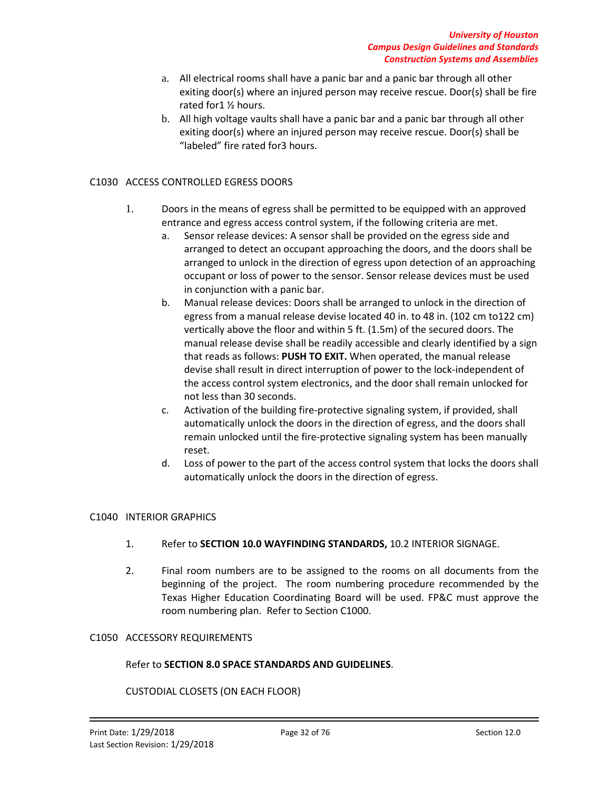- a. All electrical rooms shall have a panic bar and a panic bar through all other exiting door(s) where an injured person may receive rescue. Door(s) shall be fire rated for1 ½ hours.
- b. All high voltage vaults shall have a panic bar and a panic bar through all other exiting door(s) where an injured person may receive rescue. Door(s) shall be "labeled" fire rated for3 hours.

### C1030 ACCESS CONTROLLED EGRESS DOORS

- 1. Doors in the means of egress shall be permitted to be equipped with an approved entrance and egress access control system, if the following criteria are met.
	- a. Sensor release devices: A sensor shall be provided on the egress side and arranged to detect an occupant approaching the doors, and the doors shall be arranged to unlock in the direction of egress upon detection of an approaching occupant or loss of power to the sensor. Sensor release devices must be used in conjunction with a panic bar.
	- b. Manual release devices: Doors shall be arranged to unlock in the direction of egress from a manual release devise located 40 in. to 48 in. (102 cm to122 cm) vertically above the floor and within 5 ft. (1.5m) of the secured doors. The manual release devise shall be readily accessible and clearly identified by a sign that reads as follows: **PUSH TO EXIT.** When operated, the manual release devise shall result in direct interruption of power to the lock-independent of the access control system electronics, and the door shall remain unlocked for not less than 30 seconds.
	- c. Activation of the building fire-protective signaling system, if provided, shall automatically unlock the doors in the direction of egress, and the doors shall remain unlocked until the fire-protective signaling system has been manually reset.
	- d. Loss of power to the part of the access control system that locks the doors shall automatically unlock the doors in the direction of egress.

#### C1040 INTERIOR GRAPHICS

- 1. Refer to **SECTION 10.0 WAYFINDING STANDARDS,** 10.2 INTERIOR SIGNAGE.
- 2. Final room numbers are to be assigned to the rooms on all documents from the beginning of the project. The room numbering procedure recommended by the Texas Higher Education Coordinating Board will be used. FP&C must approve the room numbering plan. Refer to Section C1000.

#### C1050 ACCESSORY REQUIREMENTS

#### Refer to **SECTION 8.0 SPACE STANDARDS AND GUIDELINES**.

#### CUSTODIAL CLOSETS (ON EACH FLOOR)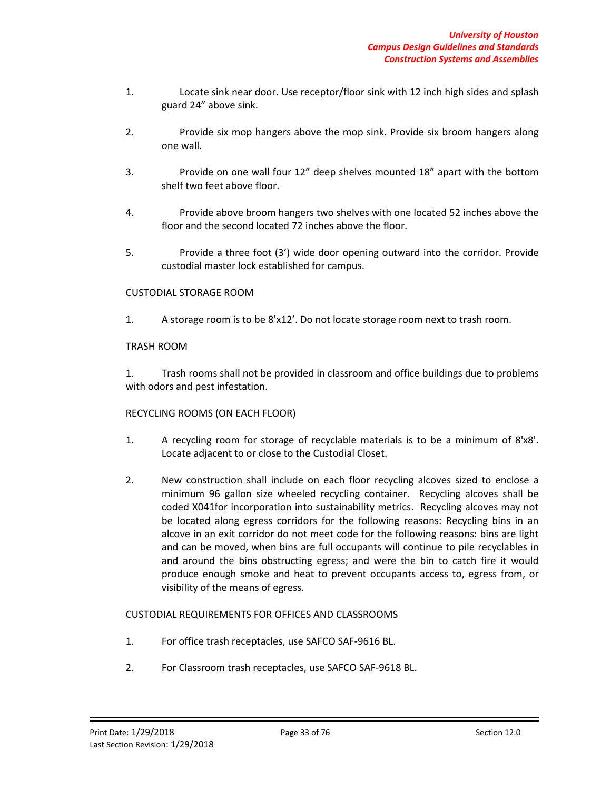- 1. Locate sink near door. Use receptor/floor sink with 12 inch high sides and splash guard 24" above sink.
- 2. Provide six mop hangers above the mop sink. Provide six broom hangers along one wall.
- 3. Provide on one wall four 12" deep shelves mounted 18" apart with the bottom shelf two feet above floor.
- 4. Provide above broom hangers two shelves with one located 52 inches above the floor and the second located 72 inches above the floor.
- 5. Provide a three foot (3') wide door opening outward into the corridor. Provide custodial master lock established for campus.

# CUSTODIAL STORAGE ROOM

1. A storage room is to be 8'x12'. Do not locate storage room next to trash room.

# TRASH ROOM

1. Trash rooms shall not be provided in classroom and office buildings due to problems with odors and pest infestation.

### RECYCLING ROOMS (ON EACH FLOOR)

- 1. A recycling room for storage of recyclable materials is to be a minimum of 8'x8'. Locate adjacent to or close to the Custodial Closet.
- 2. New construction shall include on each floor recycling alcoves sized to enclose a minimum 96 gallon size wheeled recycling container. Recycling alcoves shall be coded X041for incorporation into sustainability metrics. Recycling alcoves may not be located along egress corridors for the following reasons: Recycling bins in an alcove in an exit corridor do not meet code for the following reasons: bins are light and can be moved, when bins are full occupants will continue to pile recyclables in and around the bins obstructing egress; and were the bin to catch fire it would produce enough smoke and heat to prevent occupants access to, egress from, or visibility of the means of egress.

### CUSTODIAL REQUIREMENTS FOR OFFICES AND CLASSROOMS

- 1. For office trash receptacles, use SAFCO SAF-9616 BL.
- 2. For Classroom trash receptacles, use SAFCO SAF-9618 BL.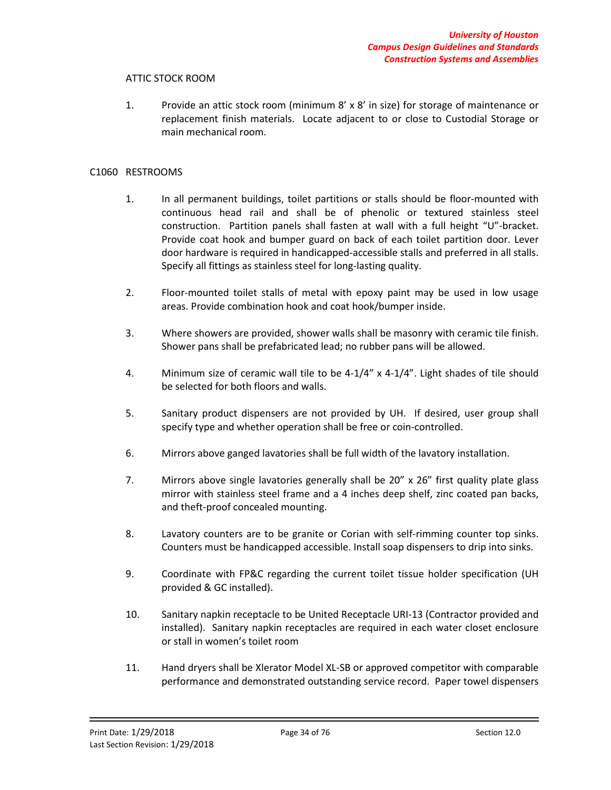### ATTIC STOCK ROOM

1. Provide an attic stock room (minimum 8' x 8' in size) for storage of maintenance or replacement finish materials. Locate adjacent to or close to Custodial Storage or main mechanical room.

#### C1060 RESTROOMS

- 1. In all permanent buildings, toilet partitions or stalls should be floor-mounted with continuous head rail and shall be of phenolic or textured stainless steel construction. Partition panels shall fasten at wall with a full height "U"-bracket. Provide coat hook and bumper guard on back of each toilet partition door. Lever door hardware is required in handicapped-accessible stalls and preferred in all stalls. Specify all fittings as stainless steel for long-lasting quality.
- 2. Floor-mounted toilet stalls of metal with epoxy paint may be used in low usage areas. Provide combination hook and coat hook/bumper inside.
- 3. Where showers are provided, shower walls shall be masonry with ceramic tile finish. Shower pans shall be prefabricated lead; no rubber pans will be allowed.
- 4. Minimum size of ceramic wall tile to be 4-1/4" x 4-1/4". Light shades of tile should be selected for both floors and walls.
- 5. Sanitary product dispensers are not provided by UH. If desired, user group shall specify type and whether operation shall be free or coin-controlled.
- 6. Mirrors above ganged lavatories shall be full width of the lavatory installation.
- 7. Mirrors above single lavatories generally shall be 20" x 26" first quality plate glass mirror with stainless steel frame and a 4 inches deep shelf, zinc coated pan backs, and theft-proof concealed mounting.
- 8. Lavatory counters are to be granite or Corian with self-rimming counter top sinks. Counters must be handicapped accessible. Install soap dispensers to drip into sinks.
- 9. Coordinate with FP&C regarding the current toilet tissue holder specification (UH provided & GC installed).
- 10. Sanitary napkin receptacle to be United Receptacle URI-13 (Contractor provided and installed). Sanitary napkin receptacles are required in each water closet enclosure or stall in women's toilet room
- 11. Hand dryers shall be Xlerator Model XL-SB or approved competitor with comparable performance and demonstrated outstanding service record. Paper towel dispensers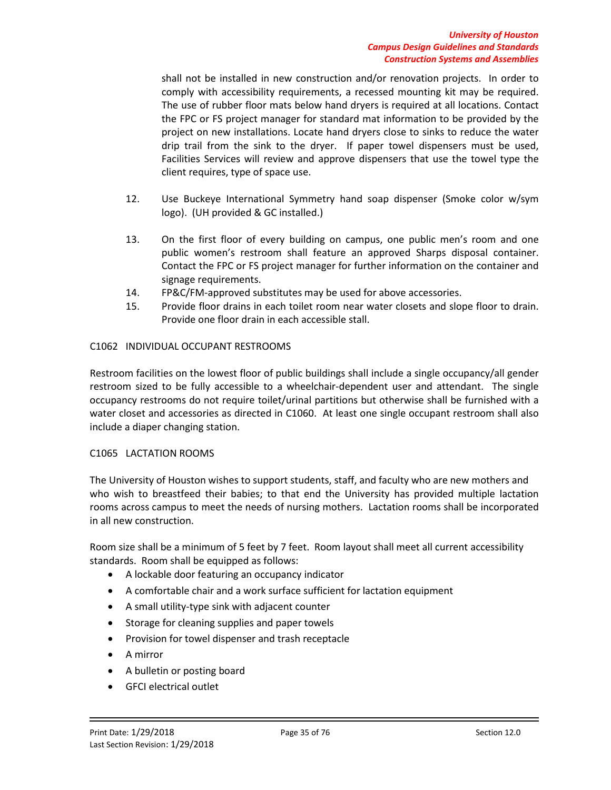shall not be installed in new construction and/or renovation projects. In order to comply with accessibility requirements, a recessed mounting kit may be required. The use of rubber floor mats below hand dryers is required at all locations. Contact the FPC or FS project manager for standard mat information to be provided by the project on new installations. Locate hand dryers close to sinks to reduce the water drip trail from the sink to the dryer. If paper towel dispensers must be used, Facilities Services will review and approve dispensers that use the towel type the client requires, type of space use.

- 12. Use Buckeye International Symmetry hand soap dispenser (Smoke color w/sym logo). (UH provided & GC installed.)
- 13. On the first floor of every building on campus, one public men's room and one public women's restroom shall feature an approved Sharps disposal container. Contact the FPC or FS project manager for further information on the container and signage requirements.
- 14. FP&C/FM-approved substitutes may be used for above accessories.
- 15. Provide floor drains in each toilet room near water closets and slope floor to drain. Provide one floor drain in each accessible stall.

# C1062 INDIVIDUAL OCCUPANT RESTROOMS

Restroom facilities on the lowest floor of public buildings shall include a single occupancy/all gender restroom sized to be fully accessible to a wheelchair-dependent user and attendant. The single occupancy restrooms do not require toilet/urinal partitions but otherwise shall be furnished with a water closet and accessories as directed in C1060. At least one single occupant restroom shall also include a diaper changing station.

### C1065 LACTATION ROOMS

The University of Houston wishes to support students, staff, and faculty who are new mothers and who wish to breastfeed their babies; to that end the University has provided multiple lactation rooms across campus to meet the needs of nursing mothers. Lactation rooms shall be incorporated in all new construction.

Room size shall be a minimum of 5 feet by 7 feet. Room layout shall meet all current accessibility standards. Room shall be equipped as follows:

- A lockable door featuring an occupancy indicator
- A comfortable chair and a work surface sufficient for lactation equipment
- A small utility-type sink with adjacent counter
- Storage for cleaning supplies and paper towels
- Provision for towel dispenser and trash receptacle
- A mirror
- A bulletin or posting board
- GFCI electrical outlet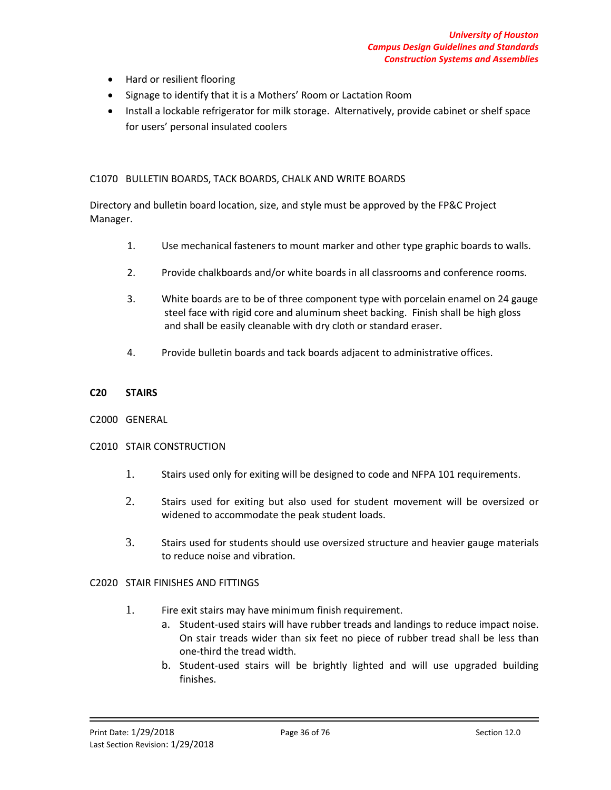- Hard or resilient flooring
- Signage to identify that it is a Mothers' Room or Lactation Room
- Install a lockable refrigerator for milk storage. Alternatively, provide cabinet or shelf space for users' personal insulated coolers

### C1070 BULLETIN BOARDS, TACK BOARDS, CHALK AND WRITE BOARDS

Directory and bulletin board location, size, and style must be approved by the FP&C Project Manager.

- 1. Use mechanical fasteners to mount marker and other type graphic boards to walls.
- 2. Provide chalkboards and/or white boards in all classrooms and conference rooms.
- 3. White boards are to be of three component type with porcelain enamel on 24 gauge steel face with rigid core and aluminum sheet backing. Finish shall be high gloss and shall be easily cleanable with dry cloth or standard eraser.
- 4. Provide bulletin boards and tack boards adjacent to administrative offices.

### **C20 STAIRS**

### C2000 GENERAL

### C2010 STAIR CONSTRUCTION

- 1. Stairs used only for exiting will be designed to code and NFPA 101 requirements.
- 2. Stairs used for exiting but also used for student movement will be oversized or widened to accommodate the peak student loads.
- 3. Stairs used for students should use oversized structure and heavier gauge materials to reduce noise and vibration.

# C2020 STAIR FINISHES AND FITTINGS

- 1. Fire exit stairs may have minimum finish requirement.
	- a. Student-used stairs will have rubber treads and landings to reduce impact noise. On stair treads wider than six feet no piece of rubber tread shall be less than one-third the tread width.
	- b. Student-used stairs will be brightly lighted and will use upgraded building finishes.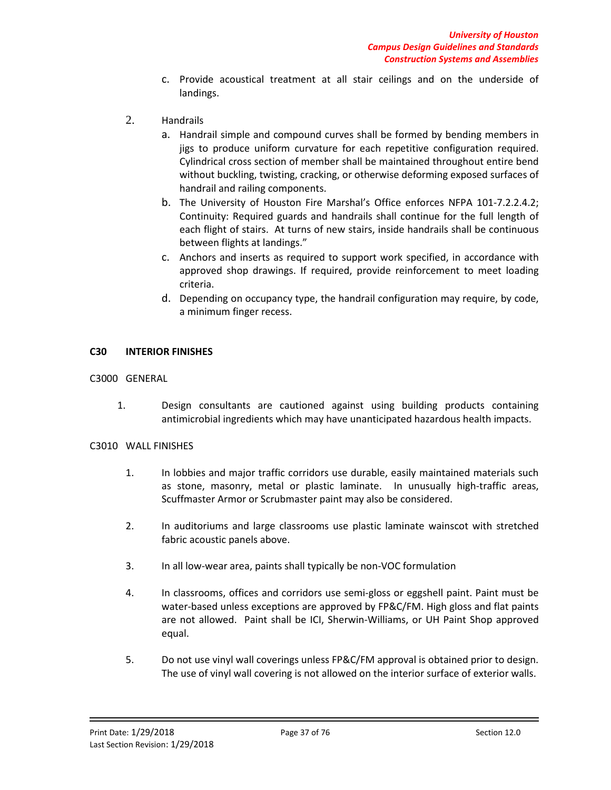- c. Provide acoustical treatment at all stair ceilings and on the underside of landings.
- 2. Handrails
	- a. Handrail simple and compound curves shall be formed by bending members in jigs to produce uniform curvature for each repetitive configuration required. Cylindrical cross section of member shall be maintained throughout entire bend without buckling, twisting, cracking, or otherwise deforming exposed surfaces of handrail and railing components.
	- b. The University of Houston Fire Marshal's Office enforces NFPA 101-7.2.2.4.2; Continuity: Required guards and handrails shall continue for the full length of each flight of stairs. At turns of new stairs, inside handrails shall be continuous between flights at landings."
	- c. Anchors and inserts as required to support work specified, in accordance with approved shop drawings. If required, provide reinforcement to meet loading criteria.
	- d. Depending on occupancy type, the handrail configuration may require, by code, a minimum finger recess.

### **C30 INTERIOR FINISHES**

C3000 GENERAL

1. Design consultants are cautioned against using building products containing antimicrobial ingredients which may have unanticipated hazardous health impacts.

#### C3010 WALL FINISHES

- 1. In lobbies and major traffic corridors use durable, easily maintained materials such as stone, masonry, metal or plastic laminate. In unusually high-traffic areas, Scuffmaster Armor or Scrubmaster paint may also be considered.
- 2. In auditoriums and large classrooms use plastic laminate wainscot with stretched fabric acoustic panels above.
- 3. In all low-wear area, paints shall typically be non-VOC formulation
- 4. In classrooms, offices and corridors use semi-gloss or eggshell paint. Paint must be water-based unless exceptions are approved by FP&C/FM. High gloss and flat paints are not allowed. Paint shall be ICI, Sherwin-Williams, or UH Paint Shop approved equal.
- 5. Do not use vinyl wall coverings unless FP&C/FM approval is obtained prior to design. The use of vinyl wall covering is not allowed on the interior surface of exterior walls.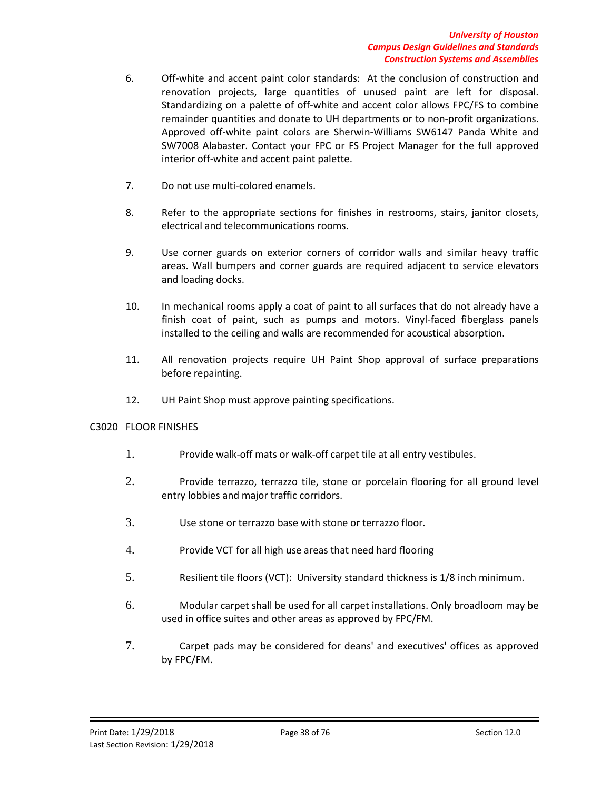- 6. Off-white and accent paint color standards: At the conclusion of construction and renovation projects, large quantities of unused paint are left for disposal. Standardizing on a palette of off-white and accent color allows FPC/FS to combine remainder quantities and donate to UH departments or to non-profit organizations. Approved off-white paint colors are Sherwin-Williams SW6147 Panda White and SW7008 Alabaster. Contact your FPC or FS Project Manager for the full approved interior off-white and accent paint palette.
- 7. Do not use multi-colored enamels.
- 8. Refer to the appropriate sections for finishes in restrooms, stairs, janitor closets, electrical and telecommunications rooms.
- 9. Use corner guards on exterior corners of corridor walls and similar heavy traffic areas. Wall bumpers and corner guards are required adjacent to service elevators and loading docks.
- 10. In mechanical rooms apply a coat of paint to all surfaces that do not already have a finish coat of paint, such as pumps and motors. Vinyl-faced fiberglass panels installed to the ceiling and walls are recommended for acoustical absorption.
- 11. All renovation projects require UH Paint Shop approval of surface preparations before repainting.
- 12. UH Paint Shop must approve painting specifications.

## C3020 FLOOR FINISHES

- 1. Provide walk-off mats or walk-off carpet tile at all entry vestibules.
- 2. Provide terrazzo, terrazzo tile, stone or porcelain flooring for all ground level entry lobbies and major traffic corridors.
- 3. Use stone or terrazzo base with stone or terrazzo floor.
- 4. Provide VCT for all high use areas that need hard flooring
- 5. Resilient tile floors (VCT): University standard thickness is 1/8 inch minimum.
- 6. Modular carpet shall be used for all carpet installations. Only broadloom may be used in office suites and other areas as approved by FPC/FM.
- 7. Carpet pads may be considered for deans' and executives' offices as approved by FPC/FM.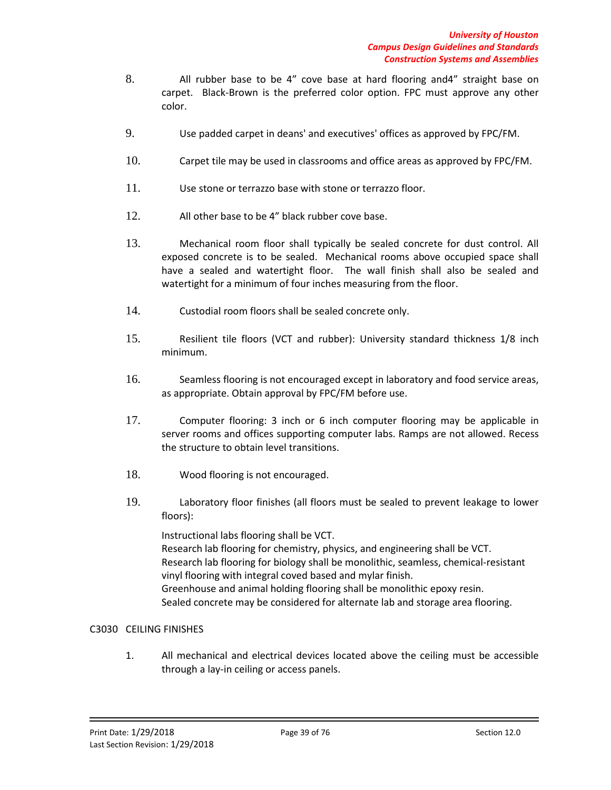- 8. All rubber base to be 4" cove base at hard flooring and4" straight base on carpet. Black-Brown is the preferred color option. FPC must approve any other color.
- 9. Use padded carpet in deans' and executives' offices as approved by FPC/FM.
- 10. Carpet tile may be used in classrooms and office areas as approved by FPC/FM.
- 11. Use stone or terrazzo base with stone or terrazzo floor.
- 12. All other base to be 4" black rubber cove base.
- 13. Mechanical room floor shall typically be sealed concrete for dust control. All exposed concrete is to be sealed. Mechanical rooms above occupied space shall have a sealed and watertight floor. The wall finish shall also be sealed and watertight for a minimum of four inches measuring from the floor.
- 14. Custodial room floors shall be sealed concrete only.
- 15. Resilient tile floors (VCT and rubber): University standard thickness 1/8 inch minimum.
- 16. Seamless flooring is not encouraged except in laboratory and food service areas, as appropriate. Obtain approval by FPC/FM before use.
- 17. Computer flooring: 3 inch or 6 inch computer flooring may be applicable in server rooms and offices supporting computer labs. Ramps are not allowed. Recess the structure to obtain level transitions.
- 18. Wood flooring is not encouraged.
- 19. Laboratory floor finishes (all floors must be sealed to prevent leakage to lower floors):

Instructional labs flooring shall be VCT. Research lab flooring for chemistry, physics, and engineering shall be VCT. Research lab flooring for biology shall be monolithic, seamless, chemical-resistant vinyl flooring with integral coved based and mylar finish. Greenhouse and animal holding flooring shall be monolithic epoxy resin. Sealed concrete may be considered for alternate lab and storage area flooring.

## C3030 CEILING FINISHES

1. All mechanical and electrical devices located above the ceiling must be accessible through a lay-in ceiling or access panels.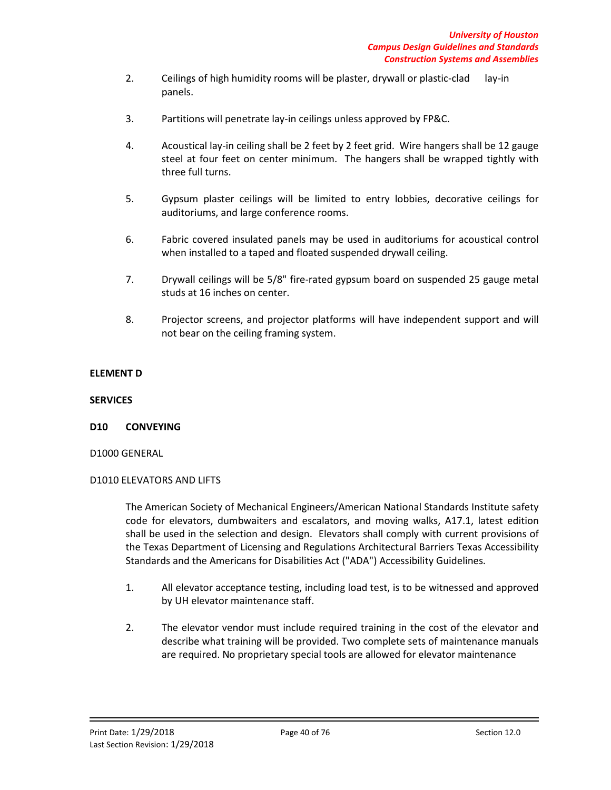- 2. Ceilings of high humidity rooms will be plaster, drywall or plastic-clad lay-in panels.
- 3. Partitions will penetrate lay-in ceilings unless approved by FP&C.
- 4. Acoustical lay-in ceiling shall be 2 feet by 2 feet grid. Wire hangers shall be 12 gauge steel at four feet on center minimum. The hangers shall be wrapped tightly with three full turns.
- 5. Gypsum plaster ceilings will be limited to entry lobbies, decorative ceilings for auditoriums, and large conference rooms.
- 6. Fabric covered insulated panels may be used in auditoriums for acoustical control when installed to a taped and floated suspended drywall ceiling.
- 7. Drywall ceilings will be 5/8" fire-rated gypsum board on suspended 25 gauge metal studs at 16 inches on center.
- 8. Projector screens, and projector platforms will have independent support and will not bear on the ceiling framing system.

# **ELEMENT D**

### **SERVICES**

## **D10 CONVEYING**

## D1000 GENERAL

## D1010 ELEVATORS AND LIFTS

The American Society of Mechanical Engineers/American National Standards Institute safety code for elevators, dumbwaiters and escalators, and moving walks, A17.1, latest edition shall be used in the selection and design. Elevators shall comply with current provisions of the Texas Department of Licensing and Regulations Architectural Barriers Texas Accessibility Standards and the Americans for Disabilities Act ("ADA") Accessibility Guidelines.

- 1. All elevator acceptance testing, including load test, is to be witnessed and approved by UH elevator maintenance staff.
- 2. The elevator vendor must include required training in the cost of the elevator and describe what training will be provided. Two complete sets of maintenance manuals are required. No proprietary special tools are allowed for elevator maintenance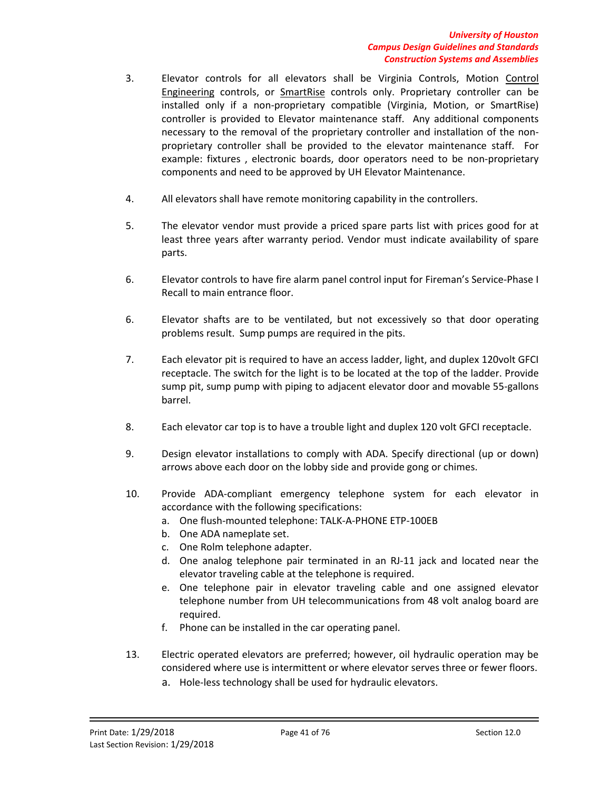- 3. Elevator controls for all elevators shall be Virginia Controls, Motion Control Engineering controls, or SmartRise controls only. Proprietary controller can be installed only if a non-proprietary compatible (Virginia, Motion, or SmartRise) controller is provided to Elevator maintenance staff. Any additional components necessary to the removal of the proprietary controller and installation of the nonproprietary controller shall be provided to the elevator maintenance staff. For example: fixtures , electronic boards, door operators need to be non-proprietary components and need to be approved by UH Elevator Maintenance.
- 4. All elevators shall have remote monitoring capability in the controllers.
- 5. The elevator vendor must provide a priced spare parts list with prices good for at least three years after warranty period. Vendor must indicate availability of spare parts.
- 6. Elevator controls to have fire alarm panel control input for Fireman's Service-Phase I Recall to main entrance floor.
- 6. Elevator shafts are to be ventilated, but not excessively so that door operating problems result. Sump pumps are required in the pits.
- 7. Each elevator pit is required to have an access ladder, light, and duplex 120volt GFCI receptacle. The switch for the light is to be located at the top of the ladder. Provide sump pit, sump pump with piping to adjacent elevator door and movable 55-gallons barrel.
- 8. Each elevator car top is to have a trouble light and duplex 120 volt GFCI receptacle.
- 9. Design elevator installations to comply with ADA. Specify directional (up or down) arrows above each door on the lobby side and provide gong or chimes.
- 10. Provide ADA-compliant emergency telephone system for each elevator in accordance with the following specifications:
	- a. One flush-mounted telephone: TALK-A-PHONE ETP-100EB
	- b. One ADA nameplate set.
	- c. One Rolm telephone adapter.
	- d. One analog telephone pair terminated in an RJ-11 jack and located near the elevator traveling cable at the telephone is required.
	- e. One telephone pair in elevator traveling cable and one assigned elevator telephone number from UH telecommunications from 48 volt analog board are required.
	- f. Phone can be installed in the car operating panel.
- 13. Electric operated elevators are preferred; however, oil hydraulic operation may be considered where use is intermittent or where elevator serves three or fewer floors.
	- a. Hole-less technology shall be used for hydraulic elevators.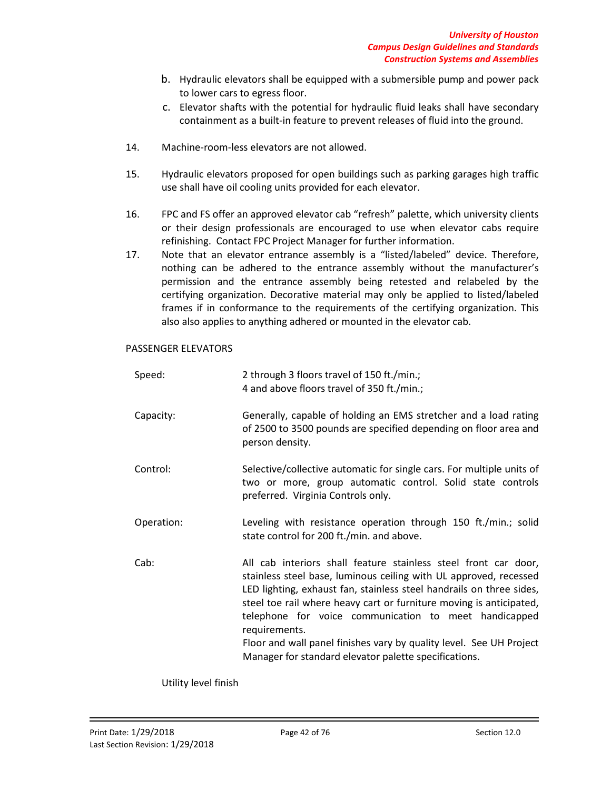- b. Hydraulic elevators shall be equipped with a submersible pump and power pack to lower cars to egress floor.
- c. Elevator shafts with the potential for hydraulic fluid leaks shall have secondary containment as a built-in feature to prevent releases of fluid into the ground.
- 14. Machine-room-less elevators are not allowed.
- 15. Hydraulic elevators proposed for open buildings such as parking garages high traffic use shall have oil cooling units provided for each elevator.
- 16. FPC and FS offer an approved elevator cab "refresh" palette, which university clients or their design professionals are encouraged to use when elevator cabs require refinishing. Contact FPC Project Manager for further information.
- 17. Note that an elevator entrance assembly is a "listed/labeled" device. Therefore, nothing can be adhered to the entrance assembly without the manufacturer's permission and the entrance assembly being retested and relabeled by the certifying organization. Decorative material may only be applied to listed/labeled frames if in conformance to the requirements of the certifying organization. This also also applies to anything adhered or mounted in the elevator cab.

### PASSENGER ELEVATORS

| Speed:     | 2 through 3 floors travel of 150 ft./min.;<br>4 and above floors travel of 350 ft./min.;                                                                                                                                                                                                                                                                                                                                                                                                      |
|------------|-----------------------------------------------------------------------------------------------------------------------------------------------------------------------------------------------------------------------------------------------------------------------------------------------------------------------------------------------------------------------------------------------------------------------------------------------------------------------------------------------|
| Capacity:  | Generally, capable of holding an EMS stretcher and a load rating<br>of 2500 to 3500 pounds are specified depending on floor area and<br>person density.                                                                                                                                                                                                                                                                                                                                       |
| Control:   | Selective/collective automatic for single cars. For multiple units of<br>two or more, group automatic control. Solid state controls<br>preferred. Virginia Controls only.                                                                                                                                                                                                                                                                                                                     |
| Operation: | Leveling with resistance operation through 150 ft./min.; solid<br>state control for 200 ft./min. and above.                                                                                                                                                                                                                                                                                                                                                                                   |
| Cab:       | All cab interiors shall feature stainless steel front car door,<br>stainless steel base, luminous ceiling with UL approved, recessed<br>LED lighting, exhaust fan, stainless steel handrails on three sides,<br>steel toe rail where heavy cart or furniture moving is anticipated,<br>telephone for voice communication to meet handicapped<br>requirements.<br>Floor and wall panel finishes vary by quality level. See UH Project<br>Manager for standard elevator palette specifications. |

Utility level finish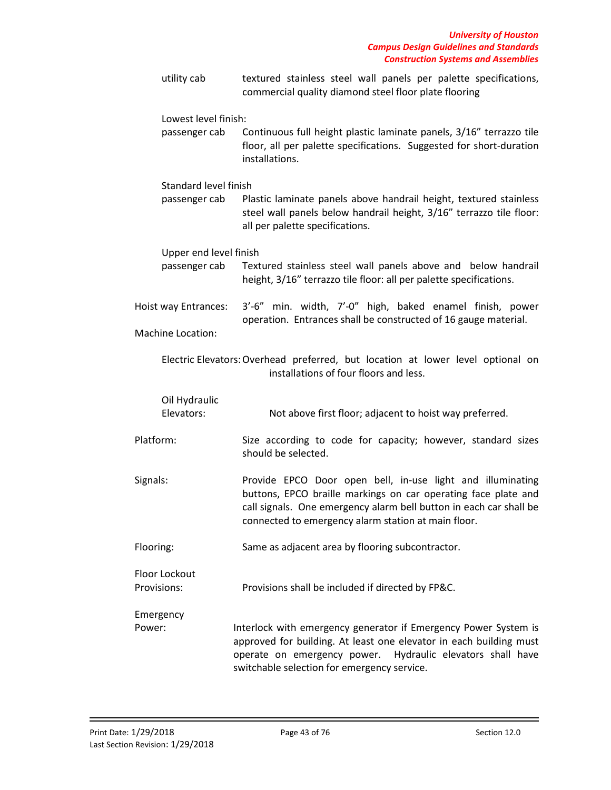| utility cab                               | textured stainless steel wall panels per palette specifications,<br>commercial quality diamond steel floor plate flooring                                                                                                                                 |
|-------------------------------------------|-----------------------------------------------------------------------------------------------------------------------------------------------------------------------------------------------------------------------------------------------------------|
| Lowest level finish:<br>passenger cab     | Continuous full height plastic laminate panels, 3/16" terrazzo tile<br>floor, all per palette specifications. Suggested for short-duration<br>installations.                                                                                              |
| Standard level finish<br>passenger cab    | Plastic laminate panels above handrail height, textured stainless<br>steel wall panels below handrail height, 3/16" terrazzo tile floor:<br>all per palette specifications.                                                                               |
| Upper end level finish<br>passenger cab   | Textured stainless steel wall panels above and below handrail<br>height, 3/16" terrazzo tile floor: all per palette specifications.                                                                                                                       |
| Hoist way Entrances:<br>Machine Location: | 3'-6" min. width, 7'-0" high, baked enamel finish, power<br>operation. Entrances shall be constructed of 16 gauge material.                                                                                                                               |
|                                           | Electric Elevators: Overhead preferred, but location at lower level optional on<br>installations of four floors and less.                                                                                                                                 |
| Oil Hydraulic<br>Elevators:               | Not above first floor; adjacent to hoist way preferred.                                                                                                                                                                                                   |
| Platform:                                 | Size according to code for capacity; however, standard sizes<br>should be selected.                                                                                                                                                                       |
| Signals:                                  | Provide EPCO Door open bell, in-use light and illuminating<br>buttons, EPCO braille markings on car operating face plate and<br>call signals. One emergency alarm bell button in each car shall be<br>connected to emergency alarm station at main floor. |
| Flooring:                                 | Same as adjacent area by flooring subcontractor.                                                                                                                                                                                                          |
| Floor Lockout<br>Provisions:              | Provisions shall be included if directed by FP&C.                                                                                                                                                                                                         |
| Emergency<br>Power:                       | Interlock with emergency generator if Emergency Power System is<br>approved for building. At least one elevator in each building must<br>operate on emergency power.<br>Hydraulic elevators shall have                                                    |

switchable selection for emergency service.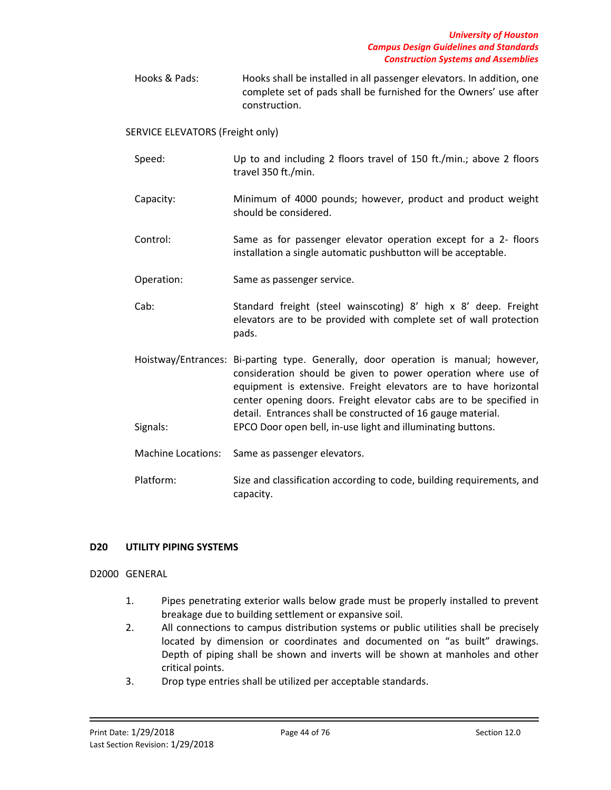Hooks & Pads: Hooks shall be installed in all passenger elevators. In addition, one complete set of pads shall be furnished for the Owners' use after construction.

SERVICE ELEVATORS (Freight only)

- Speed: Up to and including 2 floors travel of 150 ft./min.; above 2 floors travel 350 ft./min.
- Capacity: Minimum of 4000 pounds; however, product and product weight should be considered.
- Control: Same as for passenger elevator operation except for a 2- floors installation a single automatic pushbutton will be acceptable.
- Operation: Same as passenger service.
- Cab: Standard freight (steel wainscoting) 8' high x 8' deep. Freight elevators are to be provided with complete set of wall protection pads.
- Hoistway/Entrances: Bi-parting type. Generally, door operation is manual; however, consideration should be given to power operation where use of equipment is extensive. Freight elevators are to have horizontal center opening doors. Freight elevator cabs are to be specified in detail. Entrances shall be constructed of 16 gauge material. Signals: EPCO Door open bell, in-use light and illuminating buttons.
- Machine Locations: Same as passenger elevators.
- Platform: Size and classification according to code, building requirements, and capacity.

# **D20 UTILITY PIPING SYSTEMS**

## D2000 GENERAL

- 1. Pipes penetrating exterior walls below grade must be properly installed to prevent breakage due to building settlement or expansive soil.
- 2. All connections to campus distribution systems or public utilities shall be precisely located by dimension or coordinates and documented on "as built" drawings. Depth of piping shall be shown and inverts will be shown at manholes and other critical points.
- 3. Drop type entries shall be utilized per acceptable standards.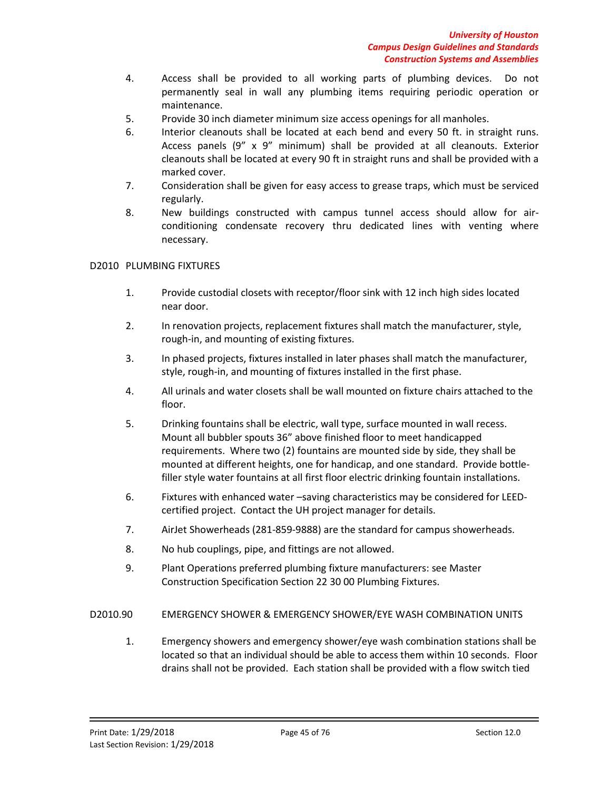- 4. Access shall be provided to all working parts of plumbing devices. Do not permanently seal in wall any plumbing items requiring periodic operation or maintenance.
- 5. Provide 30 inch diameter minimum size access openings for all manholes.
- 6. Interior cleanouts shall be located at each bend and every 50 ft. in straight runs. Access panels (9" x 9" minimum) shall be provided at all cleanouts. Exterior cleanouts shall be located at every 90 ft in straight runs and shall be provided with a marked cover.
- 7. Consideration shall be given for easy access to grease traps, which must be serviced regularly.
- 8. New buildings constructed with campus tunnel access should allow for airconditioning condensate recovery thru dedicated lines with venting where necessary.

# D2010 PLUMBING FIXTURES

- 1. Provide custodial closets with receptor/floor sink with 12 inch high sides located near door.
- 2. In renovation projects, replacement fixtures shall match the manufacturer, style, rough-in, and mounting of existing fixtures.
- 3. In phased projects, fixtures installed in later phases shall match the manufacturer, style, rough-in, and mounting of fixtures installed in the first phase.
- 4. All urinals and water closets shall be wall mounted on fixture chairs attached to the floor.
- 5. Drinking fountains shall be electric, wall type, surface mounted in wall recess. Mount all bubbler spouts 36" above finished floor to meet handicapped requirements. Where two (2) fountains are mounted side by side, they shall be mounted at different heights, one for handicap, and one standard. Provide bottlefiller style water fountains at all first floor electric drinking fountain installations.
- 6. Fixtures with enhanced water –saving characteristics may be considered for LEEDcertified project. Contact the UH project manager for details.
- 7. AirJet Showerheads (281-859-9888) are the standard for campus showerheads.
- 8. No hub couplings, pipe, and fittings are not allowed.
- 9. Plant Operations preferred plumbing fixture manufacturers: see Master Construction Specification Section 22 30 00 Plumbing Fixtures.
- D2010.90 EMERGENCY SHOWER & EMERGENCY SHOWER/EYE WASH COMBINATION UNITS
	- 1. Emergency showers and emergency shower/eye wash combination stations shall be located so that an individual should be able to access them within 10 seconds. Floor drains shall not be provided. Each station shall be provided with a flow switch tied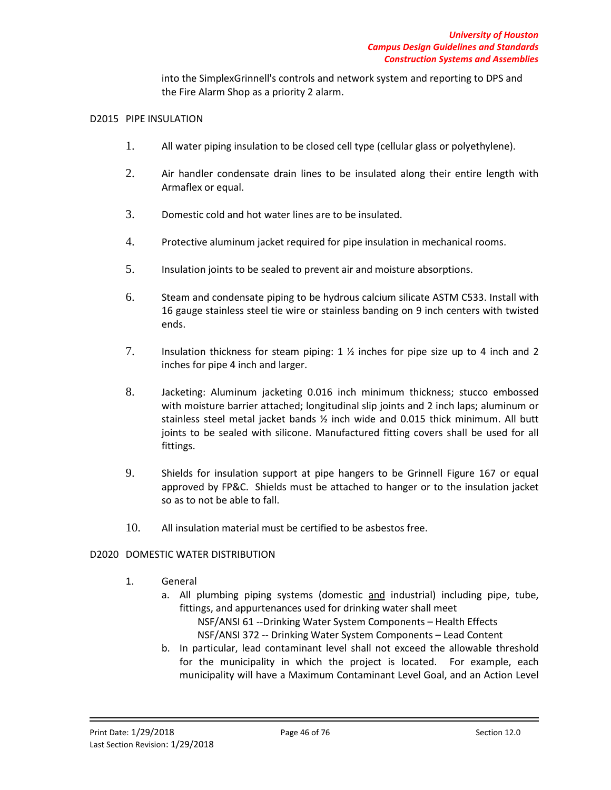into the SimplexGrinnell's controls and network system and reporting to DPS and the Fire Alarm Shop as a priority 2 alarm.

#### D2015 PIPE INSULATION

- 1. All water piping insulation to be closed cell type (cellular glass or polyethylene).
- 2. Air handler condensate drain lines to be insulated along their entire length with Armaflex or equal.
- 3. Domestic cold and hot water lines are to be insulated.
- 4. Protective aluminum jacket required for pipe insulation in mechanical rooms.
- 5. Insulation joints to be sealed to prevent air and moisture absorptions.
- 6. Steam and condensate piping to be hydrous calcium silicate ASTM C533. Install with 16 gauge stainless steel tie wire or stainless banding on 9 inch centers with twisted ends.
- 7. Insulation thickness for steam piping: 1 ½ inches for pipe size up to 4 inch and 2 inches for pipe 4 inch and larger.
- 8. Jacketing: Aluminum jacketing 0.016 inch minimum thickness; stucco embossed with moisture barrier attached; longitudinal slip joints and 2 inch laps; aluminum or stainless steel metal jacket bands ½ inch wide and 0.015 thick minimum. All butt joints to be sealed with silicone. Manufactured fitting covers shall be used for all fittings.
- 9. Shields for insulation support at pipe hangers to be Grinnell Figure 167 or equal approved by FP&C. Shields must be attached to hanger or to the insulation jacket so as to not be able to fall.
- 10. All insulation material must be certified to be asbestos free.

## D2020 DOMESTIC WATER DISTRIBUTION

- 1. General
	- a. All plumbing piping systems (domestic and industrial) including pipe, tube, fittings, and appurtenances used for drinking water shall meet
		- NSF/ANSI 61 --Drinking Water System Components Health Effects
		- NSF/ANSI 372 -- Drinking Water System Components Lead Content
	- b. In particular, lead contaminant level shall not exceed the allowable threshold for the municipality in which the project is located. For example, each municipality will have a Maximum Contaminant Level Goal, and an Action Level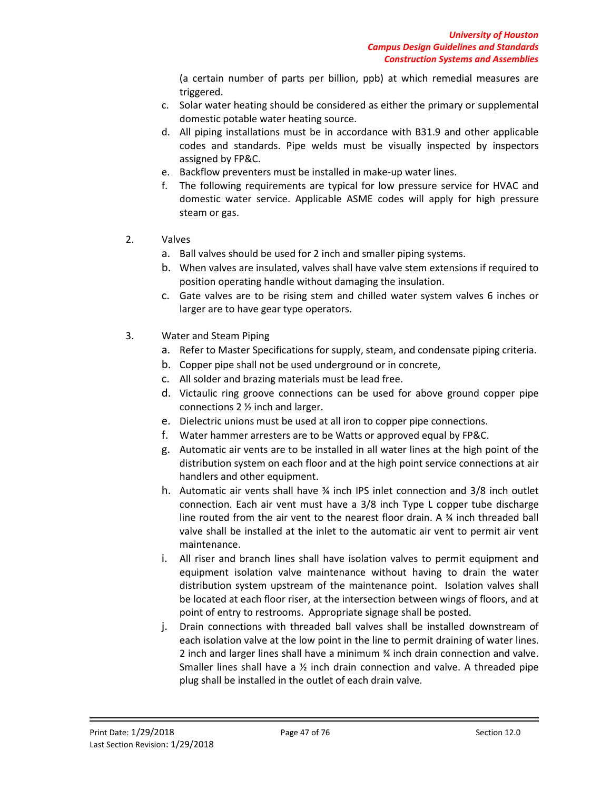(a certain number of parts per billion, ppb) at which remedial measures are triggered.

- c. Solar water heating should be considered as either the primary or supplemental domestic potable water heating source.
- d. All piping installations must be in accordance with B31.9 and other applicable codes and standards. Pipe welds must be visually inspected by inspectors assigned by FP&C.
- e. Backflow preventers must be installed in make-up water lines.
- f. The following requirements are typical for low pressure service for HVAC and domestic water service. Applicable ASME codes will apply for high pressure steam or gas.
- 2. Valves
	- a. Ball valves should be used for 2 inch and smaller piping systems.
	- b. When valves are insulated, valves shall have valve stem extensions if required to position operating handle without damaging the insulation.
	- c. Gate valves are to be rising stem and chilled water system valves 6 inches or larger are to have gear type operators.
- 3. Water and Steam Piping
	- a. Refer to Master Specifications for supply, steam, and condensate piping criteria.
	- b. Copper pipe shall not be used underground or in concrete,
	- c. All solder and brazing materials must be lead free.
	- d. Victaulic ring groove connections can be used for above ground copper pipe connections 2 ½ inch and larger.
	- e. Dielectric unions must be used at all iron to copper pipe connections.
	- f. Water hammer arresters are to be Watts or approved equal by FP&C.
	- g. Automatic air vents are to be installed in all water lines at the high point of the distribution system on each floor and at the high point service connections at air handlers and other equipment.
	- h. Automatic air vents shall have ¾ inch IPS inlet connection and 3/8 inch outlet connection. Each air vent must have a 3/8 inch Type L copper tube discharge line routed from the air vent to the nearest floor drain. A  $\frac{3}{4}$  inch threaded ball valve shall be installed at the inlet to the automatic air vent to permit air vent maintenance.
	- i. All riser and branch lines shall have isolation valves to permit equipment and equipment isolation valve maintenance without having to drain the water distribution system upstream of the maintenance point. Isolation valves shall be located at each floor riser, at the intersection between wings of floors, and at point of entry to restrooms. Appropriate signage shall be posted.
	- j. Drain connections with threaded ball valves shall be installed downstream of each isolation valve at the low point in the line to permit draining of water lines. 2 inch and larger lines shall have a minimum ¾ inch drain connection and valve. Smaller lines shall have a  $\frac{1}{2}$  inch drain connection and valve. A threaded pipe plug shall be installed in the outlet of each drain valve.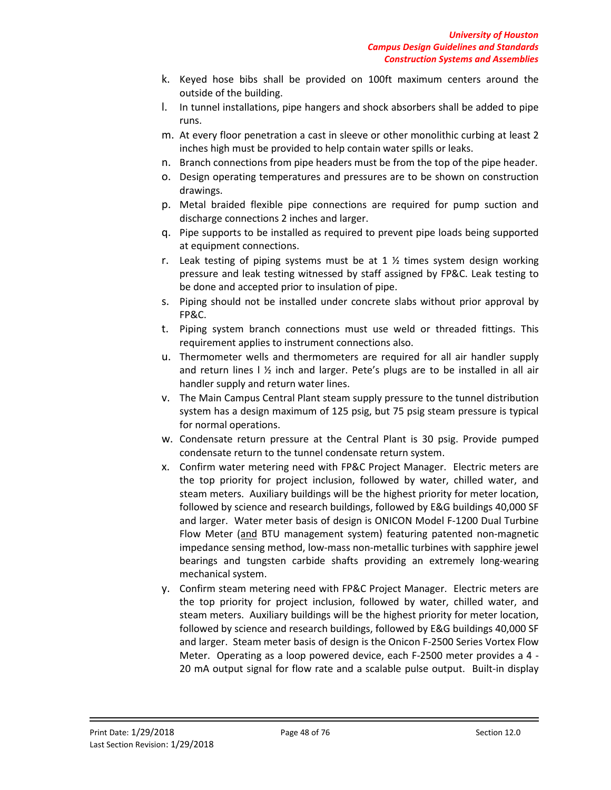- k. Keyed hose bibs shall be provided on 100ft maximum centers around the outside of the building.
- l. In tunnel installations, pipe hangers and shock absorbers shall be added to pipe runs.
- m. At every floor penetration a cast in sleeve or other monolithic curbing at least 2 inches high must be provided to help contain water spills or leaks.
- n. Branch connections from pipe headers must be from the top of the pipe header.
- o. Design operating temperatures and pressures are to be shown on construction drawings.
- p. Metal braided flexible pipe connections are required for pump suction and discharge connections 2 inches and larger.
- q. Pipe supports to be installed as required to prevent pipe loads being supported at equipment connections.
- r. Leak testing of piping systems must be at 1  $\frac{1}{2}$  times system design working pressure and leak testing witnessed by staff assigned by FP&C. Leak testing to be done and accepted prior to insulation of pipe.
- s. Piping should not be installed under concrete slabs without prior approval by FP&C.
- t. Piping system branch connections must use weld or threaded fittings. This requirement applies to instrument connections also.
- u. Thermometer wells and thermometers are required for all air handler supply and return lines  $1\frac{1}{2}$  inch and larger. Pete's plugs are to be installed in all air handler supply and return water lines.
- v. The Main Campus Central Plant steam supply pressure to the tunnel distribution system has a design maximum of 125 psig, but 75 psig steam pressure is typical for normal operations.
- w. Condensate return pressure at the Central Plant is 30 psig. Provide pumped condensate return to the tunnel condensate return system.
- x. Confirm water metering need with FP&C Project Manager. Electric meters are the top priority for project inclusion, followed by water, chilled water, and steam meters. Auxiliary buildings will be the highest priority for meter location, followed by science and research buildings, followed by E&G buildings 40,000 SF and larger. Water meter basis of design is ONICON Model F-1200 Dual Turbine Flow Meter (and BTU management system) featuring patented non-magnetic impedance sensing method, low-mass non-metallic turbines with sapphire jewel bearings and tungsten carbide shafts providing an extremely long-wearing mechanical system.
- y. Confirm steam metering need with FP&C Project Manager. Electric meters are the top priority for project inclusion, followed by water, chilled water, and steam meters. Auxiliary buildings will be the highest priority for meter location, followed by science and research buildings, followed by E&G buildings 40,000 SF and larger. Steam meter basis of design is the Onicon F-2500 Series Vortex Flow Meter. Operating as a loop powered device, each F-2500 meter provides a 4 - 20 mA output signal for flow rate and a scalable pulse output. Built-in display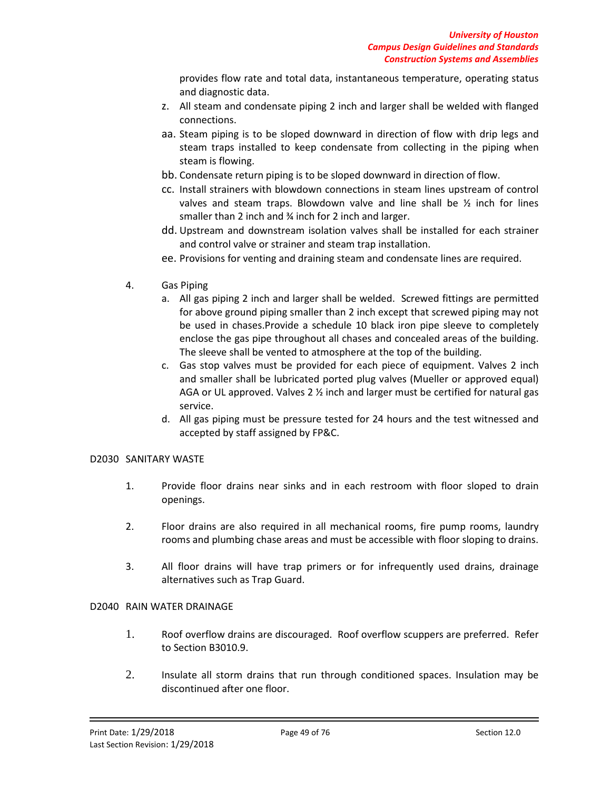provides flow rate and total data, instantaneous temperature, operating status and diagnostic data.

- z. All steam and condensate piping 2 inch and larger shall be welded with flanged connections.
- aa. Steam piping is to be sloped downward in direction of flow with drip legs and steam traps installed to keep condensate from collecting in the piping when steam is flowing.
- bb. Condensate return piping is to be sloped downward in direction of flow.
- cc. Install strainers with blowdown connections in steam lines upstream of control valves and steam traps. Blowdown valve and line shall be  $\frac{1}{2}$  inch for lines smaller than 2 inch and ¾ inch for 2 inch and larger.
- dd. Upstream and downstream isolation valves shall be installed for each strainer and control valve or strainer and steam trap installation.
- ee. Provisions for venting and draining steam and condensate lines are required.
- 4. Gas Piping
	- a. All gas piping 2 inch and larger shall be welded. Screwed fittings are permitted for above ground piping smaller than 2 inch except that screwed piping may not be used in chases.Provide a schedule 10 black iron pipe sleeve to completely enclose the gas pipe throughout all chases and concealed areas of the building. The sleeve shall be vented to atmosphere at the top of the building.
	- c. Gas stop valves must be provided for each piece of equipment. Valves 2 inch and smaller shall be lubricated ported plug valves (Mueller or approved equal) AGA or UL approved. Valves 2  $\frac{1}{2}$  inch and larger must be certified for natural gas service.
	- d. All gas piping must be pressure tested for 24 hours and the test witnessed and accepted by staff assigned by FP&C.

## D2030 SANITARY WASTE

- 1. Provide floor drains near sinks and in each restroom with floor sloped to drain openings.
- 2. Floor drains are also required in all mechanical rooms, fire pump rooms, laundry rooms and plumbing chase areas and must be accessible with floor sloping to drains.
- 3. All floor drains will have trap primers or for infrequently used drains, drainage alternatives such as Trap Guard.

## D2040 RAIN WATER DRAINAGE

- 1. Roof overflow drains are discouraged. Roof overflow scuppers are preferred. Refer to Section B3010.9.
- 2. Insulate all storm drains that run through conditioned spaces. Insulation may be discontinued after one floor.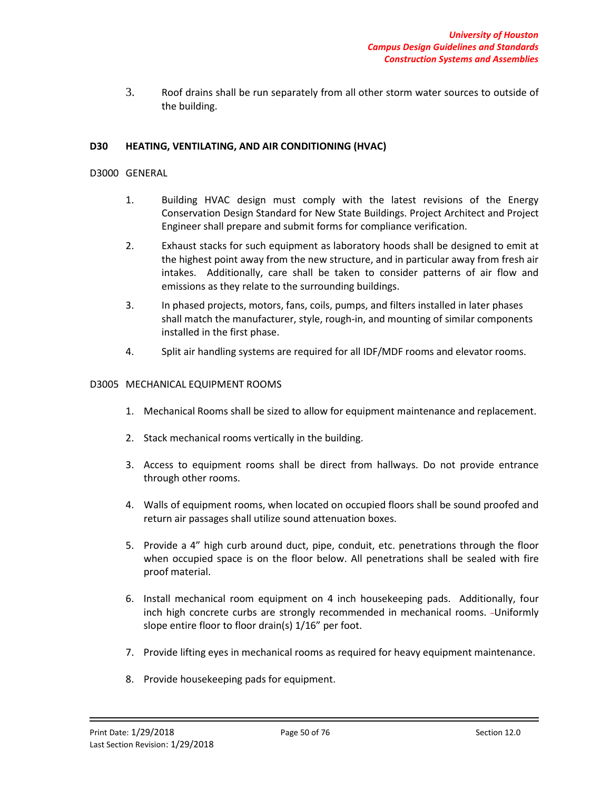3. Roof drains shall be run separately from all other storm water sources to outside of the building.

### **D30 HEATING, VENTILATING, AND AIR CONDITIONING (HVAC)**

#### D3000 GENERAL

- 1. Building HVAC design must comply with the latest revisions of the Energy Conservation Design Standard for New State Buildings. Project Architect and Project Engineer shall prepare and submit forms for compliance verification.
- 2. Exhaust stacks for such equipment as laboratory hoods shall be designed to emit at the highest point away from the new structure, and in particular away from fresh air intakes. Additionally, care shall be taken to consider patterns of air flow and emissions as they relate to the surrounding buildings.
- 3. In phased projects, motors, fans, coils, pumps, and filters installed in later phases shall match the manufacturer, style, rough-in, and mounting of similar components installed in the first phase.
- 4. Split air handling systems are required for all IDF/MDF rooms and elevator rooms.

#### D3005 MECHANICAL EQUIPMENT ROOMS

- 1. Mechanical Rooms shall be sized to allow for equipment maintenance and replacement.
- 2. Stack mechanical rooms vertically in the building.
- 3. Access to equipment rooms shall be direct from hallways. Do not provide entrance through other rooms.
- 4. Walls of equipment rooms, when located on occupied floors shall be sound proofed and return air passages shall utilize sound attenuation boxes.
- 5. Provide a 4" high curb around duct, pipe, conduit, etc. penetrations through the floor when occupied space is on the floor below. All penetrations shall be sealed with fire proof material.
- 6. Install mechanical room equipment on 4 inch housekeeping pads. Additionally, four inch high concrete curbs are strongly recommended in mechanical rooms. - Uniformly slope entire floor to floor drain(s) 1/16" per foot.
- 7. Provide lifting eyes in mechanical rooms as required for heavy equipment maintenance.
- 8. Provide housekeeping pads for equipment.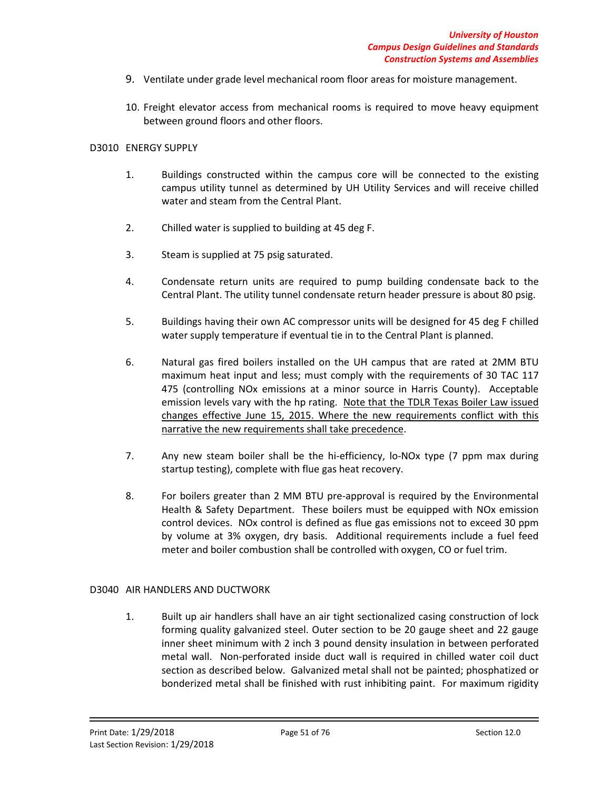- 9. Ventilate under grade level mechanical room floor areas for moisture management.
- 10. Freight elevator access from mechanical rooms is required to move heavy equipment between ground floors and other floors.

### D3010 ENERGY SUPPLY

- 1. Buildings constructed within the campus core will be connected to the existing campus utility tunnel as determined by UH Utility Services and will receive chilled water and steam from the Central Plant.
- 2. Chilled water is supplied to building at 45 deg F.
- 3. Steam is supplied at 75 psig saturated.
- 4. Condensate return units are required to pump building condensate back to the Central Plant. The utility tunnel condensate return header pressure is about 80 psig.
- 5. Buildings having their own AC compressor units will be designed for 45 deg F chilled water supply temperature if eventual tie in to the Central Plant is planned.
- 6. Natural gas fired boilers installed on the UH campus that are rated at 2MM BTU maximum heat input and less; must comply with the requirements of 30 TAC 117 475 (controlling NOx emissions at a minor source in Harris County). Acceptable emission levels vary with the hp rating. Note that the TDLR Texas Boiler Law issued changes effective June 15, 2015. Where the new requirements conflict with this narrative the new requirements shall take precedence.
- 7. Any new steam boiler shall be the hi-efficiency, lo-NOx type (7 ppm max during startup testing), complete with flue gas heat recovery.
- 8. For boilers greater than 2 MM BTU pre-approval is required by the Environmental Health & Safety Department. These boilers must be equipped with NOx emission control devices. NOx control is defined as flue gas emissions not to exceed 30 ppm by volume at 3% oxygen, dry basis. Additional requirements include a fuel feed meter and boiler combustion shall be controlled with oxygen, CO or fuel trim.

## D3040 AIR HANDLERS AND DUCTWORK

1. Built up air handlers shall have an air tight sectionalized casing construction of lock forming quality galvanized steel. Outer section to be 20 gauge sheet and 22 gauge inner sheet minimum with 2 inch 3 pound density insulation in between perforated metal wall. Non-perforated inside duct wall is required in chilled water coil duct section as described below. Galvanized metal shall not be painted; phosphatized or bonderized metal shall be finished with rust inhibiting paint. For maximum rigidity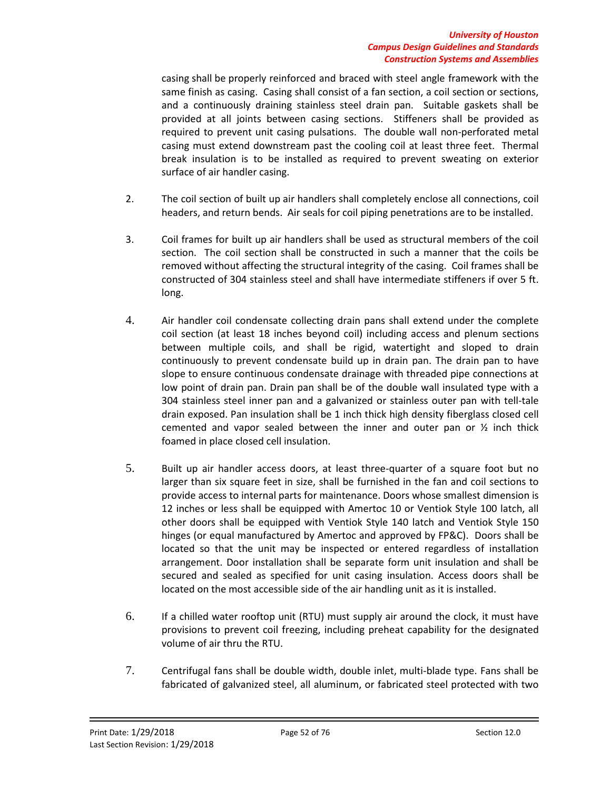### *University of Houston Campus Design Guidelines and Standards Construction Systems and Assemblies*

casing shall be properly reinforced and braced with steel angle framework with the same finish as casing. Casing shall consist of a fan section, a coil section or sections, and a continuously draining stainless steel drain pan. Suitable gaskets shall be provided at all joints between casing sections. Stiffeners shall be provided as required to prevent unit casing pulsations. The double wall non-perforated metal casing must extend downstream past the cooling coil at least three feet. Thermal break insulation is to be installed as required to prevent sweating on exterior surface of air handler casing.

- 2. The coil section of built up air handlers shall completely enclose all connections, coil headers, and return bends. Air seals for coil piping penetrations are to be installed.
- 3. Coil frames for built up air handlers shall be used as structural members of the coil section. The coil section shall be constructed in such a manner that the coils be removed without affecting the structural integrity of the casing. Coil frames shall be constructed of 304 stainless steel and shall have intermediate stiffeners if over 5 ft. long.
- 4. Air handler coil condensate collecting drain pans shall extend under the complete coil section (at least 18 inches beyond coil) including access and plenum sections between multiple coils, and shall be rigid, watertight and sloped to drain continuously to prevent condensate build up in drain pan. The drain pan to have slope to ensure continuous condensate drainage with threaded pipe connections at low point of drain pan. Drain pan shall be of the double wall insulated type with a 304 stainless steel inner pan and a galvanized or stainless outer pan with tell-tale drain exposed. Pan insulation shall be 1 inch thick high density fiberglass closed cell cemented and vapor sealed between the inner and outer pan or  $\frac{1}{2}$  inch thick foamed in place closed cell insulation.
- 5. Built up air handler access doors, at least three-quarter of a square foot but no larger than six square feet in size, shall be furnished in the fan and coil sections to provide access to internal parts for maintenance. Doors whose smallest dimension is 12 inches or less shall be equipped with Amertoc 10 or Ventiok Style 100 latch, all other doors shall be equipped with Ventiok Style 140 latch and Ventiok Style 150 hinges (or equal manufactured by Amertoc and approved by FP&C). Doors shall be located so that the unit may be inspected or entered regardless of installation arrangement. Door installation shall be separate form unit insulation and shall be secured and sealed as specified for unit casing insulation. Access doors shall be located on the most accessible side of the air handling unit as it is installed.
- 6. If a chilled water rooftop unit (RTU) must supply air around the clock, it must have provisions to prevent coil freezing, including preheat capability for the designated volume of air thru the RTU.
- 7. Centrifugal fans shall be double width, double inlet, multi-blade type. Fans shall be fabricated of galvanized steel, all aluminum, or fabricated steel protected with two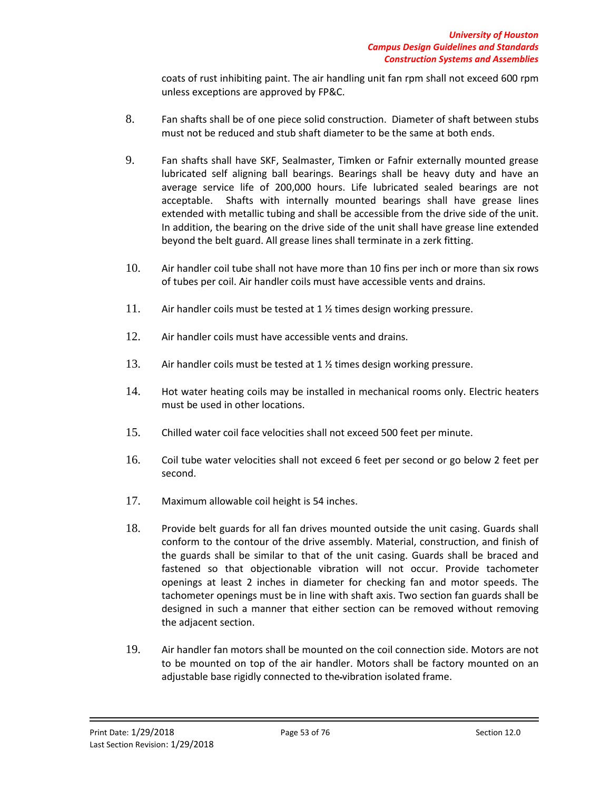coats of rust inhibiting paint. The air handling unit fan rpm shall not exceed 600 rpm unless exceptions are approved by FP&C.

- 8. Fan shafts shall be of one piece solid construction. Diameter of shaft between stubs must not be reduced and stub shaft diameter to be the same at both ends.
- 9. Fan shafts shall have SKF, Sealmaster, Timken or Fafnir externally mounted grease lubricated self aligning ball bearings. Bearings shall be heavy duty and have an average service life of 200,000 hours. Life lubricated sealed bearings are not acceptable. Shafts with internally mounted bearings shall have grease lines extended with metallic tubing and shall be accessible from the drive side of the unit. In addition, the bearing on the drive side of the unit shall have grease line extended beyond the belt guard. All grease lines shall terminate in a zerk fitting.
- 10. Air handler coil tube shall not have more than 10 fins per inch or more than six rows of tubes per coil. Air handler coils must have accessible vents and drains.
- 11. Air handler coils must be tested at 1 % times design working pressure.
- 12. Air handler coils must have accessible vents and drains.
- 13. Air handler coils must be tested at 1 % times design working pressure.
- 14. Hot water heating coils may be installed in mechanical rooms only. Electric heaters must be used in other locations.
- 15. Chilled water coil face velocities shall not exceed 500 feet per minute.
- 16. Coil tube water velocities shall not exceed 6 feet per second or go below 2 feet per second.
- 17. Maximum allowable coil height is 54 inches.
- 18. Provide belt guards for all fan drives mounted outside the unit casing. Guards shall conform to the contour of the drive assembly. Material, construction, and finish of the guards shall be similar to that of the unit casing. Guards shall be braced and fastened so that objectionable vibration will not occur. Provide tachometer openings at least 2 inches in diameter for checking fan and motor speeds. The tachometer openings must be in line with shaft axis. Two section fan guards shall be designed in such a manner that either section can be removed without removing the adjacent section.
- 19. Air handler fan motors shall be mounted on the coil connection side. Motors are not to be mounted on top of the air handler. Motors shall be factory mounted on an adjustable base rigidly connected to the vibration isolated frame.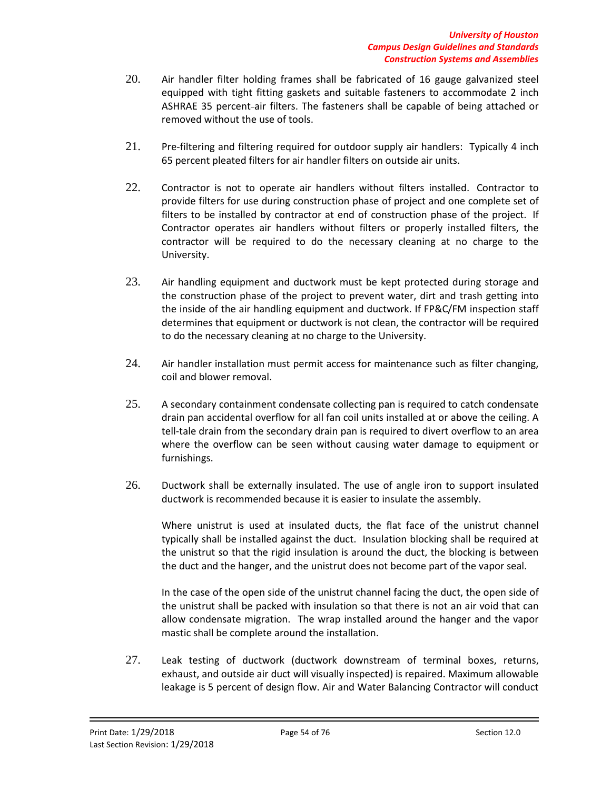- 20. Air handler filter holding frames shall be fabricated of 16 gauge galvanized steel equipped with tight fitting gaskets and suitable fasteners to accommodate 2 inch ASHRAE 35 percent-air filters. The fasteners shall be capable of being attached or removed without the use of tools.
- 21. Pre-filtering and filtering required for outdoor supply air handlers: Typically 4 inch 65 percent pleated filters for air handler filters on outside air units.
- 22. Contractor is not to operate air handlers without filters installed. Contractor to provide filters for use during construction phase of project and one complete set of filters to be installed by contractor at end of construction phase of the project. If Contractor operates air handlers without filters or properly installed filters, the contractor will be required to do the necessary cleaning at no charge to the University.
- 23. Air handling equipment and ductwork must be kept protected during storage and the construction phase of the project to prevent water, dirt and trash getting into the inside of the air handling equipment and ductwork. If FP&C/FM inspection staff determines that equipment or ductwork is not clean, the contractor will be required to do the necessary cleaning at no charge to the University.
- 24. Air handler installation must permit access for maintenance such as filter changing, coil and blower removal.
- 25. A secondary containment condensate collecting pan is required to catch condensate drain pan accidental overflow for all fan coil units installed at or above the ceiling. A tell-tale drain from the secondary drain pan is required to divert overflow to an area where the overflow can be seen without causing water damage to equipment or furnishings.
- 26. Ductwork shall be externally insulated. The use of angle iron to support insulated ductwork is recommended because it is easier to insulate the assembly.

Where unistrut is used at insulated ducts, the flat face of the unistrut channel typically shall be installed against the duct. Insulation blocking shall be required at the unistrut so that the rigid insulation is around the duct, the blocking is between the duct and the hanger, and the unistrut does not become part of the vapor seal.

In the case of the open side of the unistrut channel facing the duct, the open side of the unistrut shall be packed with insulation so that there is not an air void that can allow condensate migration. The wrap installed around the hanger and the vapor mastic shall be complete around the installation.

27. Leak testing of ductwork (ductwork downstream of terminal boxes, returns, exhaust, and outside air duct will visually inspected) is repaired. Maximum allowable leakage is 5 percent of design flow. Air and Water Balancing Contractor will conduct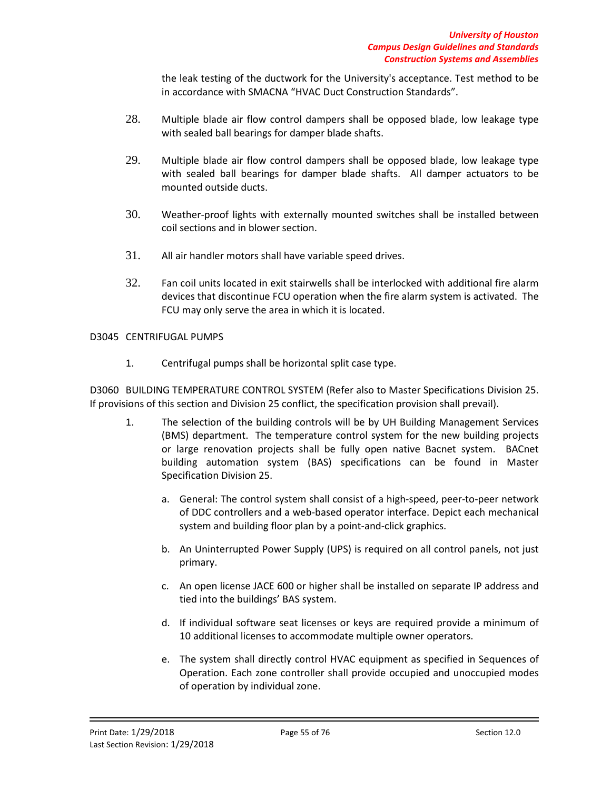the leak testing of the ductwork for the University's acceptance. Test method to be in accordance with SMACNA "HVAC Duct Construction Standards".

- 28. Multiple blade air flow control dampers shall be opposed blade, low leakage type with sealed ball bearings for damper blade shafts.
- 29. Multiple blade air flow control dampers shall be opposed blade, low leakage type with sealed ball bearings for damper blade shafts. All damper actuators to be mounted outside ducts.
- 30. Weather-proof lights with externally mounted switches shall be installed between coil sections and in blower section.
- 31. All air handler motors shall have variable speed drives.
- 32. Fan coil units located in exit stairwells shall be interlocked with additional fire alarm devices that discontinue FCU operation when the fire alarm system is activated. The FCU may only serve the area in which it is located.

# D3045 CENTRIFUGAL PUMPS

1. Centrifugal pumps shall be horizontal split case type.

D3060 BUILDING TEMPERATURE CONTROL SYSTEM (Refer also to Master Specifications Division 25. If provisions of this section and Division 25 conflict, the specification provision shall prevail).

- 1. The selection of the building controls will be by UH Building Management Services (BMS) department. The temperature control system for the new building projects or large renovation projects shall be fully open native Bacnet system. BACnet building automation system (BAS) specifications can be found in Master Specification Division 25.
	- a. General: The control system shall consist of a high-speed, peer-to-peer network of DDC controllers and a web-based operator interface. Depict each mechanical system and building floor plan by a point-and-click graphics.
	- b. An Uninterrupted Power Supply (UPS) is required on all control panels, not just primary.
	- c. An open license JACE 600 or higher shall be installed on separate IP address and tied into the buildings' BAS system.
	- d. If individual software seat licenses or keys are required provide a minimum of 10 additional licenses to accommodate multiple owner operators.
	- e. The system shall directly control HVAC equipment as specified in Sequences of Operation. Each zone controller shall provide occupied and unoccupied modes of operation by individual zone.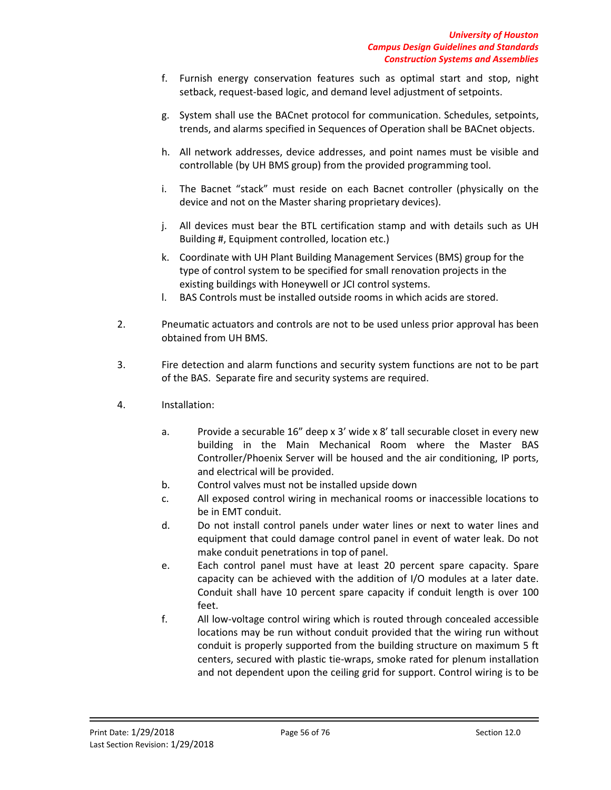- f. Furnish energy conservation features such as optimal start and stop, night setback, request-based logic, and demand level adjustment of setpoints.
- g. System shall use the BACnet protocol for communication. Schedules, setpoints, trends, and alarms specified in Sequences of Operation shall be BACnet objects.
- h. All network addresses, device addresses, and point names must be visible and controllable (by UH BMS group) from the provided programming tool.
- i. The Bacnet "stack" must reside on each Bacnet controller (physically on the device and not on the Master sharing proprietary devices).
- j. All devices must bear the BTL certification stamp and with details such as UH Building #, Equipment controlled, location etc.)
- k. Coordinate with UH Plant Building Management Services (BMS) group for the type of control system to be specified for small renovation projects in the existing buildings with Honeywell or JCI control systems.
- l. BAS Controls must be installed outside rooms in which acids are stored.
- 2. Pneumatic actuators and controls are not to be used unless prior approval has been obtained from UH BMS.
- 3. Fire detection and alarm functions and security system functions are not to be part of the BAS. Separate fire and security systems are required.
- 4. Installation:
	- a. Provide a securable 16" deep x 3' wide x 8' tall securable closet in every new building in the Main Mechanical Room where the Master BAS Controller/Phoenix Server will be housed and the air conditioning, IP ports, and electrical will be provided.
	- b. Control valves must not be installed upside down
	- c. All exposed control wiring in mechanical rooms or inaccessible locations to be in EMT conduit.
	- d. Do not install control panels under water lines or next to water lines and equipment that could damage control panel in event of water leak. Do not make conduit penetrations in top of panel.
	- e. Each control panel must have at least 20 percent spare capacity. Spare capacity can be achieved with the addition of I/O modules at a later date. Conduit shall have 10 percent spare capacity if conduit length is over 100 feet.
	- f. All low-voltage control wiring which is routed through concealed accessible locations may be run without conduit provided that the wiring run without conduit is properly supported from the building structure on maximum 5 ft centers, secured with plastic tie-wraps, smoke rated for plenum installation and not dependent upon the ceiling grid for support. Control wiring is to be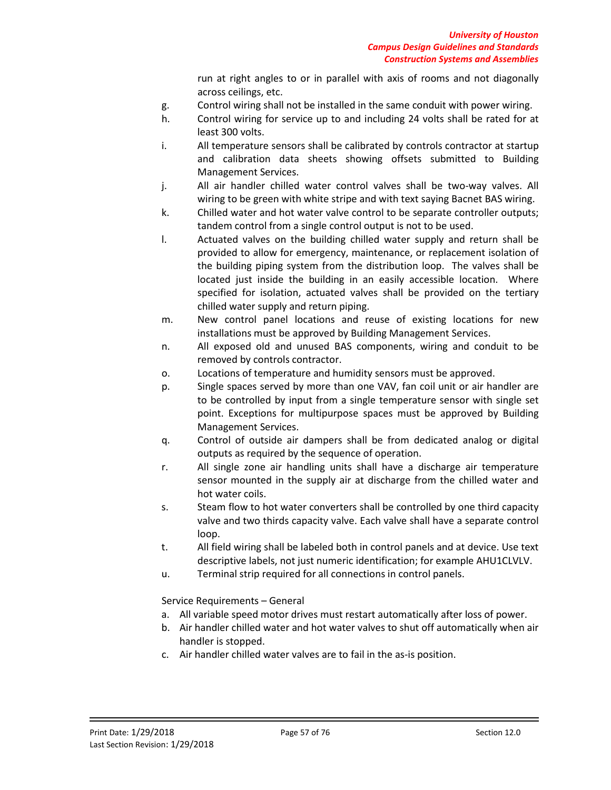run at right angles to or in parallel with axis of rooms and not diagonally across ceilings, etc.

- g. Control wiring shall not be installed in the same conduit with power wiring.
- h. Control wiring for service up to and including 24 volts shall be rated for at least 300 volts.
- i. All temperature sensors shall be calibrated by controls contractor at startup and calibration data sheets showing offsets submitted to Building Management Services.
- j. All air handler chilled water control valves shall be two-way valves. All wiring to be green with white stripe and with text saying Bacnet BAS wiring.
- k. Chilled water and hot water valve control to be separate controller outputs; tandem control from a single control output is not to be used.
- l. Actuated valves on the building chilled water supply and return shall be provided to allow for emergency, maintenance, or replacement isolation of the building piping system from the distribution loop. The valves shall be located just inside the building in an easily accessible location. Where specified for isolation, actuated valves shall be provided on the tertiary chilled water supply and return piping.
- m. New control panel locations and reuse of existing locations for new installations must be approved by Building Management Services.
- n. All exposed old and unused BAS components, wiring and conduit to be removed by controls contractor.
- o. Locations of temperature and humidity sensors must be approved.
- p. Single spaces served by more than one VAV, fan coil unit or air handler are to be controlled by input from a single temperature sensor with single set point. Exceptions for multipurpose spaces must be approved by Building Management Services.
- q. Control of outside air dampers shall be from dedicated analog or digital outputs as required by the sequence of operation.
- r. All single zone air handling units shall have a discharge air temperature sensor mounted in the supply air at discharge from the chilled water and hot water coils.
- s. Steam flow to hot water converters shall be controlled by one third capacity valve and two thirds capacity valve. Each valve shall have a separate control loop.
- t. All field wiring shall be labeled both in control panels and at device. Use text descriptive labels, not just numeric identification; for example AHU1CLVLV.
- u. Terminal strip required for all connections in control panels.

Service Requirements – General

- a. All variable speed motor drives must restart automatically after loss of power.
- b. Air handler chilled water and hot water valves to shut off automatically when air handler is stopped.
- c. Air handler chilled water valves are to fail in the as-is position.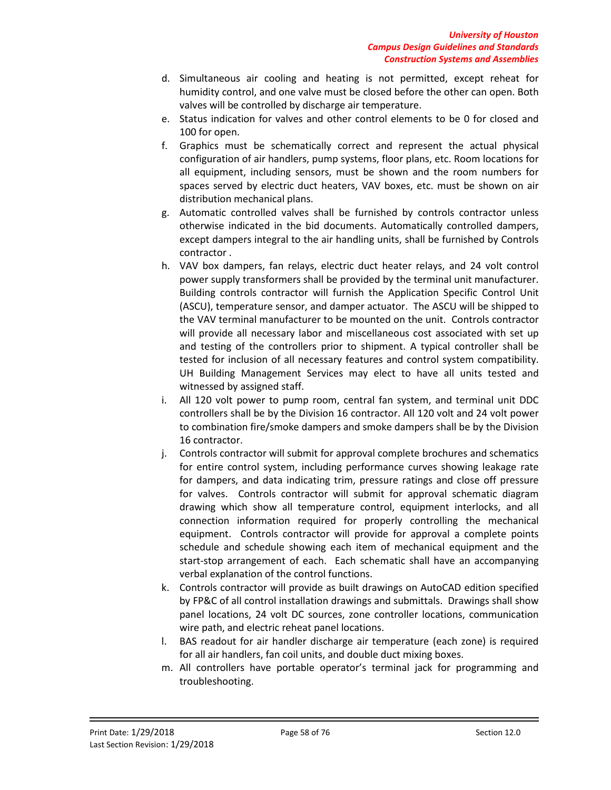- d. Simultaneous air cooling and heating is not permitted, except reheat for humidity control, and one valve must be closed before the other can open. Both valves will be controlled by discharge air temperature.
- e. Status indication for valves and other control elements to be 0 for closed and 100 for open.
- f. Graphics must be schematically correct and represent the actual physical configuration of air handlers, pump systems, floor plans, etc. Room locations for all equipment, including sensors, must be shown and the room numbers for spaces served by electric duct heaters, VAV boxes, etc. must be shown on air distribution mechanical plans.
- g. Automatic controlled valves shall be furnished by controls contractor unless otherwise indicated in the bid documents. Automatically controlled dampers, except dampers integral to the air handling units, shall be furnished by Controls contractor .
- h. VAV box dampers, fan relays, electric duct heater relays, and 24 volt control power supply transformers shall be provided by the terminal unit manufacturer. Building controls contractor will furnish the Application Specific Control Unit (ASCU), temperature sensor, and damper actuator. The ASCU will be shipped to the VAV terminal manufacturer to be mounted on the unit. Controls contractor will provide all necessary labor and miscellaneous cost associated with set up and testing of the controllers prior to shipment. A typical controller shall be tested for inclusion of all necessary features and control system compatibility. UH Building Management Services may elect to have all units tested and witnessed by assigned staff.
- i. All 120 volt power to pump room, central fan system, and terminal unit DDC controllers shall be by the Division 16 contractor. All 120 volt and 24 volt power to combination fire/smoke dampers and smoke dampers shall be by the Division 16 contractor.
- j. Controls contractor will submit for approval complete brochures and schematics for entire control system, including performance curves showing leakage rate for dampers, and data indicating trim, pressure ratings and close off pressure for valves. Controls contractor will submit for approval schematic diagram drawing which show all temperature control, equipment interlocks, and all connection information required for properly controlling the mechanical equipment. Controls contractor will provide for approval a complete points schedule and schedule showing each item of mechanical equipment and the start-stop arrangement of each. Each schematic shall have an accompanying verbal explanation of the control functions.
- k. Controls contractor will provide as built drawings on AutoCAD edition specified by FP&C of all control installation drawings and submittals. Drawings shall show panel locations, 24 volt DC sources, zone controller locations, communication wire path, and electric reheat panel locations.
- l. BAS readout for air handler discharge air temperature (each zone) is required for all air handlers, fan coil units, and double duct mixing boxes.
- m. All controllers have portable operator's terminal jack for programming and troubleshooting.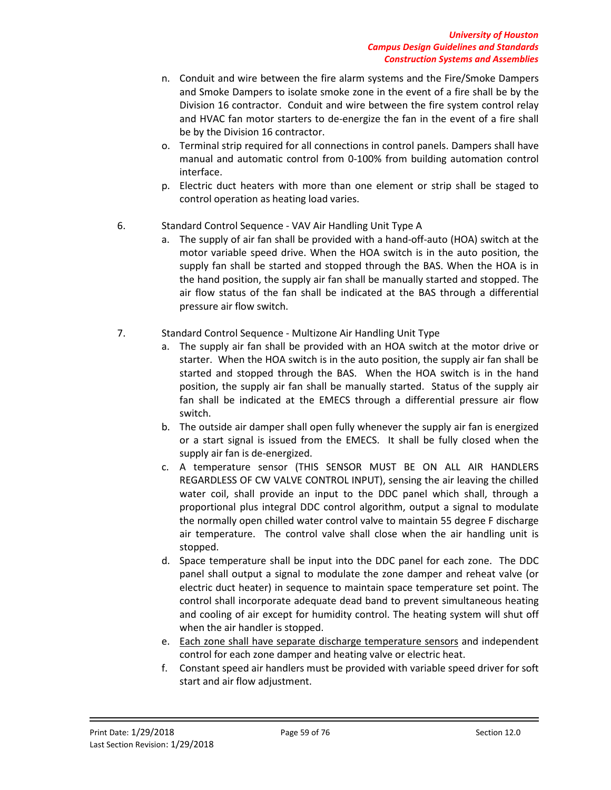- n. Conduit and wire between the fire alarm systems and the Fire/Smoke Dampers and Smoke Dampers to isolate smoke zone in the event of a fire shall be by the Division 16 contractor. Conduit and wire between the fire system control relay and HVAC fan motor starters to de-energize the fan in the event of a fire shall be by the Division 16 contractor.
- o. Terminal strip required for all connections in control panels. Dampers shall have manual and automatic control from 0-100% from building automation control interface.
- p. Electric duct heaters with more than one element or strip shall be staged to control operation as heating load varies.
- 6. Standard Control Sequence VAV Air Handling Unit Type A
	- a. The supply of air fan shall be provided with a hand-off-auto (HOA) switch at the motor variable speed drive. When the HOA switch is in the auto position, the supply fan shall be started and stopped through the BAS. When the HOA is in the hand position, the supply air fan shall be manually started and stopped. The air flow status of the fan shall be indicated at the BAS through a differential pressure air flow switch.
- 7. Standard Control Sequence Multizone Air Handling Unit Type
	- a. The supply air fan shall be provided with an HOA switch at the motor drive or starter. When the HOA switch is in the auto position, the supply air fan shall be started and stopped through the BAS. When the HOA switch is in the hand position, the supply air fan shall be manually started. Status of the supply air fan shall be indicated at the EMECS through a differential pressure air flow switch.
	- b. The outside air damper shall open fully whenever the supply air fan is energized or a start signal is issued from the EMECS. It shall be fully closed when the supply air fan is de-energized.
	- c. A temperature sensor (THIS SENSOR MUST BE ON ALL AIR HANDLERS REGARDLESS OF CW VALVE CONTROL INPUT), sensing the air leaving the chilled water coil, shall provide an input to the DDC panel which shall, through a proportional plus integral DDC control algorithm, output a signal to modulate the normally open chilled water control valve to maintain 55 degree F discharge air temperature. The control valve shall close when the air handling unit is stopped.
	- d. Space temperature shall be input into the DDC panel for each zone. The DDC panel shall output a signal to modulate the zone damper and reheat valve (or electric duct heater) in sequence to maintain space temperature set point. The control shall incorporate adequate dead band to prevent simultaneous heating and cooling of air except for humidity control. The heating system will shut off when the air handler is stopped.
	- e. Each zone shall have separate discharge temperature sensors and independent control for each zone damper and heating valve or electric heat.
	- f. Constant speed air handlers must be provided with variable speed driver for soft start and air flow adjustment.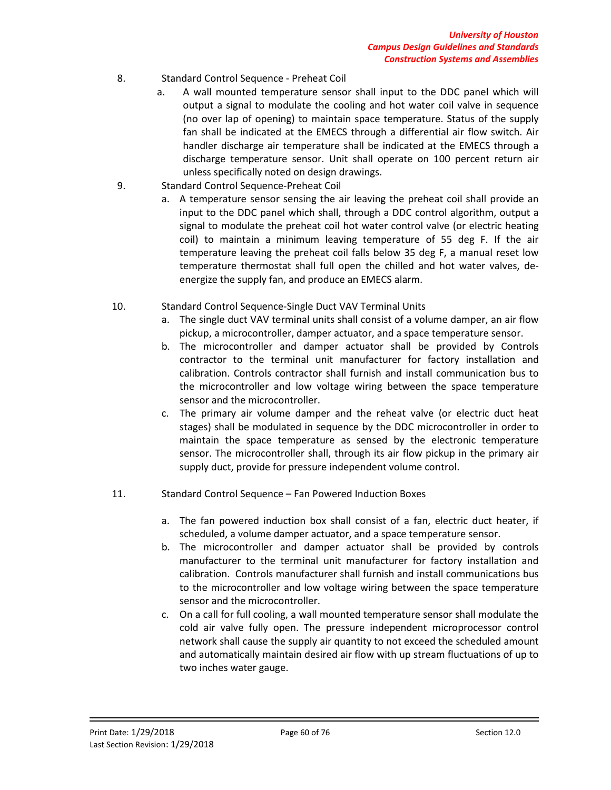- 8. Standard Control Sequence Preheat Coil
	- a. A wall mounted temperature sensor shall input to the DDC panel which will output a signal to modulate the cooling and hot water coil valve in sequence (no over lap of opening) to maintain space temperature. Status of the supply fan shall be indicated at the EMECS through a differential air flow switch. Air handler discharge air temperature shall be indicated at the EMECS through a discharge temperature sensor. Unit shall operate on 100 percent return air unless specifically noted on design drawings.
- 9. Standard Control Sequence-Preheat Coil
	- a. A temperature sensor sensing the air leaving the preheat coil shall provide an input to the DDC panel which shall, through a DDC control algorithm, output a signal to modulate the preheat coil hot water control valve (or electric heating coil) to maintain a minimum leaving temperature of 55 deg F. If the air temperature leaving the preheat coil falls below 35 deg F, a manual reset low temperature thermostat shall full open the chilled and hot water valves, deenergize the supply fan, and produce an EMECS alarm.
- 10. Standard Control Sequence-Single Duct VAV Terminal Units
	- a. The single duct VAV terminal units shall consist of a volume damper, an air flow pickup, a microcontroller, damper actuator, and a space temperature sensor.
	- b. The microcontroller and damper actuator shall be provided by Controls contractor to the terminal unit manufacturer for factory installation and calibration. Controls contractor shall furnish and install communication bus to the microcontroller and low voltage wiring between the space temperature sensor and the microcontroller.
	- c. The primary air volume damper and the reheat valve (or electric duct heat stages) shall be modulated in sequence by the DDC microcontroller in order to maintain the space temperature as sensed by the electronic temperature sensor. The microcontroller shall, through its air flow pickup in the primary air supply duct, provide for pressure independent volume control.
- 11. Standard Control Sequence Fan Powered Induction Boxes
	- a. The fan powered induction box shall consist of a fan, electric duct heater, if scheduled, a volume damper actuator, and a space temperature sensor.
	- b. The microcontroller and damper actuator shall be provided by controls manufacturer to the terminal unit manufacturer for factory installation and calibration. Controls manufacturer shall furnish and install communications bus to the microcontroller and low voltage wiring between the space temperature sensor and the microcontroller.
	- c. On a call for full cooling, a wall mounted temperature sensor shall modulate the cold air valve fully open. The pressure independent microprocessor control network shall cause the supply air quantity to not exceed the scheduled amount and automatically maintain desired air flow with up stream fluctuations of up to two inches water gauge.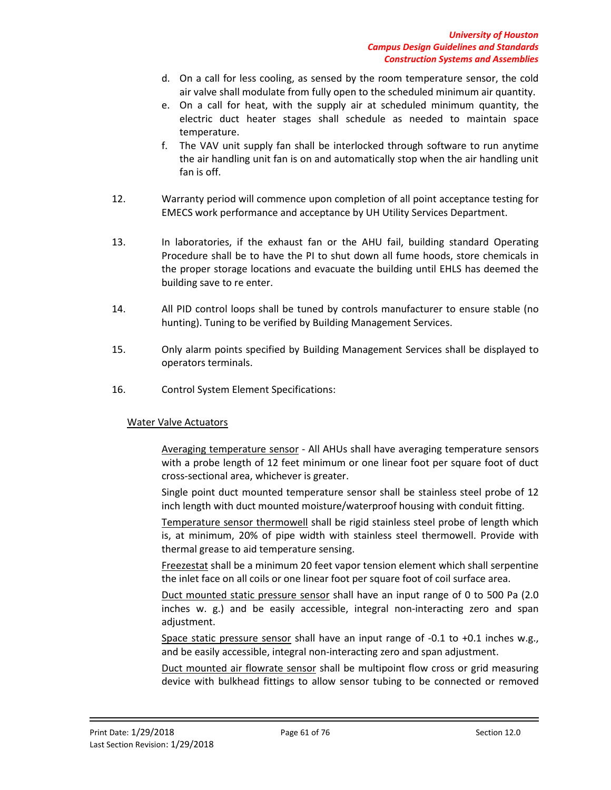- d. On a call for less cooling, as sensed by the room temperature sensor, the cold air valve shall modulate from fully open to the scheduled minimum air quantity.
- e. On a call for heat, with the supply air at scheduled minimum quantity, the electric duct heater stages shall schedule as needed to maintain space temperature.
- f. The VAV unit supply fan shall be interlocked through software to run anytime the air handling unit fan is on and automatically stop when the air handling unit fan is off.
- 12. Warranty period will commence upon completion of all point acceptance testing for EMECS work performance and acceptance by UH Utility Services Department.
- 13. In laboratories, if the exhaust fan or the AHU fail, building standard Operating Procedure shall be to have the PI to shut down all fume hoods, store chemicals in the proper storage locations and evacuate the building until EHLS has deemed the building save to re enter.
- 14. All PID control loops shall be tuned by controls manufacturer to ensure stable (no hunting). Tuning to be verified by Building Management Services.
- 15. Only alarm points specified by Building Management Services shall be displayed to operators terminals.
- 16. Control System Element Specifications:

## Water Valve Actuators

Averaging temperature sensor - All AHUs shall have averaging temperature sensors with a probe length of 12 feet minimum or one linear foot per square foot of duct cross-sectional area, whichever is greater.

Single point duct mounted temperature sensor shall be stainless steel probe of 12 inch length with duct mounted moisture/waterproof housing with conduit fitting.

Temperature sensor thermowell shall be rigid stainless steel probe of length which is, at minimum, 20% of pipe width with stainless steel thermowell. Provide with thermal grease to aid temperature sensing.

Freezestat shall be a minimum 20 feet vapor tension element which shall serpentine the inlet face on all coils or one linear foot per square foot of coil surface area.

Duct mounted static pressure sensor shall have an input range of 0 to 500 Pa (2.0 inches w. g.) and be easily accessible, integral non-interacting zero and span adjustment.

Space static pressure sensor shall have an input range of -0.1 to +0.1 inches w.g., and be easily accessible, integral non-interacting zero and span adjustment.

Duct mounted air flowrate sensor shall be multipoint flow cross or grid measuring device with bulkhead fittings to allow sensor tubing to be connected or removed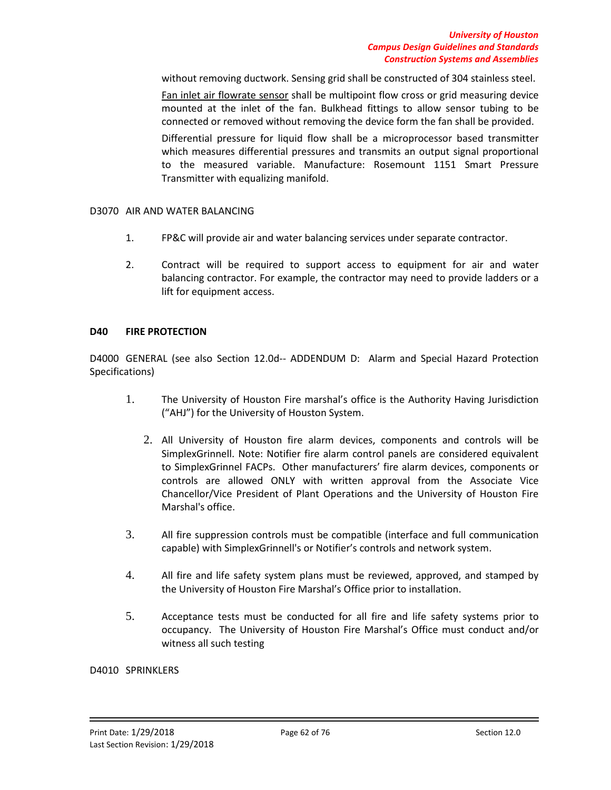without removing ductwork. Sensing grid shall be constructed of 304 stainless steel. Fan inlet air flowrate sensor shall be multipoint flow cross or grid measuring device mounted at the inlet of the fan. Bulkhead fittings to allow sensor tubing to be connected or removed without removing the device form the fan shall be provided. Differential pressure for liquid flow shall be a microprocessor based transmitter which measures differential pressures and transmits an output signal proportional to the measured variable. Manufacture: Rosemount 1151 Smart Pressure Transmitter with equalizing manifold.

## D3070 AIR AND WATER BALANCING

- 1. FP&C will provide air and water balancing services under separate contractor.
- 2. Contract will be required to support access to equipment for air and water balancing contractor. For example, the contractor may need to provide ladders or a lift for equipment access.

# **D40 FIRE PROTECTION**

D4000 GENERAL (see also Section 12.0d-- ADDENDUM D: Alarm and Special Hazard Protection Specifications)

- 1. The University of Houston Fire marshal's office is the Authority Having Jurisdiction ("AHJ") for the University of Houston System.
	- 2. All University of Houston fire alarm devices, components and controls will be SimplexGrinnell. Note: Notifier fire alarm control panels are considered equivalent to SimplexGrinnel FACPs. Other manufacturers' fire alarm devices, components or controls are allowed ONLY with written approval from the Associate Vice Chancellor/Vice President of Plant Operations and the University of Houston Fire Marshal's office.
- 3. All fire suppression controls must be compatible (interface and full communication capable) with SimplexGrinnell's or Notifier's controls and network system.
- 4. All fire and life safety system plans must be reviewed, approved, and stamped by the University of Houston Fire Marshal's Office prior to installation.
- 5. Acceptance tests must be conducted for all fire and life safety systems prior to occupancy. The University of Houston Fire Marshal's Office must conduct and/or witness all such testing

#### D4010 SPRINKLERS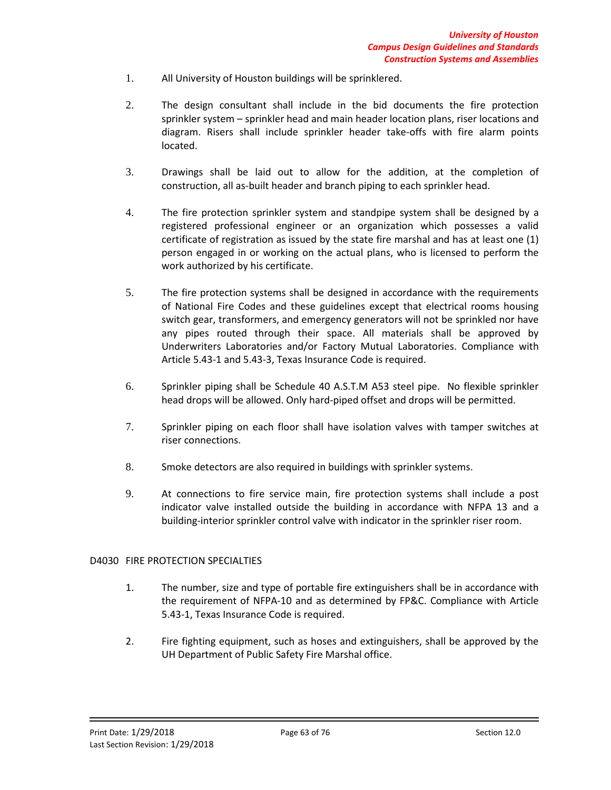- 1. All University of Houston buildings will be sprinklered.
- 2. The design consultant shall include in the bid documents the fire protection sprinkler system – sprinkler head and main header location plans, riser locations and diagram. Risers shall include sprinkler header take-offs with fire alarm points located.
- 3. Drawings shall be laid out to allow for the addition, at the completion of construction, all as-built header and branch piping to each sprinkler head.
- 4. The fire protection sprinkler system and standpipe system shall be designed by a registered professional engineer or an organization which possesses a valid certificate of registration as issued by the state fire marshal and has at least one (1) person engaged in or working on the actual plans, who is licensed to perform the work authorized by his certificate.
- 5. The fire protection systems shall be designed in accordance with the requirements of National Fire Codes and these guidelines except that electrical rooms housing switch gear, transformers, and emergency generators will not be sprinkled nor have any pipes routed through their space. All materials shall be approved by Underwriters Laboratories and/or Factory Mutual Laboratories. Compliance with Article 5.43-1 and 5.43-3, Texas Insurance Code is required.
- 6. Sprinkler piping shall be Schedule 40 A.S.T.M A53 steel pipe. No flexible sprinkler head drops will be allowed. Only hard-piped offset and drops will be permitted.
- 7. Sprinkler piping on each floor shall have isolation valves with tamper switches at riser connections.
- 8. Smoke detectors are also required in buildings with sprinkler systems.
- 9. At connections to fire service main, fire protection systems shall include a post indicator valve installed outside the building in accordance with NFPA 13 and a building-interior sprinkler control valve with indicator in the sprinkler riser room.

## D4030 FIRE PROTECTION SPECIALTIES

- 1. The number, size and type of portable fire extinguishers shall be in accordance with the requirement of NFPA-10 and as determined by FP&C. Compliance with Article 5.43-1, Texas Insurance Code is required.
- 2. Fire fighting equipment, such as hoses and extinguishers, shall be approved by the UH Department of Public Safety Fire Marshal office.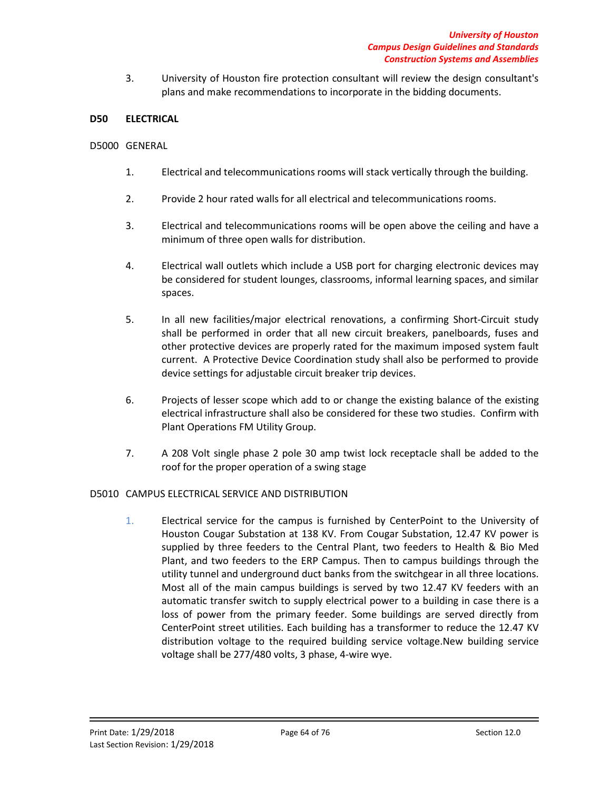3. University of Houston fire protection consultant will review the design consultant's plans and make recommendations to incorporate in the bidding documents.

## **D50 ELECTRICAL**

### D5000 GENERAL

- 1. Electrical and telecommunications rooms will stack vertically through the building.
- 2. Provide 2 hour rated walls for all electrical and telecommunications rooms.
- 3. Electrical and telecommunications rooms will be open above the ceiling and have a minimum of three open walls for distribution.
- 4. Electrical wall outlets which include a USB port for charging electronic devices may be considered for student lounges, classrooms, informal learning spaces, and similar spaces.
- 5. In all new facilities/major electrical renovations, a confirming Short-Circuit study shall be performed in order that all new circuit breakers, panelboards, fuses and other protective devices are properly rated for the maximum imposed system fault current. A Protective Device Coordination study shall also be performed to provide device settings for adjustable circuit breaker trip devices.
- 6. Projects of lesser scope which add to or change the existing balance of the existing electrical infrastructure shall also be considered for these two studies. Confirm with Plant Operations FM Utility Group.
- 7. A 208 Volt single phase 2 pole 30 amp twist lock receptacle shall be added to the roof for the proper operation of a swing stage

## D5010 CAMPUS ELECTRICAL SERVICE AND DISTRIBUTION

1. Electrical service for the campus is furnished by CenterPoint to the University of Houston Cougar Substation at 138 KV. From Cougar Substation, 12.47 KV power is supplied by three feeders to the Central Plant, two feeders to Health & Bio Med Plant, and two feeders to the ERP Campus. Then to campus buildings through the utility tunnel and underground duct banks from the switchgear in all three locations. Most all of the main campus buildings is served by two 12.47 KV feeders with an automatic transfer switch to supply electrical power to a building in case there is a loss of power from the primary feeder. Some buildings are served directly from CenterPoint street utilities. Each building has a transformer to reduce the 12.47 KV distribution voltage to the required building service voltage.New building service voltage shall be 277/480 volts, 3 phase, 4-wire wye.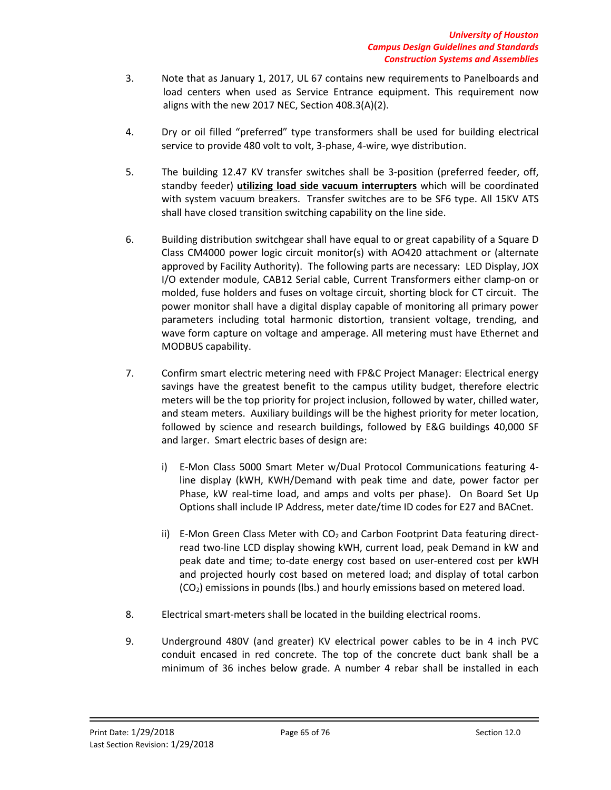- 3. Note that as January 1, 2017, UL 67 contains new requirements to Panelboards and load centers when used as Service Entrance equipment. This requirement now aligns with the new 2017 NEC, Section 408.3(A)(2).
- 4. Dry or oil filled "preferred" type transformers shall be used for building electrical service to provide 480 volt to volt, 3-phase, 4-wire, wye distribution.
- 5. The building 12.47 KV transfer switches shall be 3-position (preferred feeder, off, standby feeder) **utilizing load side vacuum interrupters** which will be coordinated with system vacuum breakers. Transfer switches are to be SF6 type. All 15KV ATS shall have closed transition switching capability on the line side.
- 6. Building distribution switchgear shall have equal to or great capability of a Square D Class CM4000 power logic circuit monitor(s) with AO420 attachment or (alternate approved by Facility Authority). The following parts are necessary: LED Display, JOX I/O extender module, CAB12 Serial cable, Current Transformers either clamp-on or molded, fuse holders and fuses on voltage circuit, shorting block for CT circuit. The power monitor shall have a digital display capable of monitoring all primary power parameters including total harmonic distortion, transient voltage, trending, and wave form capture on voltage and amperage. All metering must have Ethernet and MODBUS capability.
- 7. Confirm smart electric metering need with FP&C Project Manager: Electrical energy savings have the greatest benefit to the campus utility budget, therefore electric meters will be the top priority for project inclusion, followed by water, chilled water, and steam meters. Auxiliary buildings will be the highest priority for meter location, followed by science and research buildings, followed by E&G buildings 40,000 SF and larger. Smart electric bases of design are:
	- i) E-Mon Class 5000 Smart Meter w/Dual Protocol Communications featuring 4 line display (kWH, KWH/Demand with peak time and date, power factor per Phase, kW real-time load, and amps and volts per phase). On Board Set Up Options shall include IP Address, meter date/time ID codes for E27 and BACnet.
	- ii) E-Mon Green Class Meter with  $CO<sub>2</sub>$  and Carbon Footprint Data featuring directread two-line LCD display showing kWH, current load, peak Demand in kW and peak date and time; to-date energy cost based on user-entered cost per kWH and projected hourly cost based on metered load; and display of total carbon  $(CO<sub>2</sub>)$  emissions in pounds (lbs.) and hourly emissions based on metered load.
- 8. Electrical smart-meters shall be located in the building electrical rooms.
- 9. Underground 480V (and greater) KV electrical power cables to be in 4 inch PVC conduit encased in red concrete. The top of the concrete duct bank shall be a minimum of 36 inches below grade. A number 4 rebar shall be installed in each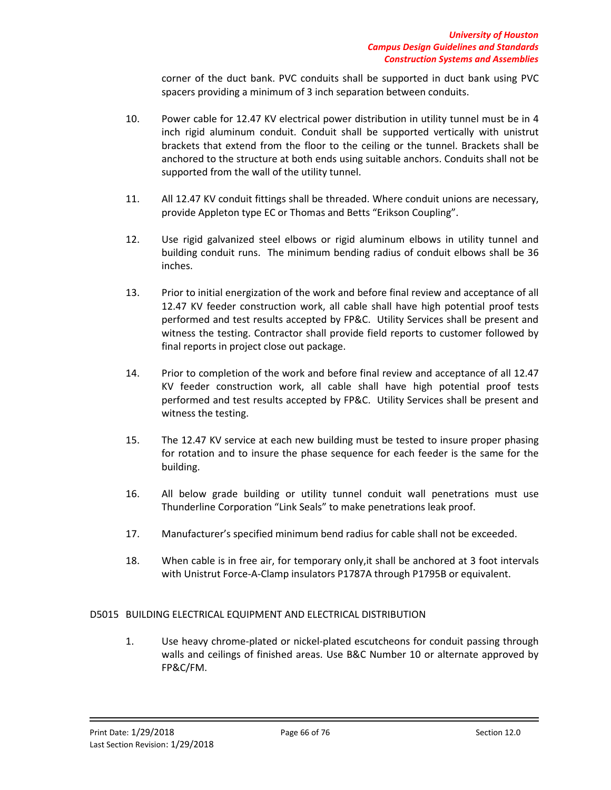corner of the duct bank. PVC conduits shall be supported in duct bank using PVC spacers providing a minimum of 3 inch separation between conduits.

- 10. Power cable for 12.47 KV electrical power distribution in utility tunnel must be in 4 inch rigid aluminum conduit. Conduit shall be supported vertically with unistrut brackets that extend from the floor to the ceiling or the tunnel. Brackets shall be anchored to the structure at both ends using suitable anchors. Conduits shall not be supported from the wall of the utility tunnel.
- 11. All 12.47 KV conduit fittings shall be threaded. Where conduit unions are necessary, provide Appleton type EC or Thomas and Betts "Erikson Coupling".
- 12. Use rigid galvanized steel elbows or rigid aluminum elbows in utility tunnel and building conduit runs. The minimum bending radius of conduit elbows shall be 36 inches.
- 13. Prior to initial energization of the work and before final review and acceptance of all 12.47 KV feeder construction work, all cable shall have high potential proof tests performed and test results accepted by FP&C. Utility Services shall be present and witness the testing. Contractor shall provide field reports to customer followed by final reports in project close out package.
- 14. Prior to completion of the work and before final review and acceptance of all 12.47 KV feeder construction work, all cable shall have high potential proof tests performed and test results accepted by FP&C. Utility Services shall be present and witness the testing.
- 15. The 12.47 KV service at each new building must be tested to insure proper phasing for rotation and to insure the phase sequence for each feeder is the same for the building.
- 16. All below grade building or utility tunnel conduit wall penetrations must use Thunderline Corporation "Link Seals" to make penetrations leak proof.
- 17. Manufacturer's specified minimum bend radius for cable shall not be exceeded.
- 18. When cable is in free air, for temporary only,it shall be anchored at 3 foot intervals with Unistrut Force-A-Clamp insulators P1787A through P1795B or equivalent.

# D5015 BUILDING ELECTRICAL EQUIPMENT AND ELECTRICAL DISTRIBUTION

1. Use heavy chrome-plated or nickel-plated escutcheons for conduit passing through walls and ceilings of finished areas. Use B&C Number 10 or alternate approved by FP&C/FM.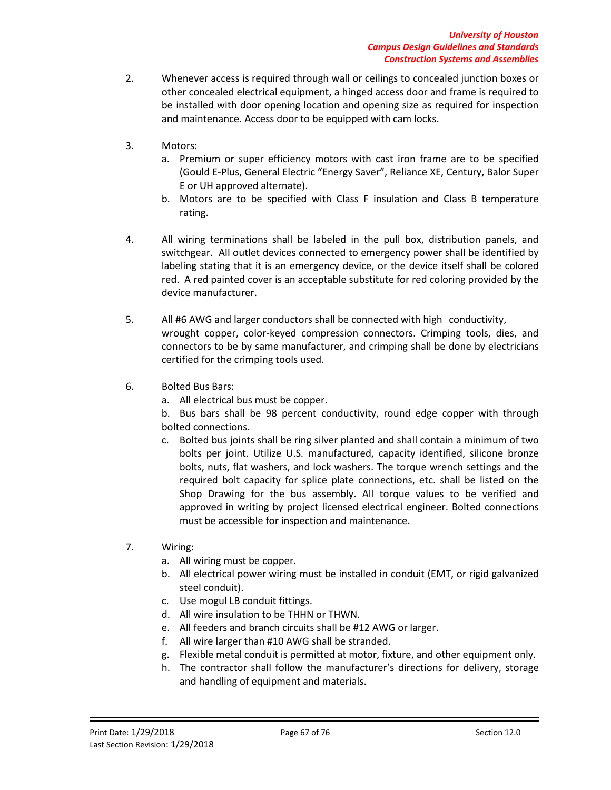- 2. Whenever access is required through wall or ceilings to concealed junction boxes or other concealed electrical equipment, a hinged access door and frame is required to be installed with door opening location and opening size as required for inspection and maintenance. Access door to be equipped with cam locks.
- 3. Motors:
	- a. Premium or super efficiency motors with cast iron frame are to be specified (Gould E-Plus, General Electric "Energy Saver", Reliance XE, Century, Balor Super E or UH approved alternate).
	- b. Motors are to be specified with Class F insulation and Class B temperature rating.
- 4. All wiring terminations shall be labeled in the pull box, distribution panels, and switchgear. All outlet devices connected to emergency power shall be identified by labeling stating that it is an emergency device, or the device itself shall be colored red. A red painted cover is an acceptable substitute for red coloring provided by the device manufacturer.
- 5. All #6 AWG and larger conductors shall be connected with high conductivity, wrought copper, color-keyed compression connectors. Crimping tools, dies, and connectors to be by same manufacturer, and crimping shall be done by electricians certified for the crimping tools used.
- 6. Bolted Bus Bars:
	- a. All electrical bus must be copper.

b. Bus bars shall be 98 percent conductivity, round edge copper with through bolted connections.

- c. Bolted bus joints shall be ring silver planted and shall contain a minimum of two bolts per joint. Utilize U.S. manufactured, capacity identified, silicone bronze bolts, nuts, flat washers, and lock washers. The torque wrench settings and the required bolt capacity for splice plate connections, etc. shall be listed on the Shop Drawing for the bus assembly. All torque values to be verified and approved in writing by project licensed electrical engineer. Bolted connections must be accessible for inspection and maintenance.
- 7. Wiring:
	- a. All wiring must be copper.
	- b. All electrical power wiring must be installed in conduit (EMT, or rigid galvanized steel conduit).
	- c. Use mogul LB conduit fittings.
	- d. All wire insulation to be THHN or THWN.
	- e. All feeders and branch circuits shall be #12 AWG or larger.
	- f. All wire larger than #10 AWG shall be stranded.
	- g. Flexible metal conduit is permitted at motor, fixture, and other equipment only.
	- h. The contractor shall follow the manufacturer's directions for delivery, storage and handling of equipment and materials.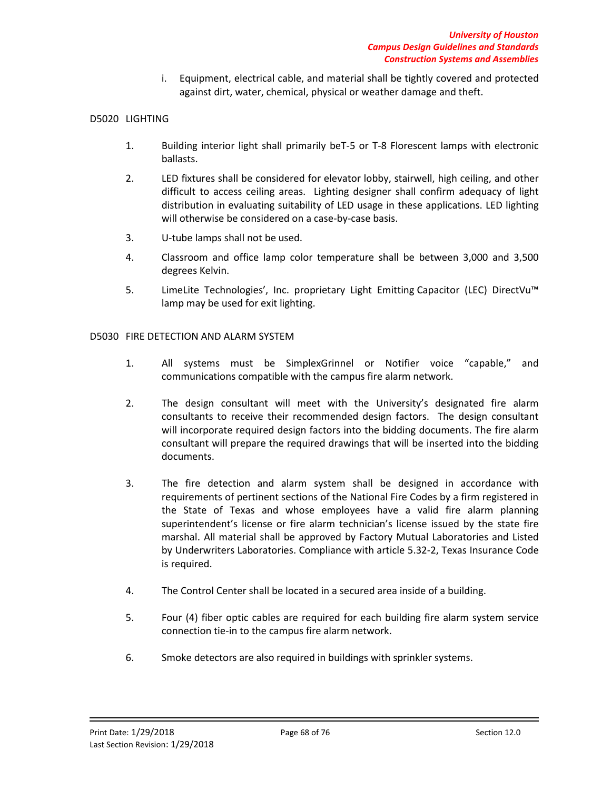i. Equipment, electrical cable, and material shall be tightly covered and protected against dirt, water, chemical, physical or weather damage and theft.

# D5020 LIGHTING

- 1. Building interior light shall primarily beT-5 or T-8 Florescent lamps with electronic ballasts.
- 2. LED fixtures shall be considered for elevator lobby, stairwell, high ceiling, and other difficult to access ceiling areas. Lighting designer shall confirm adequacy of light distribution in evaluating suitability of LED usage in these applications. LED lighting will otherwise be considered on a case-by-case basis.
- 3. U-tube lamps shall not be used.
- 4. Classroom and office lamp color temperature shall be between 3,000 and 3,500 degrees Kelvin.
- 5. LimeLite Technologies', Inc. proprietary Light Emitting Capacitor (LEC) DirectVu™ lamp may be used for exit lighting.

## D5030 FIRE DETECTION AND ALARM SYSTEM

- 1. All systems must be SimplexGrinnel or Notifier voice "capable," and communications compatible with the campus fire alarm network.
- 2. The design consultant will meet with the University's designated fire alarm consultants to receive their recommended design factors. The design consultant will incorporate required design factors into the bidding documents. The fire alarm consultant will prepare the required drawings that will be inserted into the bidding documents.
- 3. The fire detection and alarm system shall be designed in accordance with requirements of pertinent sections of the National Fire Codes by a firm registered in the State of Texas and whose employees have a valid fire alarm planning superintendent's license or fire alarm technician's license issued by the state fire marshal. All material shall be approved by Factory Mutual Laboratories and Listed by Underwriters Laboratories. Compliance with article 5.32-2, Texas Insurance Code is required.
- 4. The Control Center shall be located in a secured area inside of a building.
- 5. Four (4) fiber optic cables are required for each building fire alarm system service connection tie-in to the campus fire alarm network.
- 6. Smoke detectors are also required in buildings with sprinkler systems.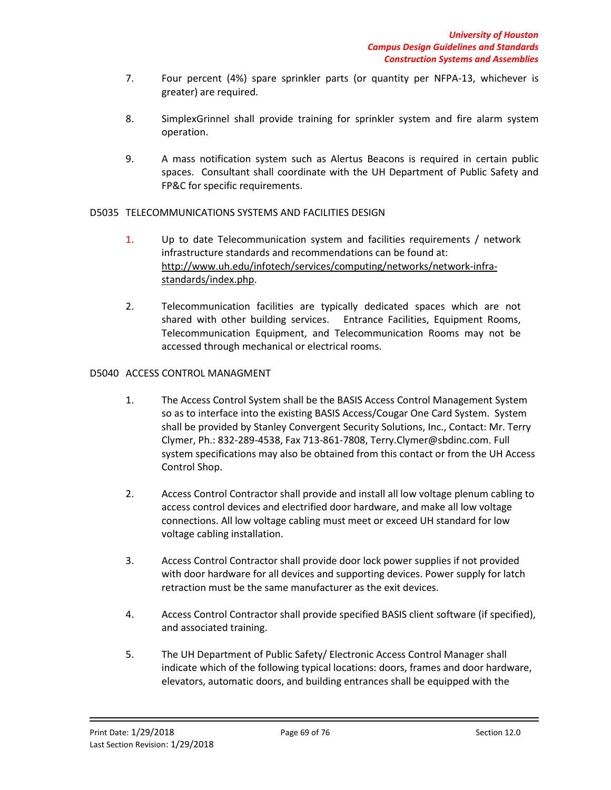- 7. Four percent (4%) spare sprinkler parts (or quantity per NFPA-13, whichever is greater) are required.
- 8. SimplexGrinnel shall provide training for sprinkler system and fire alarm system operation.
- 9. A mass notification system such as Alertus Beacons is required in certain public spaces. Consultant shall coordinate with the UH Department of Public Safety and FP&C for specific requirements.

## D5035 TELECOMMUNICATIONS SYSTEMS AND FACILITIES DESIGN

- 1. Up to date Telecommunication system and facilities requirements / network infrastructure standards and recommendations can be found at: [http://www.uh.edu/infotech/services/computing/networks/network-infra](http://www.uh.edu/infotech/services/computing/networks/network-infra-standards/index.php)[standards/index.php.](http://www.uh.edu/infotech/services/computing/networks/network-infra-standards/index.php)
- 2. Telecommunication facilities are typically dedicated spaces which are not shared with other building services. Entrance Facilities, Equipment Rooms, Telecommunication Equipment, and Telecommunication Rooms may not be accessed through mechanical or electrical rooms.

# D5040 ACCESS CONTROL MANAGMENT

- 1. The Access Control System shall be the BASIS Access Control Management System so as to interface into the existing BASIS Access/Cougar One Card System. System shall be provided by Stanley Convergent Security Solutions, Inc., Contact: Mr. Terry Clymer, Ph.: 832-289-4538, Fax 713-861-7808, Terry.Clymer@sbdinc.com. Full system specifications may also be obtained from this contact or from the UH Access Control Shop.
- 2. Access Control Contractor shall provide and install all low voltage plenum cabling to access control devices and electrified door hardware, and make all low voltage connections. All low voltage cabling must meet or exceed UH standard for low voltage cabling installation.
- 3. Access Control Contractor shall provide door lock power supplies if not provided with door hardware for all devices and supporting devices. Power supply for latch retraction must be the same manufacturer as the exit devices.
- 4. Access Control Contractor shall provide specified BASIS client software (if specified), and associated training.
- 5. The UH Department of Public Safety/ Electronic Access Control Manager shall indicate which of the following typical locations: doors, frames and door hardware, elevators, automatic doors, and building entrances shall be equipped with the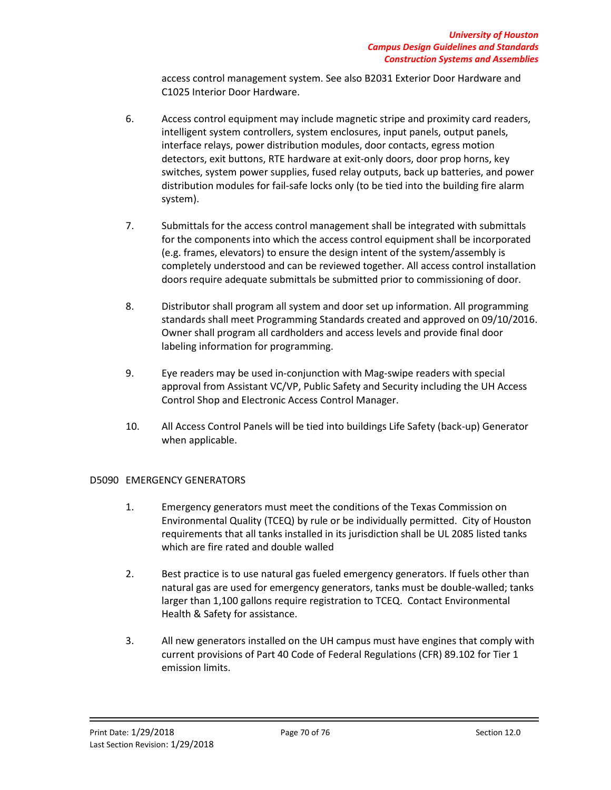access control management system. See also B2031 Exterior Door Hardware and C1025 Interior Door Hardware.

- 6. Access control equipment may include magnetic stripe and proximity card readers, intelligent system controllers, system enclosures, input panels, output panels, interface relays, power distribution modules, door contacts, egress motion detectors, exit buttons, RTE hardware at exit-only doors, door prop horns, key switches, system power supplies, fused relay outputs, back up batteries, and power distribution modules for fail-safe locks only (to be tied into the building fire alarm system).
- 7. Submittals for the access control management shall be integrated with submittals for the components into which the access control equipment shall be incorporated (e.g. frames, elevators) to ensure the design intent of the system/assembly is completely understood and can be reviewed together. All access control installation doors require adequate submittals be submitted prior to commissioning of door.
- 8. Distributor shall program all system and door set up information. All programming standards shall meet Programming Standards created and approved on 09/10/2016. Owner shall program all cardholders and access levels and provide final door labeling information for programming.
- 9. Eye readers may be used in-conjunction with Mag-swipe readers with special approval from Assistant VC/VP, Public Safety and Security including the UH Access Control Shop and Electronic Access Control Manager.
- 10. All Access Control Panels will be tied into buildings Life Safety (back-up) Generator when applicable.

# D5090 EMERGENCY GENERATORS

- 1. Emergency generators must meet the conditions of the Texas Commission on Environmental Quality (TCEQ) by rule or be individually permitted. City of Houston requirements that all tanks installed in its jurisdiction shall be UL 2085 listed tanks which are fire rated and double walled
- 2. Best practice is to use natural gas fueled emergency generators. If fuels other than natural gas are used for emergency generators, tanks must be double-walled; tanks larger than 1,100 gallons require registration to TCEQ. Contact Environmental Health & Safety for assistance.
- 3. All new generators installed on the UH campus must have engines that comply with current provisions of Part 40 Code of Federal Regulations (CFR) 89.102 for Tier 1 emission limits.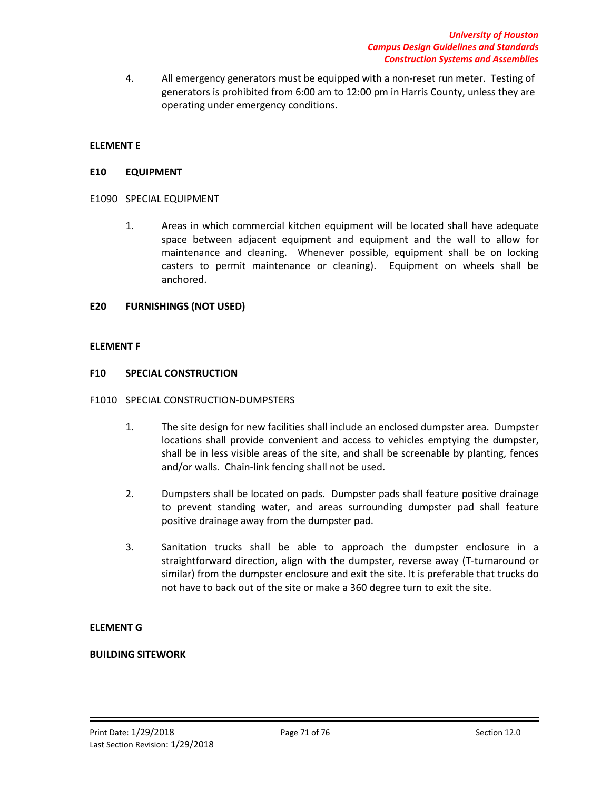4. All emergency generators must be equipped with a non-reset run meter. Testing of generators is prohibited from 6:00 am to 12:00 pm in Harris County, unless they are operating under emergency conditions.

### **ELEMENT E**

#### **E10 EQUIPMENT**

#### E1090 SPECIAL EQUIPMENT

1. Areas in which commercial kitchen equipment will be located shall have adequate space between adjacent equipment and equipment and the wall to allow for maintenance and cleaning. Whenever possible, equipment shall be on locking casters to permit maintenance or cleaning). Equipment on wheels shall be anchored.

#### **E20 FURNISHINGS (NOT USED)**

#### **ELEMENT F**

#### **F10 SPECIAL CONSTRUCTION**

#### F1010 SPECIAL CONSTRUCTION-DUMPSTERS

- 1. The site design for new facilities shall include an enclosed dumpster area. Dumpster locations shall provide convenient and access to vehicles emptying the dumpster, shall be in less visible areas of the site, and shall be screenable by planting, fences and/or walls. Chain-link fencing shall not be used.
- 2. Dumpsters shall be located on pads. Dumpster pads shall feature positive drainage to prevent standing water, and areas surrounding dumpster pad shall feature positive drainage away from the dumpster pad.
- 3. Sanitation trucks shall be able to approach the dumpster enclosure in a straightforward direction, align with the dumpster, reverse away (T-turnaround or similar) from the dumpster enclosure and exit the site. It is preferable that trucks do not have to back out of the site or make a 360 degree turn to exit the site.

### **ELEMENT G**

#### **BUILDING SITEWORK**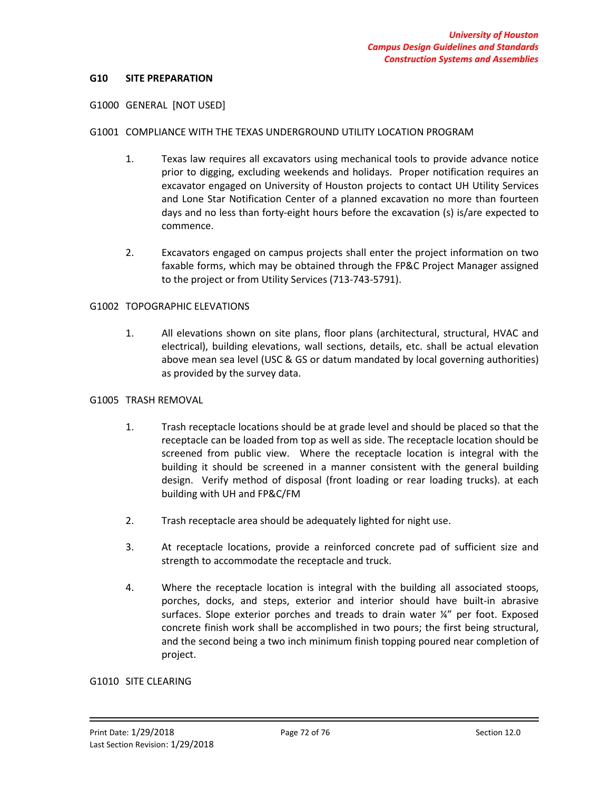#### **G10 SITE PREPARATION**

#### G1000 GENERAL [NOT USED]

#### G1001 COMPLIANCE WITH THE TEXAS UNDERGROUND UTILITY LOCATION PROGRAM

- 1. Texas law requires all excavators using mechanical tools to provide advance notice prior to digging, excluding weekends and holidays. Proper notification requires an excavator engaged on University of Houston projects to contact UH Utility Services and Lone Star Notification Center of a planned excavation no more than fourteen days and no less than forty-eight hours before the excavation (s) is/are expected to commence.
- 2. Excavators engaged on campus projects shall enter the project information on two faxable forms, which may be obtained through the FP&C Project Manager assigned to the project or from Utility Services (713-743-5791).

#### G1002 TOPOGRAPHIC ELEVATIONS

1. All elevations shown on site plans, floor plans (architectural, structural, HVAC and electrical), building elevations, wall sections, details, etc. shall be actual elevation above mean sea level (USC & GS or datum mandated by local governing authorities) as provided by the survey data.

#### G1005 TRASH REMOVAL

- 1. Trash receptacle locations should be at grade level and should be placed so that the receptacle can be loaded from top as well as side. The receptacle location should be screened from public view. Where the receptacle location is integral with the building it should be screened in a manner consistent with the general building design. Verify method of disposal (front loading or rear loading trucks). at each building with UH and FP&C/FM
- 2. Trash receptacle area should be adequately lighted for night use.
- 3. At receptacle locations, provide a reinforced concrete pad of sufficient size and strength to accommodate the receptacle and truck.
- 4. Where the receptacle location is integral with the building all associated stoops, porches, docks, and steps, exterior and interior should have built-in abrasive surfaces. Slope exterior porches and treads to drain water ¼" per foot. Exposed concrete finish work shall be accomplished in two pours; the first being structural, and the second being a two inch minimum finish topping poured near completion of project.

#### G1010 SITE CLEARING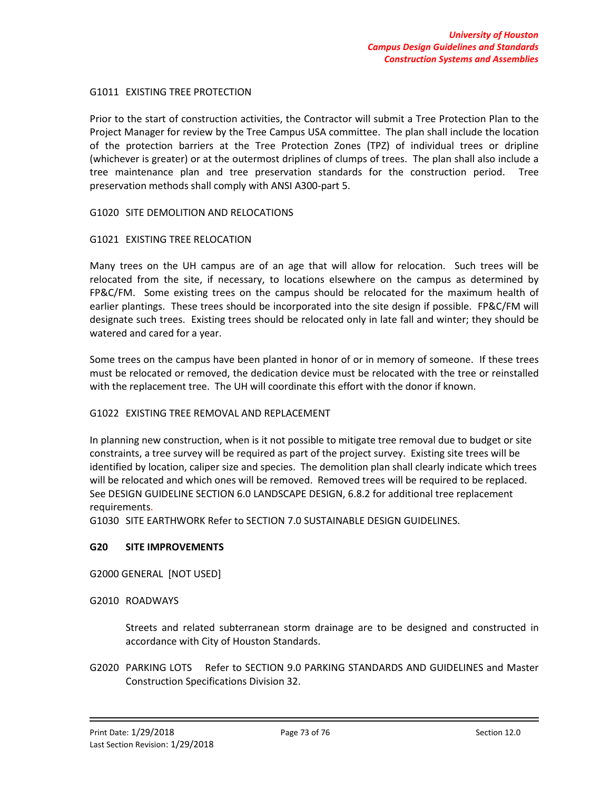## G1011 EXISTING TREE PROTECTION

Prior to the start of construction activities, the Contractor will submit a Tree Protection Plan to the Project Manager for review by the Tree Campus USA committee. The plan shall include the location of the protection barriers at the Tree Protection Zones (TPZ) of individual trees or dripline (whichever is greater) or at the outermost driplines of clumps of trees. The plan shall also include a tree maintenance plan and tree preservation standards for the construction period. Tree preservation methods shall comply with ANSI A300-part 5.

# G1020 SITE DEMOLITION AND RELOCATIONS

# G1021 EXISTING TREE RELOCATION

Many trees on the UH campus are of an age that will allow for relocation. Such trees will be relocated from the site, if necessary, to locations elsewhere on the campus as determined by FP&C/FM. Some existing trees on the campus should be relocated for the maximum health of earlier plantings. These trees should be incorporated into the site design if possible. FP&C/FM will designate such trees. Existing trees should be relocated only in late fall and winter; they should be watered and cared for a year.

Some trees on the campus have been planted in honor of or in memory of someone. If these trees must be relocated or removed, the dedication device must be relocated with the tree or reinstalled with the replacement tree. The UH will coordinate this effort with the donor if known.

# G1022 EXISTING TREE REMOVAL AND REPLACEMENT

In planning new construction, when is it not possible to mitigate tree removal due to budget or site constraints, a tree survey will be required as part of the project survey. Existing site trees will be identified by location, caliper size and species. The demolition plan shall clearly indicate which trees will be relocated and which ones will be removed. Removed trees will be required to be replaced. See DESIGN GUIDELINE SECTION 6.0 LANDSCAPE DESIGN, 6.8.2 for additional tree replacement requirements.

G1030 SITE EARTHWORK Refer to SECTION 7.0 SUSTAINABLE DESIGN GUIDELINES.

#### **G20 SITE IMPROVEMENTS**

G2000 GENERAL [NOT USED]

#### G2010 ROADWAYS

Streets and related subterranean storm drainage are to be designed and constructed in accordance with City of Houston Standards.

G2020 PARKING LOTS Refer to SECTION 9.0 PARKING STANDARDS AND GUIDELINES and Master Construction Specifications Division 32.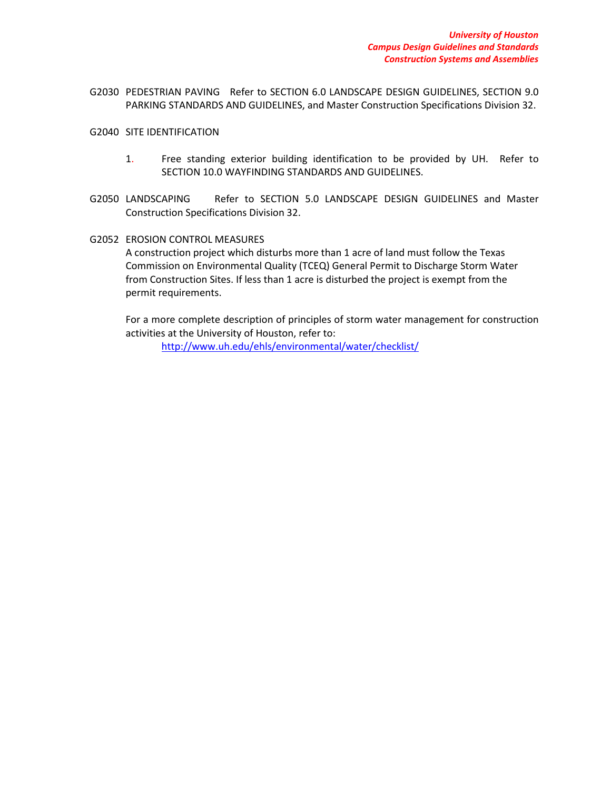- G2030 PEDESTRIAN PAVING Refer to SECTION 6.0 LANDSCAPE DESIGN GUIDELINES, SECTION 9.0 PARKING STANDARDS AND GUIDELINES, and Master Construction Specifications Division 32.
- G2040 SITE IDENTIFICATION
	- 1. Free standing exterior building identification to be provided by UH. Refer to SECTION 10.0 WAYFINDING STANDARDS AND GUIDELINES.
- G2050 LANDSCAPING Refer to SECTION 5.0 LANDSCAPE DESIGN GUIDELINES and Master Construction Specifications Division 32.
- G2052 EROSION CONTROL MEASURES A construction project which disturbs more than 1 acre of land must follow the Texas Commission on Environmental Quality (TCEQ) General Permit to Discharge Storm Water from Construction Sites. If less than 1 acre is disturbed the project is exempt from the permit requirements.

For a more complete description of principles of storm water management for construction activities at the University of Houston, refer to:

<http://www.uh.edu/ehls/environmental/water/checklist/>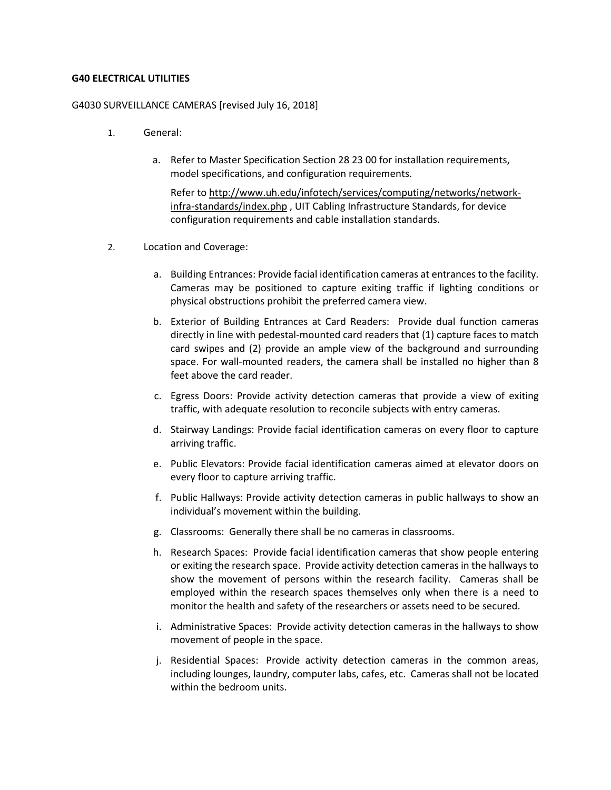# **G40 ELECTRICAL UTILITIES**

## G4030 SURVEILLANCE CAMERAS [revised July 16, 2018]

- 1. General:
	- a. Refer to Master Specification Section 28 23 00 for installation requirements, model specifications, and configuration requirements.

Refer t[o http://www.uh.edu/infotech/services/computing/networks/network](http://www.uh.edu/infotech/services/computing/networks/network-infra-standards/index.php)[infra-standards/index.php](http://www.uh.edu/infotech/services/computing/networks/network-infra-standards/index.php) , UIT Cabling Infrastructure Standards, for device configuration requirements and cable installation standards.

- 2. Location and Coverage:
	- a. Building Entrances: Provide facial identification cameras at entrances to the facility. Cameras may be positioned to capture exiting traffic if lighting conditions or physical obstructions prohibit the preferred camera view.
	- b. Exterior of Building Entrances at Card Readers: Provide dual function cameras directly in line with pedestal-mounted card readers that (1) capture faces to match card swipes and (2) provide an ample view of the background and surrounding space. For wall-mounted readers, the camera shall be installed no higher than 8 feet above the card reader.
	- c. Egress Doors: Provide activity detection cameras that provide a view of exiting traffic, with adequate resolution to reconcile subjects with entry cameras.
	- d. Stairway Landings: Provide facial identification cameras on every floor to capture arriving traffic.
	- e. Public Elevators: Provide facial identification cameras aimed at elevator doors on every floor to capture arriving traffic.
	- f. Public Hallways: Provide activity detection cameras in public hallways to show an individual's movement within the building.
	- g. Classrooms: Generally there shall be no cameras in classrooms.
	- h. Research Spaces: Provide facial identification cameras that show people entering or exiting the research space. Provide activity detection cameras in the hallways to show the movement of persons within the research facility. Cameras shall be employed within the research spaces themselves only when there is a need to monitor the health and safety of the researchers or assets need to be secured.
	- i. Administrative Spaces: Provide activity detection cameras in the hallways to show movement of people in the space.
	- j. Residential Spaces: Provide activity detection cameras in the common areas, including lounges, laundry, computer labs, cafes, etc. Cameras shall not be located within the bedroom units.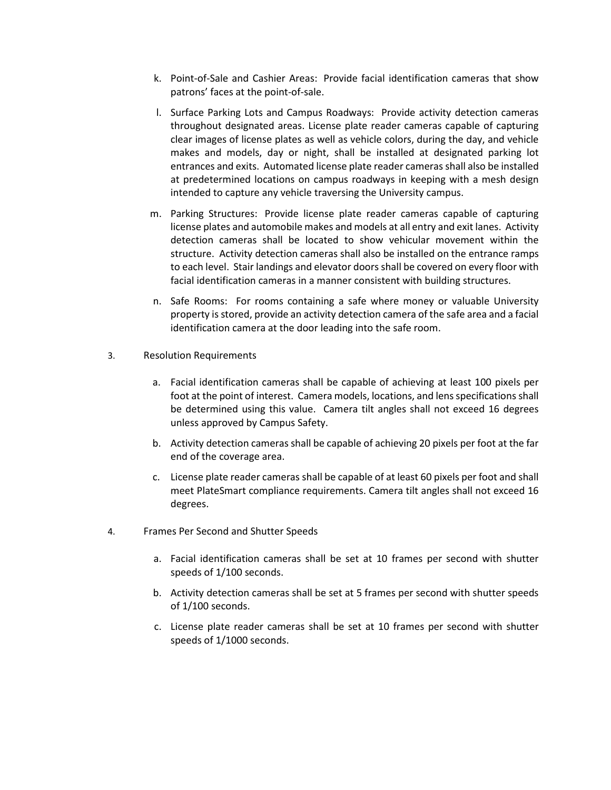- k. Point-of-Sale and Cashier Areas: Provide facial identification cameras that show patrons' faces at the point-of-sale.
- l. Surface Parking Lots and Campus Roadways: Provide activity detection cameras throughout designated areas. License plate reader cameras capable of capturing clear images of license plates as well as vehicle colors, during the day, and vehicle makes and models, day or night, shall be installed at designated parking lot entrances and exits. Automated license plate reader cameras shall also be installed at predetermined locations on campus roadways in keeping with a mesh design intended to capture any vehicle traversing the University campus.
- m. Parking Structures: Provide license plate reader cameras capable of capturing license plates and automobile makes and models at all entry and exit lanes. Activity detection cameras shall be located to show vehicular movement within the structure. Activity detection cameras shall also be installed on the entrance ramps to each level. Stair landings and elevator doors shall be covered on every floor with facial identification cameras in a manner consistent with building structures.
- n. Safe Rooms: For rooms containing a safe where money or valuable University property is stored, provide an activity detection camera of the safe area and a facial identification camera at the door leading into the safe room.
- 3. Resolution Requirements
	- a. Facial identification cameras shall be capable of achieving at least 100 pixels per foot at the point of interest. Camera models, locations, and lens specifications shall be determined using this value. Camera tilt angles shall not exceed 16 degrees unless approved by Campus Safety.
	- b. Activity detection cameras shall be capable of achieving 20 pixels per foot at the far end of the coverage area.
	- c. License plate reader cameras shall be capable of at least 60 pixels per foot and shall meet PlateSmart compliance requirements. Camera tilt angles shall not exceed 16 degrees.
- 4. Frames Per Second and Shutter Speeds
	- a. Facial identification cameras shall be set at 10 frames per second with shutter speeds of 1/100 seconds.
	- b. Activity detection cameras shall be set at 5 frames per second with shutter speeds of 1/100 seconds.
	- c. License plate reader cameras shall be set at 10 frames per second with shutter speeds of 1/1000 seconds.